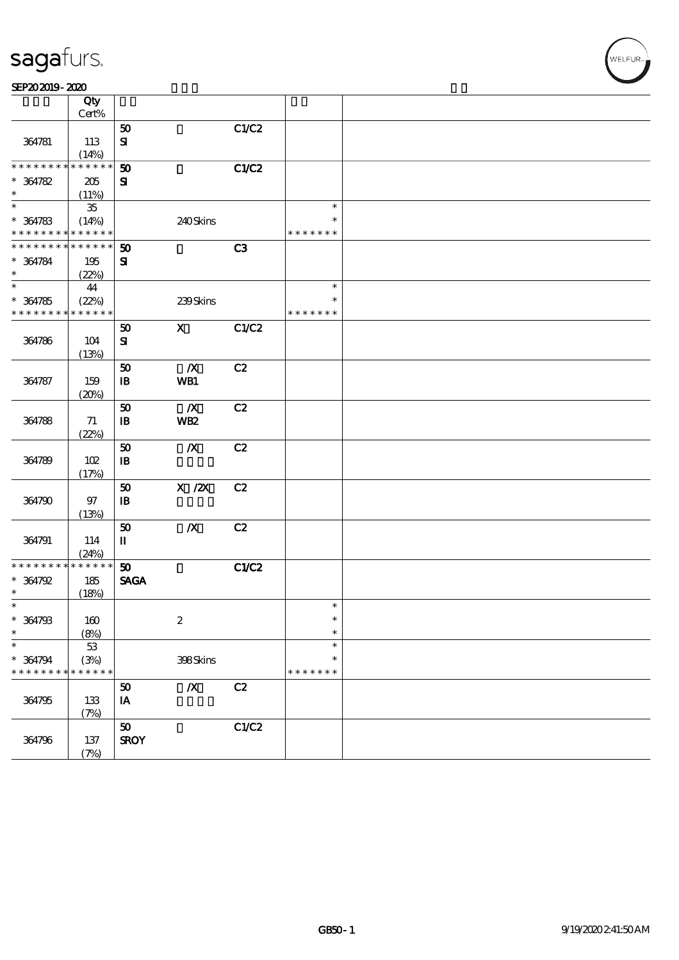|                      | Qty<br>Cert%        |                             |                                       |              |                  |  |
|----------------------|---------------------|-----------------------------|---------------------------------------|--------------|------------------|--|
|                      |                     | 50                          |                                       | C1/C2        |                  |  |
| 364781               | 113<br>(14%)        | $\mathbf{S}$                |                                       |              |                  |  |
| * * * * * * * *      | * * * * * *         | 50                          |                                       | C1/C2        |                  |  |
| $* 364782$<br>$\ast$ | 205                 | ${\bf S}$                   |                                       |              |                  |  |
| $\ast$               | (11%)<br>${\bf 35}$ |                             |                                       |              | $\ast$           |  |
| $* 364783$           | (14%)               |                             | 240Skins                              |              |                  |  |
| * * * * * * * *      | * * * * * *         |                             |                                       |              | * * * * * * *    |  |
| * * * * * * * *      | * * * * * *         | $\boldsymbol{\mathfrak{D}}$ |                                       | C3           |                  |  |
| $* 364784$<br>$\ast$ | 195<br>(22%)        | ${\bf s}$                   |                                       |              |                  |  |
| $\overline{\ast}$    | $\boldsymbol{41}$   |                             |                                       |              | $\ast$           |  |
| $* 364785$           | (22%)               |                             | 239Skins                              |              | $\ast$           |  |
| * * * * * * * *      | * * * * * *         |                             |                                       |              | * * * * * * *    |  |
|                      |                     | 50                          | $\mathbf{X}$                          | C1/C2        |                  |  |
| 364786               | 104                 | $\mathbf{S}$                |                                       |              |                  |  |
|                      | (13%)               | 50                          | $\boldsymbol{X}$                      | C2           |                  |  |
| 364787               | 159                 | $\, {\bf B}$                | WB1                                   |              |                  |  |
|                      | (20%)               |                             |                                       |              |                  |  |
|                      |                     | 50                          | $\boldsymbol{X}$                      | C2           |                  |  |
| 364788               | 71                  | $\mathbf{B}$                | WB <sub>2</sub>                       |              |                  |  |
|                      | (22%)               | 50                          | $\boldsymbol{X}$                      | C2           |                  |  |
| 364789               | 102                 | $\mathbf{B}$                |                                       |              |                  |  |
|                      | (17%)               |                             |                                       |              |                  |  |
|                      |                     | 50                          | $\boldsymbol{\mathrm{X}}$ / <b>ZX</b> | C2           |                  |  |
| 364790               | 97                  | $\mathbf{B}$                |                                       |              |                  |  |
|                      | (13%)               | 50                          | $\boldsymbol{X}$                      | C2           |                  |  |
| 364791               | 114                 | $\mathbf I$                 |                                       |              |                  |  |
|                      | (24%)               |                             |                                       |              |                  |  |
| * * * * * * * *      | * * * * * *         | 50                          |                                       | <b>C1/C2</b> |                  |  |
| $* 364792$           | 185                 | <b>SAGA</b>                 |                                       |              |                  |  |
| $\ast$               | (18%)               |                             |                                       |              |                  |  |
| $\ast$               |                     |                             |                                       |              | $\ast$<br>$\ast$ |  |
| * 364793<br>$\ast$   | 160<br>(8%)         |                             | $\boldsymbol{2}$                      |              | $\ast$           |  |
| $\ast$               | $5\!3$              |                             |                                       |              | $\ast$           |  |
| $* 364794$           | (3%)                |                             | 398Skins                              |              | $\ast$           |  |
| * * * * * * *        | * * * * * *         |                             |                                       |              | * * * * * * *    |  |
|                      |                     | 50                          | $\boldsymbol{X}$                      | C2           |                  |  |
| 364795               | 133                 | IA                          |                                       |              |                  |  |
|                      | (7%)                | 50                          |                                       | C1/C2        |                  |  |
| 364796               | $137$               | <b>SROY</b>                 |                                       |              |                  |  |
|                      | (7%)                |                             |                                       |              |                  |  |

,<br>WELFUR-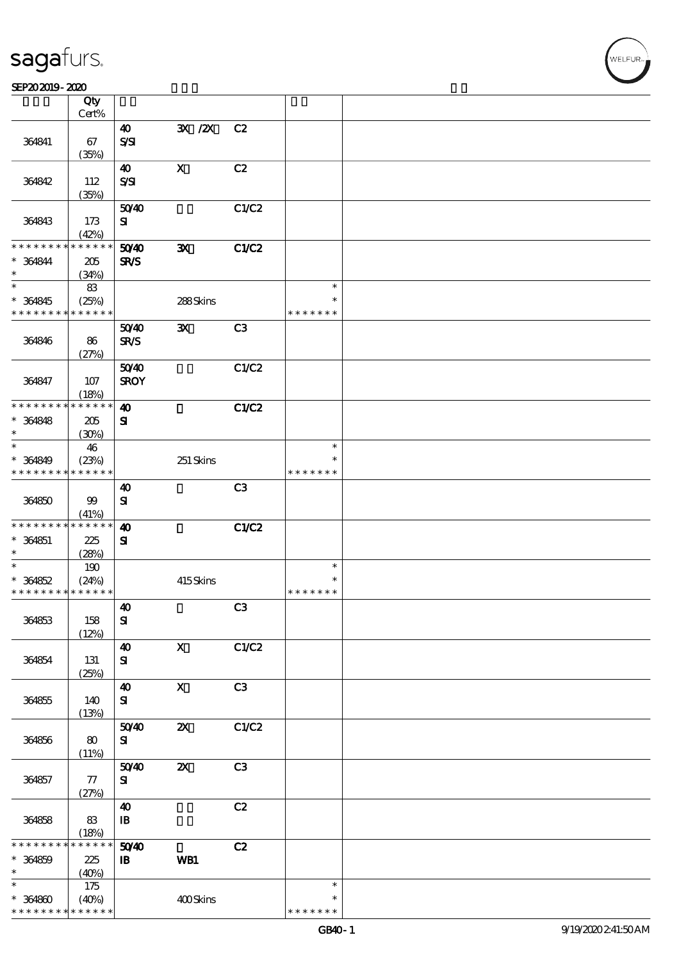$\top$ 

#### $S$ EP202019 - 2020  $S$

|                               | Qty<br>Cert%         |                                    |                           |                |                         |  |
|-------------------------------|----------------------|------------------------------------|---------------------------|----------------|-------------------------|--|
|                               |                      |                                    |                           |                |                         |  |
| 364841                        | 67                   | $\boldsymbol{\omega}$<br>$S\!S\!I$ | 3X / 2X                   | C2             |                         |  |
|                               | (35%)                |                                    |                           |                |                         |  |
| 364842                        | 112<br>(35%)         | 40<br>$S\mathcal{S}$               | $\boldsymbol{\mathrm{X}}$ | C2             |                         |  |
|                               |                      |                                    |                           |                |                         |  |
| 364843                        | 173<br>(42%)         | 5040<br>${\bf s}$                  |                           | C1/C2          |                         |  |
| * * * * * * * *               | * * * * * *          | 50 <sup>/40</sup>                  | $\mathbf{x}$              | <b>C1/C2</b>   |                         |  |
| $* 364844$<br>$\ast$          | 205<br>(34%)         | SR/S                               |                           |                |                         |  |
| $\ast$                        | 83                   |                                    |                           |                | $\ast$                  |  |
| $* 364845$<br>* * * * * * * * | (25%)<br>* * * * * * |                                    | 288Skins                  |                | $\ast$<br>* * * * * * * |  |
|                               |                      | 5040                               | $\mathbf{x}$              | C <sub>3</sub> |                         |  |
| 364846                        | 86<br>(27%)          | <b>SR/S</b>                        |                           |                |                         |  |
|                               |                      | 5040                               |                           | C1/C2          |                         |  |
| 364847                        | 107<br>(18%)         | <b>SROY</b>                        |                           |                |                         |  |
| * * * * * * * *               | * * * * * *          | $\boldsymbol{\omega}$              |                           | <b>C1/C2</b>   |                         |  |
| $* 364848$                    | 205                  | ${\bf s}$                          |                           |                |                         |  |
| $\ast$                        | (30%)                |                                    |                           |                |                         |  |
| $\ast$                        |                      |                                    |                           |                | $\ast$                  |  |
|                               | 46                   |                                    |                           |                | ∗                       |  |
| * 364849<br>* * * * * * * *   | (23%)<br>* * * * * * |                                    | 251 Skins                 |                | * * * * * * *           |  |
|                               |                      |                                    |                           |                |                         |  |
| 364850                        | $99$<br>(41%)        | $\boldsymbol{\omega}$<br>${\bf s}$ |                           | C3             |                         |  |
| * * * * * * * *               | * * * * * *          | $\boldsymbol{\omega}$              |                           | <b>C1/C2</b>   |                         |  |
| $* 364851$                    | 225                  | ${\bf s}$                          |                           |                |                         |  |
| $\ast$                        | (28%)                |                                    |                           |                |                         |  |
| $\ast$                        | 190                  |                                    |                           |                | $\ast$                  |  |
| $* 364852$                    | (24%)                |                                    | 415Skins                  |                | $\ast$                  |  |
| * * * * * * * * * * * * * *   |                      |                                    |                           |                | * * * * * * *           |  |
|                               |                      | $\boldsymbol{\Lambda}$             |                           | C3             |                         |  |
| 364853                        | 158                  | ${\bf s}$                          |                           |                |                         |  |
|                               | (12%)                |                                    |                           |                |                         |  |
|                               |                      | $\boldsymbol{\omega}$              | $\boldsymbol{\mathrm{X}}$ | C1/C2          |                         |  |
|                               |                      | ${\bf s}$                          |                           |                |                         |  |
| 364854                        | 131                  |                                    |                           |                |                         |  |
|                               | (25%)                | $\boldsymbol{\omega}$              | $\mathbf X$               | C3             |                         |  |
|                               | 140                  |                                    |                           |                |                         |  |
| 364855                        |                      | ${\bf s}$                          |                           |                |                         |  |
|                               | (13%)                |                                    |                           |                |                         |  |
|                               |                      | 5040                               | $\boldsymbol{\mathsf{z}}$ | C1/C2          |                         |  |
| 364856                        | 80                   | ${\bf s}$                          |                           |                |                         |  |
|                               | (11%)                |                                    |                           |                |                         |  |
|                               |                      | 5040                               | $\boldsymbol{\mathsf{z}}$ | C3             |                         |  |
| 364857                        | 77                   | ${\bf s}$                          |                           |                |                         |  |
|                               | (27%)                |                                    |                           |                |                         |  |
|                               |                      | $\boldsymbol{\omega}$              |                           | C2             |                         |  |
| 364858                        | $83\,$               | $\, {\bf I} \! {\bf B} \,$         |                           |                |                         |  |
|                               | (18%)                |                                    |                           |                |                         |  |
| * * * * * * *                 | * * * * * *          | 5040                               |                           | C2             |                         |  |
| $* 364859$                    | 225                  | $\mathbf{B}$                       | WB1                       |                |                         |  |
| $\ast$                        | (40%)                |                                    |                           |                |                         |  |
| $\ast$                        | 175                  |                                    |                           |                | $\ast$                  |  |
| $* 364800$                    | (40%)                |                                    | 400Skins                  |                | $\ast$                  |  |
| * * * * * * * *               | * * * * * *          |                                    |                           |                | * * * * * * *           |  |

 $\overline{\mathbf{r}}$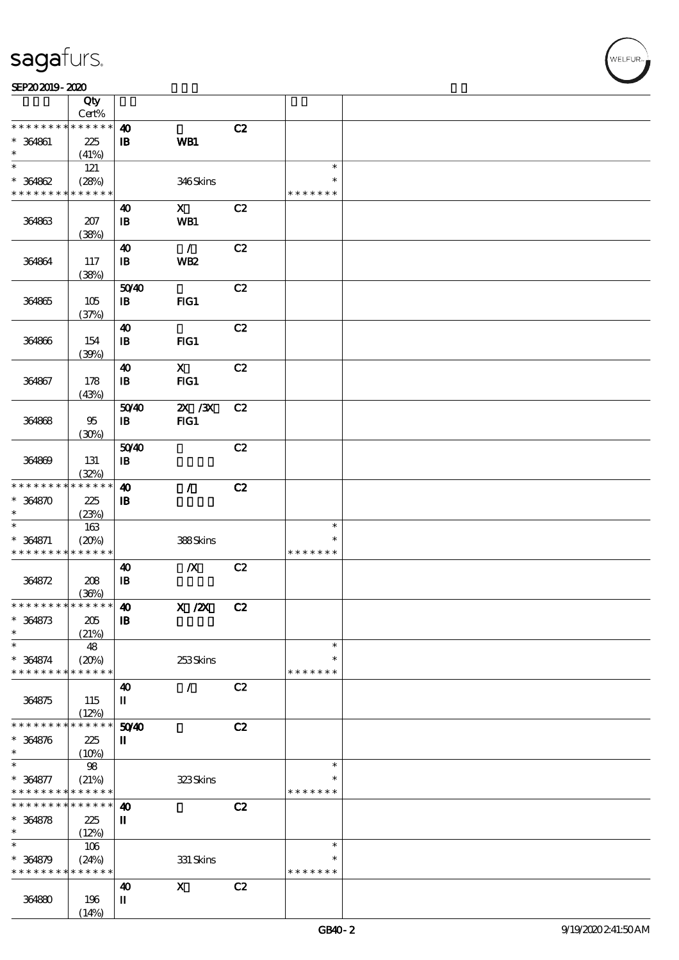|                                                          | Qty                  |                                       |                           |    |                         |  |
|----------------------------------------------------------|----------------------|---------------------------------------|---------------------------|----|-------------------------|--|
| * * * * * * * *                                          | Cert%<br>* * * * * * |                                       |                           | C2 |                         |  |
| $* 364861$                                               | 225                  | $\boldsymbol{\omega}$<br>${\bf I\!B}$ | WB1                       |    |                         |  |
| $\ast$                                                   | (41%)                |                                       |                           |    |                         |  |
| $\ast$                                                   | 121                  |                                       |                           |    | $\ast$                  |  |
| $* 364862$                                               | (28%)                |                                       | 346Skins                  |    | $\ast$                  |  |
| * * * * * * * * <mark>* * * * * * *</mark>               |                      |                                       |                           |    | * * * * * * *           |  |
|                                                          |                      | $\boldsymbol{\omega}$                 | $\boldsymbol{\mathsf{X}}$ | C2 |                         |  |
| 364863                                                   | 207                  | $\mathbf{B}$                          | WB1                       |    |                         |  |
|                                                          | (38%)                | $\boldsymbol{\omega}$                 | $\mathcal{L}$             | C2 |                         |  |
| 364864                                                   | 117                  | $\, {\bf I} \! {\bf B} \,$            | WB <sub>2</sub>           |    |                         |  |
|                                                          | (38%)                |                                       |                           |    |                         |  |
|                                                          |                      | 5040                                  |                           | C2 |                         |  |
| 364865                                                   | 105                  | $\mathbf{B}$                          | $HG1$                     |    |                         |  |
|                                                          | (37%)                |                                       |                           |    |                         |  |
|                                                          |                      | $\boldsymbol{\omega}$                 |                           | C2 |                         |  |
| 364866                                                   | 154<br>(30%)         | ${\bf I\!B}$                          | FG1                       |    |                         |  |
|                                                          |                      | $\boldsymbol{\omega}$                 | $\mathbf{X}$              | C2 |                         |  |
| 364867                                                   | 178                  | $\, {\bf B}$                          | FG1                       |    |                         |  |
|                                                          | (43%)                |                                       |                           |    |                         |  |
|                                                          |                      | 5040                                  | $X \, X$                  | C2 |                         |  |
| 364868                                                   | 95                   | $\mathbf{B}$                          | $HG1$                     |    |                         |  |
|                                                          | (30%)                |                                       |                           |    |                         |  |
| 364869                                                   | 131                  | 5040<br>$\mathbf{B}$                  |                           | C2 |                         |  |
|                                                          | (32%)                |                                       |                           |    |                         |  |
| * * * * * * * *                                          | $* * * * * * *$      | $\boldsymbol{\omega}$                 | $\mathcal{L}$             | C2 |                         |  |
| $* 364870$                                               | 225                  | $\, {\bf B}$                          |                           |    |                         |  |
| $\ast$                                                   | (23%)                |                                       |                           |    |                         |  |
| $\ast$                                                   | $163\,$              |                                       |                           |    | $\ast$                  |  |
| $* 364871$<br>* * * * * * * * <mark>* * * * * * *</mark> | (20%)                |                                       | 388Skins                  |    | $\ast$<br>* * * * * * * |  |
|                                                          |                      | $\boldsymbol{\omega}$                 | $\boldsymbol{X}$          | C2 |                         |  |
| 364872                                                   | 208                  | ${\bf I\!B}$                          |                           |    |                         |  |
|                                                          | (36%)                |                                       |                           |    |                         |  |
| ******** <mark>******</mark>                             |                      | $\boldsymbol{\omega}$                 | X / ZX                    | C2 |                         |  |
| $* 364873$                                               | 205                  | $\mathbf I\mathbf B$                  |                           |    |                         |  |
| $\ast$<br>$\ast$                                         | (21%)                |                                       |                           |    | $\ast$                  |  |
| $* 364874$                                               | 48<br>(20%)          |                                       | $253$ Skins               |    | $\ast$                  |  |
| * * * * * * * *                                          | * * * * * *          |                                       |                           |    | * * * * * * *           |  |
|                                                          |                      | $\boldsymbol{\omega}$                 | $\prime$                  | C2 |                         |  |
| 364875                                                   | 115                  | П                                     |                           |    |                         |  |
|                                                          | (12%)                |                                       |                           |    |                         |  |
| * * * * * *                                              | * * * * * *          | 50YD                                  |                           | C2 |                         |  |
| $* 364876$<br>$\ast$                                     | 225                  | $\mathbf I$                           |                           |    |                         |  |
| $\ast$                                                   | (10%)<br>98          |                                       |                           |    | $\ast$                  |  |
| $* 364877$                                               | (21%)                |                                       | 323Skins                  |    | $\ast$                  |  |
| * * * * * * * *                                          | $* * * * * * *$      |                                       |                           |    | * * * * * * *           |  |
| * * * * * * *                                            | $* * * * * * *$      | $\boldsymbol{\omega}$                 |                           | C2 |                         |  |
| $* 364878$                                               | 225                  | $\mathbf I$                           |                           |    |                         |  |
| $\ast$<br>$\ast$                                         | (12%)                |                                       |                           |    |                         |  |
| $* 364879$                                               | 106                  |                                       | $331$ Skins               |    | $\ast$<br>$\ast$        |  |
| * * * * * * * *                                          | (24%)<br>* * * * * * |                                       |                           |    | * * * * * * *           |  |
|                                                          |                      | $\boldsymbol{\omega}$                 | $\mathbf x$               | C2 |                         |  |
| 364880                                                   | 196                  | П                                     |                           |    |                         |  |
|                                                          | (14%)                |                                       |                           |    |                         |  |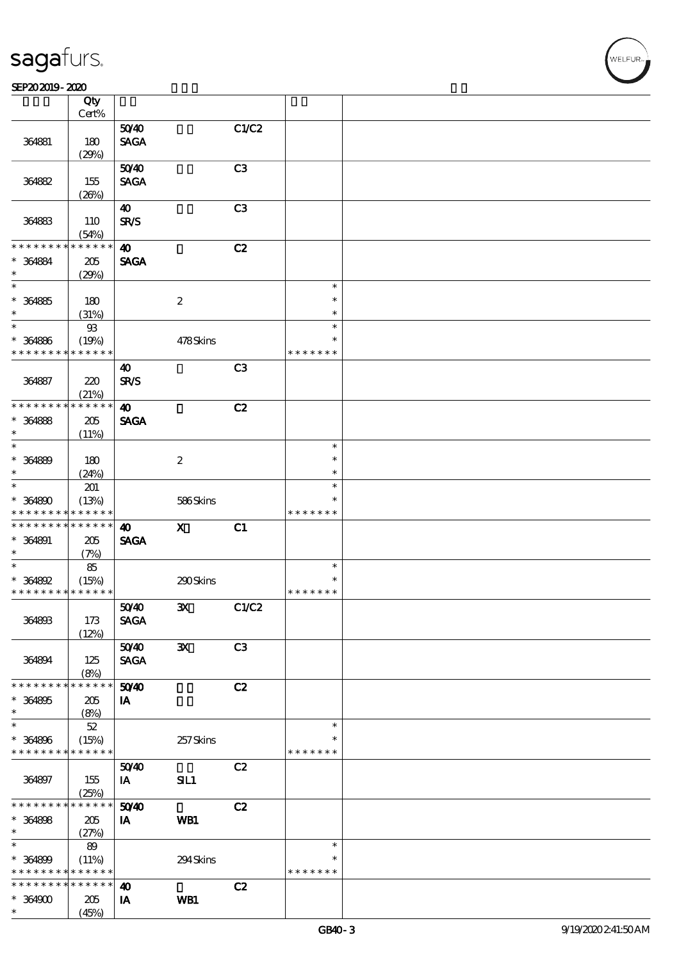$\top$ 

#### $S$ EP202019 - 2020  $S$

|                                            | Qty<br>Cert%    |                       |                  |                |               |  |
|--------------------------------------------|-----------------|-----------------------|------------------|----------------|---------------|--|
|                                            |                 | 5040                  |                  | C1/C2          |               |  |
|                                            |                 |                       |                  |                |               |  |
| 364881                                     | 180             | <b>SAGA</b>           |                  |                |               |  |
|                                            | (29%)           |                       |                  |                |               |  |
|                                            |                 | 5040                  |                  | C3             |               |  |
| 364882                                     | 155             | <b>SAGA</b>           |                  |                |               |  |
|                                            | (20%)           |                       |                  |                |               |  |
|                                            |                 | $\boldsymbol{\omega}$ |                  | C3             |               |  |
|                                            |                 |                       |                  |                |               |  |
| 364883                                     | 110             | <b>SR/S</b>           |                  |                |               |  |
|                                            | (54%)           |                       |                  |                |               |  |
| * * * * * * * *                            | * * * * * *     | $\boldsymbol{\omega}$ |                  | C2             |               |  |
| * 364884                                   | $205\,$         | <b>SAGA</b>           |                  |                |               |  |
| $\ast$                                     | (29%)           |                       |                  |                |               |  |
| $\ast$                                     |                 |                       |                  |                | $\ast$        |  |
| $* 364885$                                 | 180             |                       | $\boldsymbol{2}$ |                | $\ast$        |  |
| $\ast$                                     | (31%)           |                       |                  |                | $\ast$        |  |
| $\ast$                                     |                 |                       |                  |                | $\ast$        |  |
|                                            | $9\!\!3$        |                       |                  |                |               |  |
| $* 364886$                                 | (19%)           |                       | 478Skins         |                | $\ast$        |  |
| * * * * * * * *                            | * * * * * *     |                       |                  |                | * * * * * * * |  |
|                                            |                 | $\boldsymbol{\omega}$ |                  | C3             |               |  |
| 364887                                     | 220             | SR/S                  |                  |                |               |  |
|                                            | (21%)           |                       |                  |                |               |  |
| * * * * * * * *                            | * * * * * *     | $\boldsymbol{\omega}$ |                  | C2             |               |  |
| $* 364888$                                 | 205             | <b>SAGA</b>           |                  |                |               |  |
| $\ast$                                     |                 |                       |                  |                |               |  |
|                                            | (11%)           |                       |                  |                |               |  |
| $\ast$                                     |                 |                       |                  |                | $\ast$        |  |
| * 364889                                   | 180             |                       | $\boldsymbol{2}$ |                | $\ast$        |  |
| $\ast$                                     | (24%)           |                       |                  |                | $\ast$        |  |
| $\ast$                                     | 201             |                       |                  |                | $\ast$        |  |
| $* 364800$                                 | (13%)           |                       | 586Skins         |                | $\ast$        |  |
| * * * * * * * *                            | * * * * * *     |                       |                  |                | * * * * * * * |  |
| * * * * * * * *                            | $* * * * * * *$ | $\boldsymbol{\omega}$ | $\mathbf{x}$     | C1             |               |  |
|                                            |                 |                       |                  |                |               |  |
| * 364891                                   | 205             | <b>SAGA</b>           |                  |                |               |  |
| $\ast$                                     | (7%)            |                       |                  |                |               |  |
| $\ast$                                     | 85              |                       |                  |                | $\ast$        |  |
| * 364892                                   | (15%)           |                       | 290Skins         |                | $\ast$        |  |
| * * * * * * * * <mark>* * * * * * *</mark> |                 |                       |                  |                | * * * * * * * |  |
|                                            |                 | 5040                  | $\mathbf{X}$     | C1/C2          |               |  |
| 364893                                     | 173             | <b>SAGA</b>           |                  |                |               |  |
|                                            | (12%)           |                       |                  |                |               |  |
|                                            |                 | 5040                  | ${\bf x}$        | C <sub>3</sub> |               |  |
|                                            |                 |                       |                  |                |               |  |
| 364894                                     | 125             | <b>SAGA</b>           |                  |                |               |  |
|                                            | (8%)            |                       |                  |                |               |  |
| * * * * * * * *                            | * * * * * *     | 5040                  |                  | C2             |               |  |
| $* 364895$                                 | 205             | IA                    |                  |                |               |  |
| $\ast$                                     | (8%)            |                       |                  |                |               |  |
| $\ast$                                     | $52\,$          |                       |                  |                | $\ast$        |  |
| $* 364896$                                 | (15%)           |                       | 257Skins         |                | *             |  |
| * * * * * * * *                            | * * * * * *     |                       |                  |                | * * * * * * * |  |
|                                            |                 | 5040                  |                  | C2             |               |  |
|                                            |                 |                       |                  |                |               |  |
| 364897                                     | 155             | IA                    | SIL1             |                |               |  |
|                                            | (25%)           |                       |                  |                |               |  |
| * * * * * * * *                            | $******$        | 50 <sup>/40</sup>     |                  | C2             |               |  |
| $* 364808$                                 | 205             | IA                    | WB1              |                |               |  |
| $\ast$                                     | (27%)           |                       |                  |                |               |  |
| $\ast$                                     | 89              |                       |                  |                | $\ast$        |  |
| $* 364899$                                 | (11%)           |                       | 294Skins         |                | $\ast$        |  |
| * * * * * * * *                            | * * * * * *     |                       |                  |                | * * * * * * * |  |
| * * * * * * * *                            | * * * * * *     |                       |                  | C2             |               |  |
|                                            |                 | $\boldsymbol{\omega}$ |                  |                |               |  |
| $* 364900$                                 | 205             | IA                    | WB1              |                |               |  |
| $\ast$                                     | (45%)           |                       |                  |                |               |  |

 $\overline{\mathbf{r}}$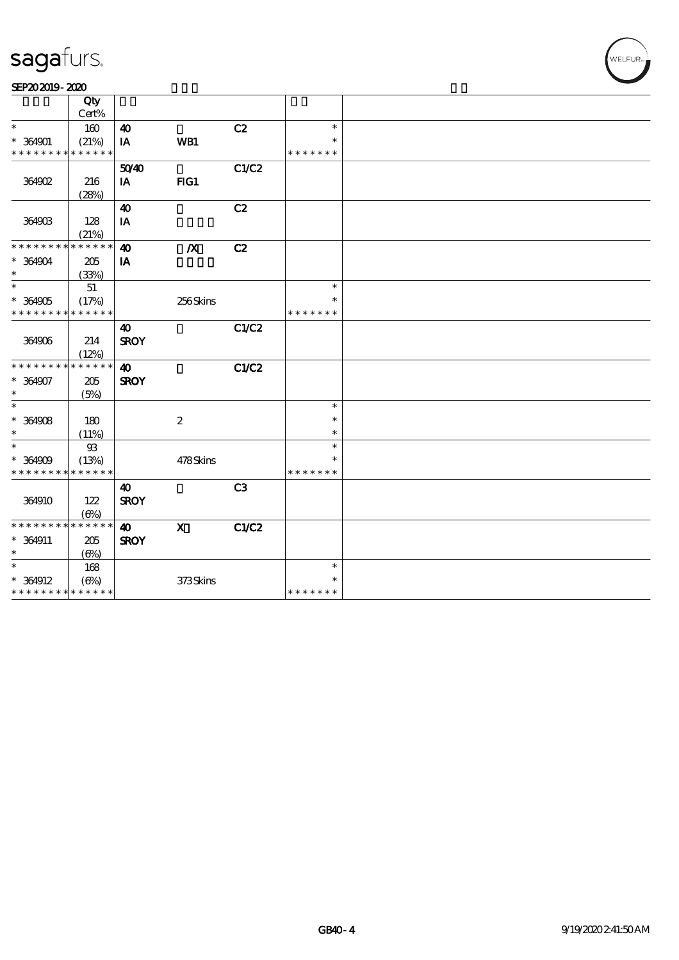#### SEP202019-2020

|                                            | Qty          |                       |                           |                |               |  |
|--------------------------------------------|--------------|-----------------------|---------------------------|----------------|---------------|--|
|                                            | Cert%        |                       |                           |                |               |  |
| $\ast$                                     | 160          | $\boldsymbol{\omega}$ |                           | C2             | $\ast$        |  |
| $* 364901$                                 | (21%)        | IA                    | WB1                       |                | $\ast$        |  |
| * * * * * * * *                            | * * * * * *  |                       |                           |                | * * * * * * * |  |
|                                            |              | 5040                  |                           | C1/C2          |               |  |
| 364902                                     | 216          | IA                    | $HG1$                     |                |               |  |
|                                            | (28%)        |                       |                           |                |               |  |
|                                            |              | $\boldsymbol{\omega}$ |                           | C2             |               |  |
| 364903                                     | 128          | IA                    |                           |                |               |  |
|                                            | (21%)        |                       |                           |                |               |  |
| * * * * * * * *                            | * * * * * *  | $\boldsymbol{\omega}$ | $\boldsymbol{X}$          | C2             |               |  |
| $* 364904$                                 | 205          | IA                    |                           |                |               |  |
| $\ast$                                     | (33%)        |                       |                           |                |               |  |
| $\ast$                                     | 51           |                       |                           |                | $\ast$        |  |
| $* 364905$                                 | (17%)        |                       | 256Skins                  |                | $\ast$        |  |
| * * * * * * * * * * * * * *                |              |                       |                           |                | * * * * * * * |  |
|                                            |              | 40                    |                           | C1/C2          |               |  |
| 364906                                     | 214          | <b>SROY</b>           |                           |                |               |  |
|                                            | (12%)        |                       |                           |                |               |  |
| * * * * * * * *                            | * * * * * *  | $\boldsymbol{\omega}$ |                           | C1/C2          |               |  |
| $* 364907$                                 | 205          | <b>SROY</b>           |                           |                |               |  |
| $\ast$                                     | (5%)         |                       |                           |                |               |  |
| $\ast$                                     |              |                       |                           |                | $\ast$        |  |
| $*$ 364908                                 | 180          |                       | $\boldsymbol{2}$          |                | $\ast$        |  |
| $\ast$                                     | (11%)        |                       |                           |                | $\ast$        |  |
| $\ast$                                     | $93\,$       |                       |                           |                | $\ast$        |  |
| $* 364909$                                 | (13%)        |                       | 478Skins                  |                | $\ast$        |  |
| * * * * * * * * <mark>* * * * * * *</mark> |              |                       |                           |                | * * * * * * * |  |
|                                            |              | $\boldsymbol{\omega}$ |                           | C <sub>3</sub> |               |  |
| 364910                                     | 122          | <b>SROY</b>           |                           |                |               |  |
|                                            | $(\Theta_0)$ |                       |                           |                |               |  |
| * * * * * * * * * * * * * *                |              | 40                    | $\boldsymbol{\mathsf{X}}$ | C1/C2          |               |  |
| $* 364911$                                 | 205          | <b>SROY</b>           |                           |                |               |  |
| $\ast$                                     | $(\Theta)$   |                       |                           |                |               |  |
| $\ast$                                     | 168          |                       |                           |                | $\ast$        |  |
| $* 364912$                                 | $(\Theta_0)$ |                       | 373Skins                  |                | $\ast$        |  |
| * * * * * * * * * * * * * *                |              |                       |                           |                | * * * * * * * |  |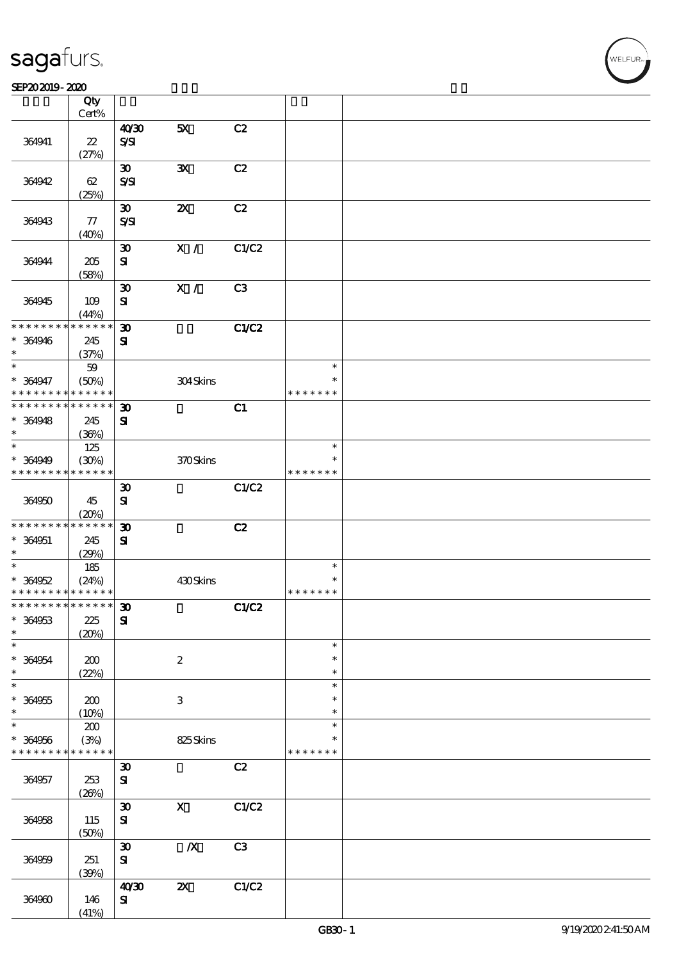$\top$ 

#### $S$ EP202019 - 2020  $S$

|                                            | Qty<br>Cert%         |                             |                           |       |               |  |
|--------------------------------------------|----------------------|-----------------------------|---------------------------|-------|---------------|--|
|                                            |                      | 40'30                       | 5X                        | C2    |               |  |
| 364941                                     | $2\!2$               | $S\!S\!I$                   |                           |       |               |  |
|                                            | (27%)                |                             |                           |       |               |  |
|                                            |                      | $\boldsymbol{\mathfrak{D}}$ | ${\bf x}$                 | C2    |               |  |
| 364942                                     | 62                   | S/SI                        |                           |       |               |  |
|                                            | (25%)                |                             |                           |       |               |  |
|                                            |                      | $\boldsymbol{\mathfrak{D}}$ | $\boldsymbol{\mathsf{z}}$ | C2    |               |  |
| 364943                                     | $77\,$               | $S\mathcal{S}$              |                           |       |               |  |
|                                            | (40%)                |                             |                           |       |               |  |
|                                            |                      | $\boldsymbol{\mathfrak{D}}$ | X /                       | C1/C2 |               |  |
| 364944                                     | $205\,$              | ${\bf s}$                   |                           |       |               |  |
|                                            | (58%)                |                             |                           |       |               |  |
|                                            |                      | $\boldsymbol{\mathfrak{D}}$ | $\mathbf{X}$ /            | C3    |               |  |
| 364945                                     | 109                  | ${\bf s}$                   |                           |       |               |  |
| * * * * * * * *                            | (44%)<br>* * * * * * |                             |                           | C1/C2 |               |  |
| * 364946                                   |                      | $\boldsymbol{\mathfrak{D}}$ |                           |       |               |  |
| $\ast$                                     | 245<br>(37%)         | ${\bf s}$                   |                           |       |               |  |
| $\ast$                                     | 59                   |                             |                           |       | $\ast$        |  |
| * 364947                                   | (50%)                |                             | 304Skins                  |       | $\ast$        |  |
| * * * * * * * *                            | * * * * * *          |                             |                           |       | * * * * * * * |  |
| * * * * * * * * <mark>* * * * * *</mark>   |                      | $\boldsymbol{\mathfrak{D}}$ |                           | C1    |               |  |
| $* 364948$                                 | 245                  | ${\bf s}$                   |                           |       |               |  |
| $\ast$                                     | (36%)                |                             |                           |       |               |  |
| $\ast$                                     | 125                  |                             |                           |       | $\ast$        |  |
| * 364949                                   | (30%)                |                             | 370Skins                  |       | *             |  |
| * * * * * * * *                            | * * * * * *          |                             |                           |       | * * * * * * * |  |
|                                            |                      | $\boldsymbol{\mathfrak{D}}$ |                           | C1/C2 |               |  |
| 364950                                     | 45                   | ${\bf s}$                   |                           |       |               |  |
|                                            | (20%)                |                             |                           |       |               |  |
| * * * * * * * *                            | * * * * * *          | $\boldsymbol{\mathfrak{D}}$ |                           | C2    |               |  |
| $* 364951$                                 | 245                  | ${\bf s}$                   |                           |       |               |  |
| $\ast$                                     | (29%)                |                             |                           |       |               |  |
| $\overline{\ast}$                          | 185                  |                             |                           |       | $\ast$        |  |
| $* 364952$                                 | (24%)                |                             | 430Skins                  |       | $\ast$        |  |
| * * * * * * * * <mark>* * * * * * *</mark> |                      |                             |                           |       | * * * * * * * |  |
| ************** 30                          |                      |                             |                           | C1/C2 |               |  |
| * 364953<br>$\ast$                         | $225\,$              | ${\bf s}$                   |                           |       |               |  |
| $\ast$                                     | (20%)                |                             |                           |       | $\ast$        |  |
| $* 364954$                                 | 200                  |                             | $\boldsymbol{2}$          |       | $\ast$        |  |
| $\ast$                                     | (22%)                |                             |                           |       | $\ast$        |  |
| $\ast$                                     |                      |                             |                           |       | $\ast$        |  |
| $* 364955$                                 | 200                  |                             | $\ensuremath{\mathbf{3}}$ |       | $\ast$        |  |
| $\ast$                                     | (10%)                |                             |                           |       | $\ast$        |  |
| $\ast$                                     | ${\bf Z0}$           |                             |                           |       | $\ast$        |  |
| $* 364956$                                 | (3%)                 |                             | 825Skins                  |       |               |  |
| * * * * * * * *                            | * * * * * *          |                             |                           |       | * * * * * * * |  |
|                                            |                      | $\boldsymbol{\mathfrak{D}}$ |                           | C2    |               |  |
| 364957                                     | 253                  | ${\bf s}$                   |                           |       |               |  |
|                                            | (20%)                |                             |                           |       |               |  |
|                                            |                      | $\boldsymbol{\mathfrak{D}}$ | $\mathbf X$               | C1/C2 |               |  |
| 364958                                     | 115                  | ${\bf s}$                   |                           |       |               |  |
|                                            | (50%)                |                             |                           |       |               |  |
|                                            |                      | $\boldsymbol{\mathfrak{D}}$ | $\boldsymbol{X}$          | C3    |               |  |
| 364959                                     | 251                  | ${\bf S}$                   |                           |       |               |  |
|                                            | (30%)                | 40'30                       | $\boldsymbol{\mathsf{z}}$ | C1/C2 |               |  |
| 364960                                     | 146                  | ${\bf s}$                   |                           |       |               |  |
|                                            | (41%)                |                             |                           |       |               |  |
|                                            |                      |                             |                           |       |               |  |

 $\overline{\mathbf{r}}$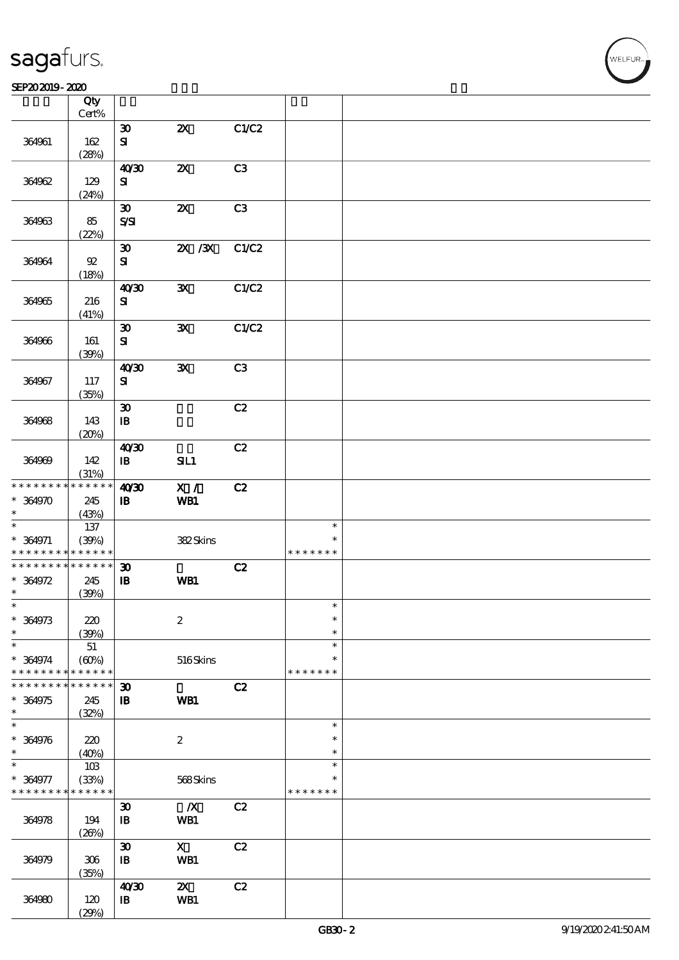#### SEP202019-2020  $\overline{\phantom{a}}$  Qty  $\overline{\phantom{a}}$

|                 | Qty<br>Cert%    |                             |                           |       |               |  |
|-----------------|-----------------|-----------------------------|---------------------------|-------|---------------|--|
|                 |                 |                             |                           |       |               |  |
|                 |                 | $\boldsymbol{\mathfrak{D}}$ | $\boldsymbol{\mathsf{z}}$ | C1/C2 |               |  |
| 364961          | 162             | ${\bf s}$                   |                           |       |               |  |
|                 | (28%)           |                             |                           |       |               |  |
|                 |                 | 40'30                       | $\boldsymbol{\mathsf{z}}$ | C3    |               |  |
|                 |                 |                             |                           |       |               |  |
| 364962          | 129             | ${\bf s}$                   |                           |       |               |  |
|                 | (24%)           |                             |                           |       |               |  |
|                 |                 | $\boldsymbol{\mathfrak{D}}$ | $\boldsymbol{\mathsf{z}}$ | C3    |               |  |
| 364963          | 85              | $S\mathcal{S}$              |                           |       |               |  |
|                 |                 |                             |                           |       |               |  |
|                 | (22%)           |                             |                           |       |               |  |
|                 |                 | $\boldsymbol{\mathfrak{D}}$ | $ZX$ $ZX$                 | C1/C2 |               |  |
| 364964          | $\mathfrak{B}$  | ${\bf s}$                   |                           |       |               |  |
|                 | (18%)           |                             |                           |       |               |  |
|                 |                 | 40'30                       | $\mathbf{x}$              | C1/C2 |               |  |
|                 |                 |                             |                           |       |               |  |
| 364965          | 216             | ${\bf s}$                   |                           |       |               |  |
|                 | (41%)           |                             |                           |       |               |  |
|                 |                 | $\boldsymbol{\mathfrak{D}}$ | $\mathbf{x}$              | C1/C2 |               |  |
| 364966          | 161             | ${\bf s}$                   |                           |       |               |  |
|                 | (39%)           |                             |                           |       |               |  |
|                 |                 | 40'30                       | ${\bf x}$                 | C3    |               |  |
|                 |                 |                             |                           |       |               |  |
| 364967          | 117             | ${\bf s}$                   |                           |       |               |  |
|                 | (35%)           |                             |                           |       |               |  |
|                 |                 | $\boldsymbol{\mathfrak{D}}$ |                           | C2    |               |  |
| 364968          | 143             | $\, {\bf B}$                |                           |       |               |  |
|                 |                 |                             |                           |       |               |  |
|                 | (20%)           |                             |                           |       |               |  |
|                 |                 | 40'30                       |                           | C2    |               |  |
| 364969          | 142             | $\, {\bf I} \! {\bf B} \,$  | SL1                       |       |               |  |
|                 | (31%)           |                             |                           |       |               |  |
| * * * * * * * * | * * * * * *     | 40'30                       | X /                       | C2    |               |  |
|                 |                 |                             |                           |       |               |  |
| $* 364970$      | 245             | $\, {\bf B}$                | WB1                       |       |               |  |
| $\ast$          | (43%)           |                             |                           |       |               |  |
| $\ast$          | 137             |                             |                           |       | $\ast$        |  |
| $* 364971$      | (39%)           |                             | 382Skins                  |       | *             |  |
| * * * * * * * * | * * * * * *     |                             |                           |       | * * * * * * * |  |
| * * * * * * * * | $* * * * * * *$ |                             |                           |       |               |  |
|                 |                 | $\boldsymbol{\mathfrak{D}}$ |                           | C2    |               |  |
| $* 364972$      | 245             | $\, {\bf I} \! {\bf B} \,$  | WB1                       |       |               |  |
| $\ast$          | (30%)           |                             |                           |       |               |  |
| $\ast$          |                 |                             |                           |       | $\star$       |  |
| $* 364973$      | 220             |                             | $\boldsymbol{2}$          |       | $\ast$        |  |
| $\ast$          |                 |                             |                           |       | $\ast$        |  |
| $\ast$          | (30%)           |                             |                           |       | $\ast$        |  |
|                 | $51\,$          |                             |                           |       |               |  |
| $* 364974$      | (60%)           |                             | 516Skins                  |       | $\ast$        |  |
| * * * * * * * * | * * * * * *     |                             |                           |       | * * * * * * * |  |
| * * * * * * *   | * * * * * *     | $\boldsymbol{\mathfrak{D}}$ |                           | C2    |               |  |
| * 364975        | 245             | $\mathbf{B}$                | WB1                       |       |               |  |
| $\ast$          |                 |                             |                           |       |               |  |
| $\ast$          | (32%)           |                             |                           |       |               |  |
|                 |                 |                             |                           |       | $\ast$        |  |
| $* 364976$      | 220             |                             | $\boldsymbol{z}$          |       | $\ast$        |  |
| $\ast$          | (40%)           |                             |                           |       | $\ast$        |  |
| $\ast$          | 10B             |                             |                           |       | $\ast$        |  |
| * 364977        | (33%)           |                             | 568Skins                  |       | *             |  |
|                 | * * * * * *     |                             |                           |       |               |  |
| * * * * * * * * |                 |                             |                           |       | * * * * * * * |  |
|                 |                 | $\boldsymbol{\mathfrak{D}}$ | $\boldsymbol{X}$          | C2    |               |  |
| 364978          | 194             | $\, {\bf I} \! {\bf B} \,$  | WB1                       |       |               |  |
|                 | (20%)           |                             |                           |       |               |  |
|                 |                 | $\boldsymbol{\mathfrak{D}}$ | $\mathbf{X}$              | C2    |               |  |
|                 |                 |                             |                           |       |               |  |
| 364979          | 306             | $\, {\bf I} \! {\bf B} \,$  | WB1                       |       |               |  |
|                 | (35%)           |                             |                           |       |               |  |
|                 |                 | 40'30                       | $\boldsymbol{\mathsf{Z}}$ | C2    |               |  |
| 364980          | 120             | $\mathbf{I}$                | WB1                       |       |               |  |
|                 | (29%)           |                             |                           |       |               |  |
|                 |                 |                             |                           |       |               |  |

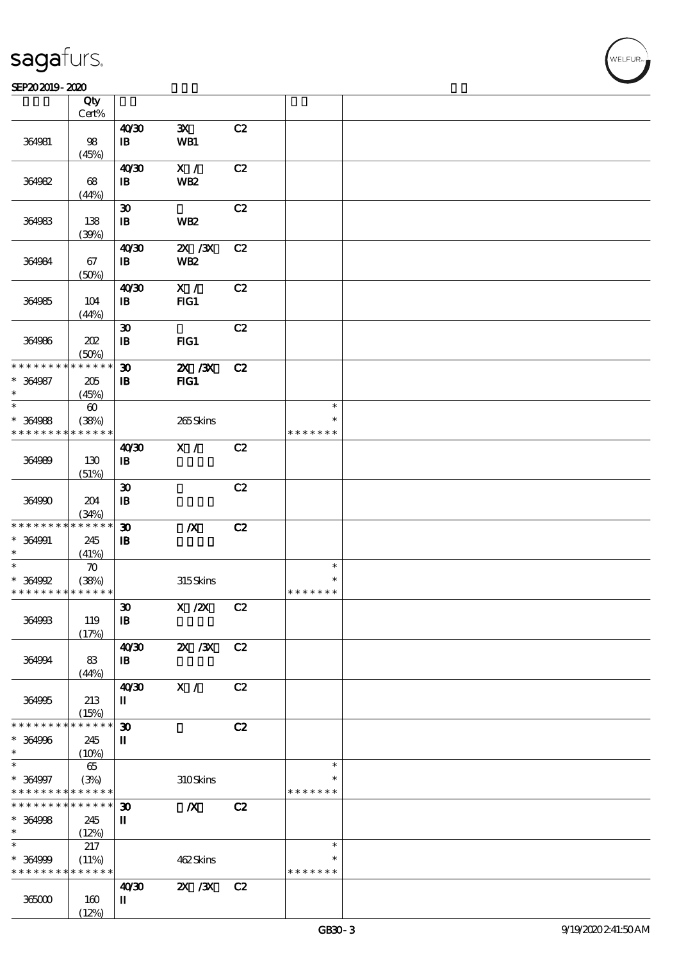#### $S$ EP202019 - 2020  $S$

|                                          | Qty<br>Cert%          |                             |                  |    |               |  |
|------------------------------------------|-----------------------|-----------------------------|------------------|----|---------------|--|
|                                          |                       |                             |                  |    |               |  |
|                                          |                       | 40'30                       | $\mathbf{x}$     | C2 |               |  |
| 364981                                   | 98                    | $\mathbf{B}$                | WB1              |    |               |  |
|                                          | (45%)                 |                             |                  |    |               |  |
|                                          |                       | 40'30                       | X /              | C2 |               |  |
| 364982                                   | 68                    | $\mathbf{B}$                | <b>WB2</b>       |    |               |  |
|                                          | (44%)                 |                             |                  |    |               |  |
|                                          |                       | $\boldsymbol{\mathfrak{D}}$ |                  | C2 |               |  |
| 364983                                   | 138                   | $\mathbf{B}$                | WB <sub>2</sub>  |    |               |  |
|                                          | (30%)                 |                             |                  |    |               |  |
|                                          |                       | 40'30                       | $ZX$ $ZX$        | C2 |               |  |
| 364984                                   | 67                    | $\mathbf{B}$                | <b>WB2</b>       |    |               |  |
|                                          | (50%)                 |                             |                  |    |               |  |
|                                          |                       | 40'30                       | X /              | C2 |               |  |
| 364985                                   | 104                   | $\mathbf{B}$                | $HG1$            |    |               |  |
|                                          | (44%)                 |                             |                  |    |               |  |
|                                          |                       | $\boldsymbol{\mathfrak{D}}$ |                  | C2 |               |  |
| 364986                                   | 202                   | $\mathbf{B}$                | FG1              |    |               |  |
|                                          |                       |                             |                  |    |               |  |
| * * * * * * * *                          | (50%)<br>* * * * * *  |                             |                  |    |               |  |
|                                          |                       | $\boldsymbol{\mathfrak{D}}$ | 2X / 3X          | C2 |               |  |
| $* 364987$                               | 205                   | $\mathbf{B}$                | $HG1$            |    |               |  |
| $\ast$                                   | (45%)                 |                             |                  |    |               |  |
| $\ast$                                   | $\boldsymbol{\omega}$ |                             |                  |    | $\ast$        |  |
| $* 364988$                               | (38%)                 |                             | 265Skins         |    | $\ast$        |  |
| * * * * * * * *                          | * * * * * *           |                             |                  |    | * * * * * * * |  |
|                                          |                       | 40'30                       | X /              | C2 |               |  |
| 364989                                   | 130                   | $\mathbf{I}$                |                  |    |               |  |
|                                          | (51%)                 |                             |                  |    |               |  |
|                                          |                       | $\boldsymbol{\mathfrak{D}}$ |                  | C2 |               |  |
| 364990                                   | 204                   | $\, {\bf I} \! {\bf B} \,$  |                  |    |               |  |
|                                          | (34%)                 |                             |                  |    |               |  |
| * * * * * * * *                          | * * * * * *           | $\boldsymbol{\mathfrak{D}}$ | $\boldsymbol{X}$ | C2 |               |  |
| $* 364991$                               | 245                   | $\mathbf{B}$                |                  |    |               |  |
| $\ast$                                   | (41%)                 |                             |                  |    |               |  |
| $\ast$                                   | $\boldsymbol{\pi}$    |                             |                  |    | $\ast$        |  |
| $* 364992$                               | (38%)                 |                             | 315Skins         |    | $\ast$        |  |
| * * * * * * * * * * * * * *              |                       |                             |                  |    | * * * * * * * |  |
|                                          |                       | $\pmb{\mathfrak{V}}$        | X / ZX C2        |    |               |  |
| 364993                                   | 119                   | $\mathbf{B}$                |                  |    |               |  |
|                                          | (17%)                 |                             |                  |    |               |  |
|                                          |                       | 40'30                       | $X \, X$         | C2 |               |  |
| 364994                                   | 83                    | $\mathbf{B}$                |                  |    |               |  |
|                                          | (44%)                 |                             |                  |    |               |  |
|                                          |                       | 40'30                       | X /              | C2 |               |  |
|                                          | 213                   | П                           |                  |    |               |  |
| 364995                                   |                       |                             |                  |    |               |  |
| * * * * * * * *                          | (15%)<br>* * * * * *  |                             |                  |    |               |  |
|                                          |                       | $\boldsymbol{\mathfrak{D}}$ |                  | C2 |               |  |
| $* 364996$<br>$\ast$                     | 245                   | П                           |                  |    |               |  |
| $\ast$                                   | (10%)                 |                             |                  |    |               |  |
|                                          | 65                    |                             |                  |    | $\ast$        |  |
| $* 364997$                               | (3%)                  |                             | 310Skins         |    | ∗             |  |
| * * * * * * * * <mark>* * * * * *</mark> |                       |                             |                  |    | * * * * * * * |  |
| * * * * * * * *                          | $******$              | $\boldsymbol{\mathfrak{D}}$ | $\boldsymbol{X}$ | C2 |               |  |
| $* 364998$                               | 245                   | $\mathbf{I}$                |                  |    |               |  |
| $\ast$                                   | (12%)                 |                             |                  |    |               |  |
| $\ast$                                   | 217                   |                             |                  |    | $\ast$        |  |
| $* 364999$                               | (11%)                 |                             | 462Skins         |    | $\ast$        |  |
| * * * * * * * *                          | * * * * * *           |                             |                  |    | * * * * * * * |  |
|                                          |                       | 40'30                       | $X \, X$         | C2 |               |  |
| 365000                                   | 160                   | П                           |                  |    |               |  |
|                                          | (12%)                 |                             |                  |    |               |  |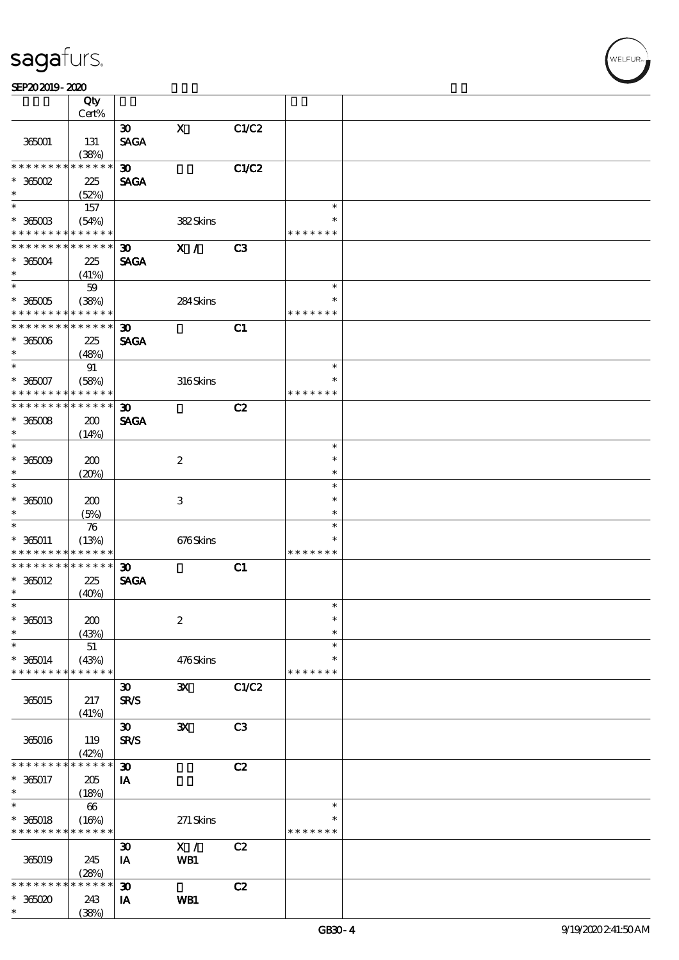#### $S$ EP202019 - 2020  $S$

|                                   | Qty<br>Cert%               |                                            |                  |       |                         |  |
|-----------------------------------|----------------------------|--------------------------------------------|------------------|-------|-------------------------|--|
|                                   |                            |                                            | $\mathbf X$      |       |                         |  |
| 365001                            | 131<br>(38%)               | $\boldsymbol{\mathfrak{D}}$<br><b>SAGA</b> |                  | C1/C2 |                         |  |
| * * * * * * * *                   | * * * * * *                | $\boldsymbol{\mathfrak{D}}$                |                  | C1/C2 |                         |  |
|                                   |                            |                                            |                  |       |                         |  |
| $*$ 365002<br>$\ast$              | 225<br>(52%)               | <b>SAGA</b>                                |                  |       |                         |  |
| $\overline{\ast}$                 | 157                        |                                            |                  |       | $\ast$                  |  |
| $^\ast$ 365003<br>* * * * * * * * | (54%)<br>* * * * * *       |                                            | 382Skins         |       | ∗<br>* * * * * * *      |  |
| * * * * * * * *                   | * * * * * *                | $\boldsymbol{\mathfrak{D}}$                | X /              | C3    |                         |  |
| $* 36004$<br>$\ast$               | 225<br>(41%)               | <b>SAGA</b>                                |                  |       |                         |  |
| $\overline{\ast}$                 | 59                         |                                            |                  |       | $\ast$                  |  |
|                                   |                            |                                            |                  |       | $\ast$                  |  |
| $^\ast$ 365005<br>* * * * * * * * | (38%)<br>* * * * * *       |                                            | 284Skins         |       | * * * * * * *           |  |
| * * * * * * * *                   | * * * * * *                |                                            |                  |       |                         |  |
| $^\ast$ 365006<br>$\ast$          | 225<br>(48%)               | $\boldsymbol{\mathfrak{D}}$<br><b>SAGA</b> |                  | C1    |                         |  |
| $\ast$                            | 91                         |                                            |                  |       | $\ast$                  |  |
| $* 36007$<br>* * * * * * * *      | (58%)<br>* * * * * *       |                                            | 316Skins         |       | $\ast$<br>* * * * * * * |  |
| * * * * * * * *                   | $\ast\ast\ast\ast\ast\ast$ | $\boldsymbol{\mathfrak{D}}$                |                  | C2    |                         |  |
|                                   |                            | <b>SAGA</b>                                |                  |       |                         |  |
| $*36008$<br>$\ast$                | 200                        |                                            |                  |       |                         |  |
| $\ast$                            | (14%)                      |                                            |                  |       |                         |  |
|                                   |                            |                                            |                  |       | $\ast$                  |  |
| $^*$ 365009 $\,$                  | 200                        |                                            | $\boldsymbol{2}$ |       | $\ast$                  |  |
| $\ast$                            | (20%)                      |                                            |                  |       | $\ast$                  |  |
| $\ast$                            |                            |                                            |                  |       | $\ast$                  |  |
| $*36000$                          | 200                        |                                            | 3                |       | $\ast$                  |  |
| $\ast$                            | (5%)                       |                                            |                  |       | $\ast$                  |  |
| $\ast$                            | 76                         |                                            |                  |       | $\ast$                  |  |
| $* 365011$                        | (13%)                      |                                            | 676Skins         |       | $\ast$                  |  |
| * * * * * * * *                   | * * * * * *                |                                            |                  |       | * * * * * * *           |  |
| * * * * * * * *                   | * * * * * *                | $\boldsymbol{\mathfrak{D}}$                |                  | C1    |                         |  |
| $*36012$                          | 225                        | <b>SAGA</b>                                |                  |       |                         |  |
| $\ast$                            | (40%)                      |                                            |                  |       |                         |  |
| $\ast$                            |                            |                                            |                  |       | $\ast$                  |  |
| $* 36013$                         | 200                        |                                            | $\boldsymbol{2}$ |       | $\ast$                  |  |
| $\ast$                            | (43%)                      |                                            |                  |       | $\ast$                  |  |
| $\ast$                            | 51                         |                                            |                  |       | $\ast$                  |  |
| $* 36014$                         | (43%)                      |                                            | 476Skins         |       | ∗                       |  |
| * * * * * * * *                   | * * * * * *                |                                            |                  |       | * * * * * * *           |  |
|                                   |                            | $\boldsymbol{\mathfrak{D}}$                | $\mathbf{x}$     | C1/C2 |                         |  |
| 365015                            | 217                        | <b>SR/S</b>                                |                  |       |                         |  |
|                                   |                            |                                            |                  |       |                         |  |
|                                   | (41%)                      | $\boldsymbol{\mathfrak{D}}$                |                  | C3    |                         |  |
|                                   |                            |                                            | $\mathbf{x}$     |       |                         |  |
| 365016                            | 119                        | <b>SR/S</b>                                |                  |       |                         |  |
|                                   | (42%)                      |                                            |                  |       |                         |  |
| * * * * * *                       | $* * * * * *$              | $\boldsymbol{\mathfrak{D}}$                |                  | C2    |                         |  |
| $* 360017$                        | 205                        | IA                                         |                  |       |                         |  |
| $\ast$                            | (18%)                      |                                            |                  |       |                         |  |
| $\ast$                            | 66                         |                                            |                  |       | $\ast$                  |  |
| $* 360018$                        | (16%)                      |                                            | 271 Skins        |       |                         |  |
| * * * * * * * *                   | * * * * * *                |                                            |                  |       | * * * * * * *           |  |
|                                   |                            | $\boldsymbol{\mathfrak{D}}$                | $\mathbf{X}$ /   | C2    |                         |  |
| 365019                            | 245                        | IA                                         | WB1              |       |                         |  |
|                                   | (28%)                      |                                            |                  |       |                         |  |
| * * * * * *                       | * * * * * *                | $\boldsymbol{\mathfrak{D}}$                |                  | C2    |                         |  |
| $* 36000$                         | 243                        | IA                                         | WB1              |       |                         |  |
| $\ast$                            | (38%)                      |                                            |                  |       |                         |  |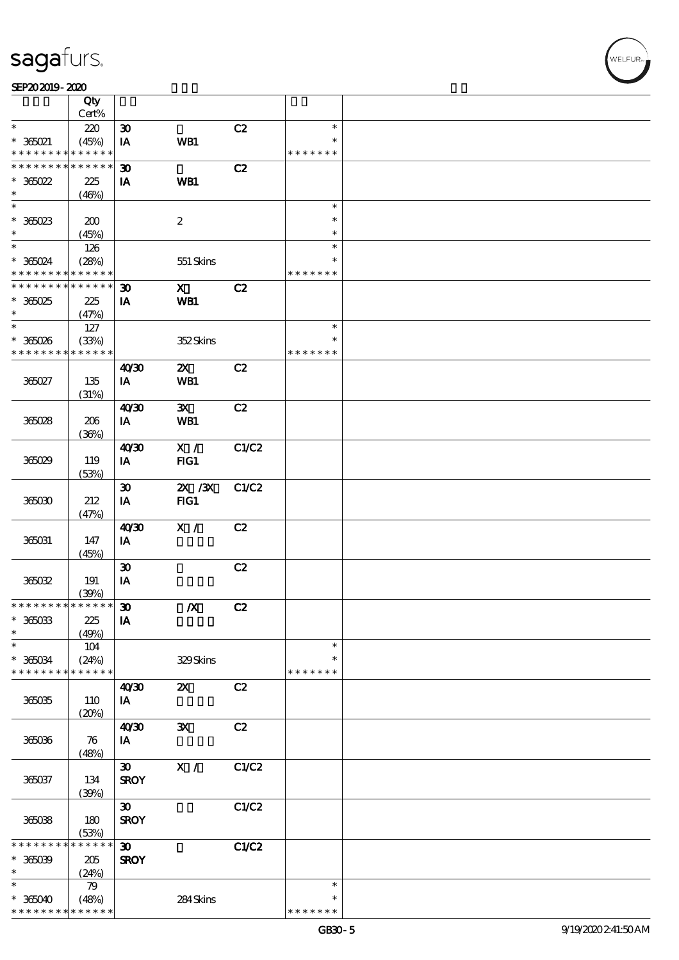#### SEP202019-2020

|                               | Qty<br>Cert%         |                             |                           |       |                         |  |
|-------------------------------|----------------------|-----------------------------|---------------------------|-------|-------------------------|--|
| $\ast$                        |                      |                             |                           |       | $\ast$                  |  |
|                               | 220                  | $\boldsymbol{\mathfrak{D}}$ |                           | C2    |                         |  |
| $*$ 365021<br>* * * * * * * * | (45%)<br>* * * * * * | IA                          | WB1                       |       | $\ast$<br>* * * * * * * |  |
| * * * * * * * *               | * * * * * *          | $\boldsymbol{\mathfrak{D}}$ |                           | C2    |                         |  |
| $* 36022$                     | 225                  | IA                          | WB1                       |       |                         |  |
| $\ast$                        | (46%)                |                             |                           |       |                         |  |
| $\overline{\phantom{0}}$      |                      |                             |                           |       | $\ast$                  |  |
|                               |                      |                             |                           |       |                         |  |
| $* 36023$                     | 200                  |                             | $\boldsymbol{2}$          |       | $\ast$                  |  |
| $\ast$                        | (45%)                |                             |                           |       | $\ast$                  |  |
| $*$                           | 126                  |                             |                           |       | $\ast$                  |  |
| $*365024$                     | (28%)                |                             | 551 Skins                 |       | $\ast$                  |  |
| * * * * * * * *               | * * * * * *          |                             |                           |       | * * * * * * *           |  |
| * * * * * * * *               | * * * * * *          | $\boldsymbol{\mathfrak{D}}$ | $\mathbf{x}$              | C2    |                         |  |
| $*36025$                      | 225                  | IA                          | WB1                       |       |                         |  |
| $\ast$                        | (47%)                |                             |                           |       |                         |  |
| $\ast$                        | 127                  |                             |                           |       | $\ast$                  |  |
| $*365026$                     | (33%)                |                             | 352Skins                  |       | $\ast$                  |  |
| * * * * * * * *               | * * * * * *          |                             |                           |       | * * * * * * *           |  |
|                               |                      | 40'30                       | $\boldsymbol{\mathsf{Z}}$ | C2    |                         |  |
| 365027                        | 135                  | IA                          | <b>WB1</b>                |       |                         |  |
|                               | (31%)                |                             |                           |       |                         |  |
|                               |                      | 40'30                       | $\mathbf{x}$              | C2    |                         |  |
|                               |                      |                             |                           |       |                         |  |
| 36028                         | 206                  | IA                          | WB1                       |       |                         |  |
|                               | (36%)                |                             |                           |       |                         |  |
|                               |                      | 4030                        | X /                       | C1/C2 |                         |  |
| 365029                        | 119                  | IA                          | FG1                       |       |                         |  |
|                               | (53%)                |                             |                           |       |                         |  |
|                               |                      | $\boldsymbol{\mathfrak{D}}$ | 2X / 3X                   | C1/C2 |                         |  |
| 365030                        | 212                  | IA                          | FIG1                      |       |                         |  |
|                               | (47%)                |                             |                           |       |                         |  |
|                               |                      | 40'30                       | X /                       | C2    |                         |  |
| 365031                        | 147                  | IA                          |                           |       |                         |  |
|                               | (45%)                |                             |                           |       |                         |  |
|                               |                      | $\boldsymbol{\mathfrak{D}}$ |                           | C2    |                         |  |
| 365032                        | 191                  | IA                          |                           |       |                         |  |
|                               | (30%)                |                             |                           |       |                         |  |
| * * * * * * * * * * * * * * * |                      | $\boldsymbol{\mathfrak{D}}$ | $\boldsymbol{X}$          | C2    |                         |  |
| $* 36003$                     |                      |                             |                           |       |                         |  |
|                               | 225                  | IA                          |                           |       |                         |  |
| $\ast$<br>$\ast$              | (49%)                |                             |                           |       | $\ast$                  |  |
|                               | 104                  |                             |                           |       |                         |  |
| $* 36004$                     | (24%)                |                             | 329Skins                  |       | $\ast$                  |  |
| * * * * * * * *               | * * * * * *          |                             |                           |       | * * * * * * *           |  |
|                               |                      | 40'30                       | $\boldsymbol{\mathsf{z}}$ | C2    |                         |  |
| 365035                        | 110                  | IA                          |                           |       |                         |  |
|                               | (20%)                |                             |                           |       |                         |  |
|                               |                      | 40'30                       | $\mathbf{x}$              | C2    |                         |  |
| 365036                        | 76                   | IA                          |                           |       |                         |  |
|                               | (48%)                |                             |                           |       |                         |  |
|                               |                      | $\boldsymbol{\mathfrak{D}}$ | $\mathbf{X}$ /            | C1/C2 |                         |  |
| 365037                        | 134                  | <b>SROY</b>                 |                           |       |                         |  |
|                               | (30%)                |                             |                           |       |                         |  |
|                               |                      | $\boldsymbol{\mathfrak{D}}$ |                           | C1/C2 |                         |  |
|                               |                      |                             |                           |       |                         |  |
| 365038                        | 180<br>(53%)         | <b>SROY</b>                 |                           |       |                         |  |
| * * * * * * *                 | * * * * * *          |                             |                           |       |                         |  |
|                               |                      | $\boldsymbol{\mathfrak{D}}$ |                           | C1/C2 |                         |  |
| $* 36009$                     | 205                  | <b>SROY</b>                 |                           |       |                         |  |
| $\ast$                        | (24%)                |                             |                           |       |                         |  |
| $\ast$                        | 79                   |                             |                           |       | $\ast$                  |  |
| $* 365040$                    | (48%)                |                             | 284Skins                  |       | ∗                       |  |
| * * * * * * * *               | * * * * * *          |                             |                           |       | * * * * * * *           |  |

,<br>WELFUR: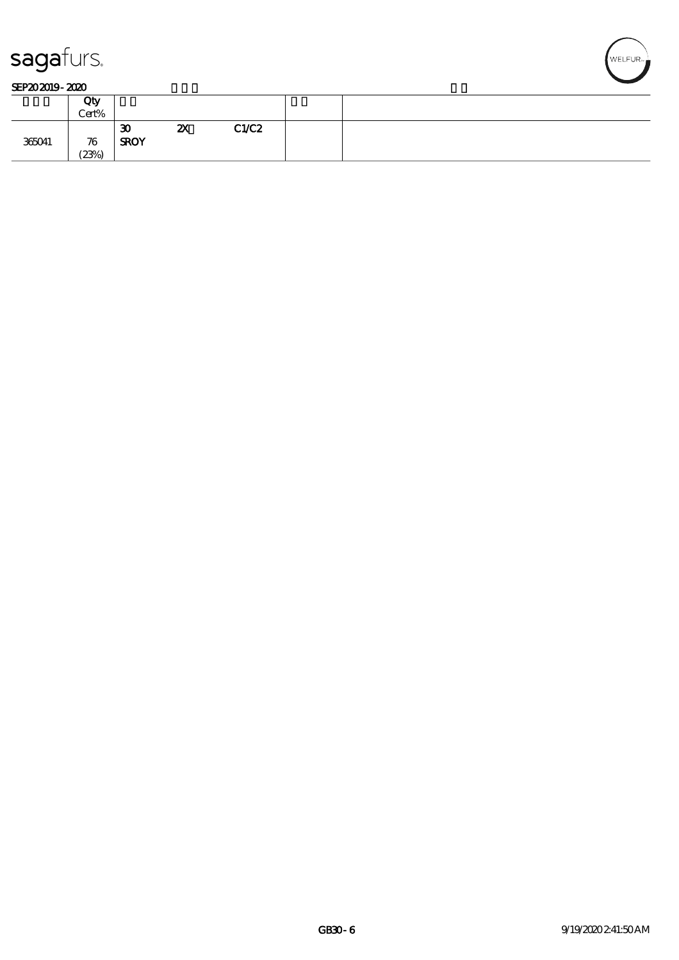

|        | Qty<br>Cert% |                                            |                           |       |
|--------|--------------|--------------------------------------------|---------------------------|-------|
| 365041 | 76<br>(23%)  | $\boldsymbol{\mathfrak{D}}$<br><b>SROY</b> | $\boldsymbol{\mathsf{z}}$ | C1/C2 |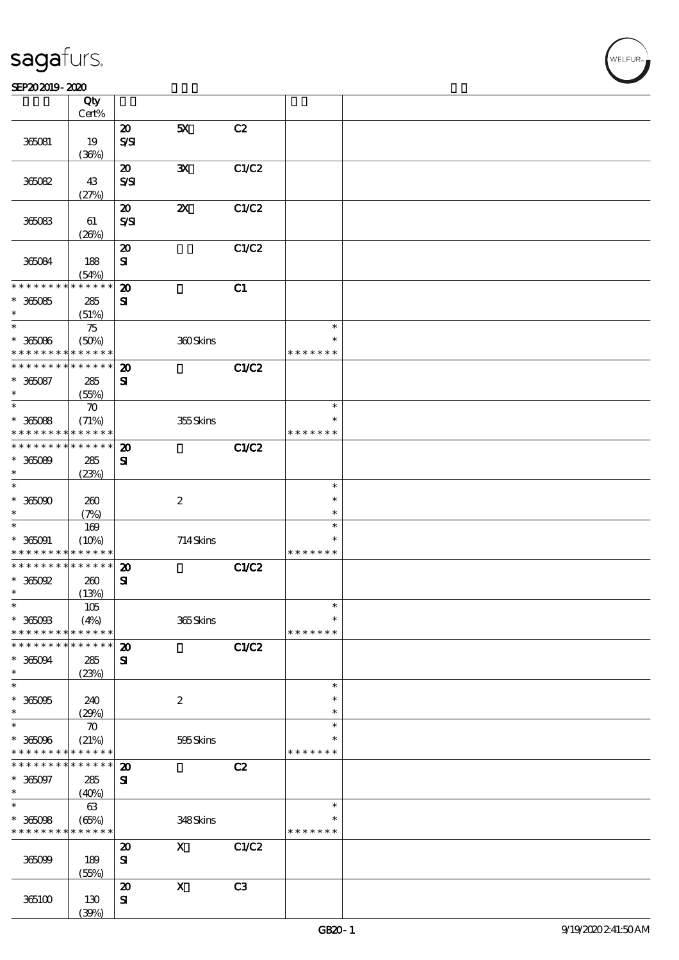### SEP202019-2020

|                              | Qty<br>Cert%         |                                              |                           |                |                         |  |
|------------------------------|----------------------|----------------------------------------------|---------------------------|----------------|-------------------------|--|
|                              |                      | $\boldsymbol{\mathfrak{D}}$                  | 5X                        | C2             |                         |  |
| 365081                       | 19                   | $S\mathcal{S}$                               |                           |                |                         |  |
|                              | (36%)                |                                              |                           |                |                         |  |
| 36082                        | 43                   | $\boldsymbol{\mathsf{20}}$<br>$S\mathcal{S}$ | ${\bf X}$                 | C1/C2          |                         |  |
|                              | (27%)                |                                              |                           |                |                         |  |
| 365083                       | 61                   | $\boldsymbol{\mathbf{z}}$<br>$S\mathcal{S}$  | $\boldsymbol{\mathsf{z}}$ | C1/C2          |                         |  |
|                              | (20%)                |                                              |                           |                |                         |  |
| 365084                       | 188<br>(54%)         | $\boldsymbol{\mathsf{20}}$<br>$\mathbf{S}$   |                           | C1/C2          |                         |  |
| * * * * * * * *              | * * * * * *          | $\boldsymbol{\mathsf{20}}$                   |                           | C1             |                         |  |
| $* 36085$                    | 285                  | ${\bf s}$                                    |                           |                |                         |  |
| *                            | (51%)                |                                              |                           |                |                         |  |
| $\ast$                       | $75\,$               |                                              |                           |                | $\ast$                  |  |
| $* 36006$<br>* * * * * * * * | (50%)<br>* * * * * * |                                              | 360Skins                  |                | $\ast$<br>* * * * * * * |  |
| * * * * * * * *              | $* * * * * * *$      |                                              |                           |                |                         |  |
|                              |                      | $\boldsymbol{\mathfrak{D}}$                  |                           | C1/C2          |                         |  |
| $* 365087$<br>$\ast$         | 285<br>(55%)         | ${\bf s}$                                    |                           |                |                         |  |
| $\ast$                       | $\boldsymbol{\pi}$   |                                              |                           |                | $\ast$                  |  |
| $* 36088$                    | (71%)                |                                              | 355Skins                  |                | $\ast$                  |  |
| * * * * * * * *              | * * * * * *          |                                              |                           |                | * * * * * * *           |  |
| * * * * * * * *              | ******               | $\boldsymbol{\mathsf{20}}$                   |                           | C1/C2          |                         |  |
| $* 36000$                    | 285                  | ${\bf s}$                                    |                           |                |                         |  |
| $\ast$                       | (23%)                |                                              |                           |                |                         |  |
| $\ast$                       |                      |                                              |                           |                | $\ast$                  |  |
| $* 365000$                   | 260                  |                                              | $\boldsymbol{2}$          |                | $\ast$                  |  |
| *                            | (7%)                 |                                              |                           |                | $\ast$                  |  |
| $\ast$                       | $169$                |                                              |                           |                | $\ast$                  |  |
| $* 36001$                    |                      |                                              | 714Skins                  |                | $\ast$                  |  |
| * * * * * * * *              | (10%)<br>* * * * * * |                                              |                           |                | * * * * * * *           |  |
| * * * * * * * *              | $* * * * * * *$      | $\boldsymbol{\mathsf{20}}$                   |                           |                |                         |  |
|                              |                      |                                              |                           | C1/C2          |                         |  |
| $*$ 365092<br>$\ast$         | 260                  | ${\bf s}$                                    |                           |                |                         |  |
| $\ast$                       | (13%)                |                                              |                           |                | $\ast$                  |  |
|                              | $105$                |                                              |                           |                |                         |  |
| $* 3600B$                    | (4%)                 |                                              | 365Skins                  |                | $\ast$                  |  |
| * * * * * * * *              | * * * * * *          |                                              |                           |                | * * * * * * *           |  |
| * * * * * * *                | * * * * * *          | $\boldsymbol{\mathbf{z}}$                    |                           | C1/C2          |                         |  |
| $*365094$                    | 285                  | ${\bf s}$                                    |                           |                |                         |  |
| $\ast$                       | (23%)                |                                              |                           |                |                         |  |
| $\ast$                       |                      |                                              |                           |                | $\ast$                  |  |
| $* 36005$                    | 240                  |                                              | $\boldsymbol{2}$          |                | $\ast$                  |  |
| $\ast$                       | (29%)                |                                              |                           |                | $\ast$                  |  |
| $\ast$                       | $\boldsymbol{\pi}$   |                                              |                           |                | $\ast$                  |  |
| $* 36006$                    | (21%)                |                                              | 595Skins                  |                | *                       |  |
| * * * * * * * *              | * * * * * *          |                                              |                           |                | * * * * * * *           |  |
| * * * * * * * *              | * * * * * *          | $\boldsymbol{\mathbf{z}}$                    |                           | C2             |                         |  |
| $* 365097$                   | 285                  | ${\bf s}$                                    |                           |                |                         |  |
| $\ast$                       | (40%)                |                                              |                           |                |                         |  |
| $\overline{\ast}$            | 63                   |                                              |                           |                | $\ast$                  |  |
| $* 365098$                   | (65%)                |                                              | 348Skins                  |                | *                       |  |
| * * * * * * * *              | * * * * * *          |                                              |                           |                | * * * * * * *           |  |
|                              |                      | $\boldsymbol{\mathfrak{D}}$                  | $\mathbf{X}$              | C1/C2          |                         |  |
| 36099                        | 189                  | ${\bf S}$                                    |                           |                |                         |  |
|                              | (55%)                |                                              |                           |                |                         |  |
|                              |                      | $\boldsymbol{\mathbf{z}}$                    | $\boldsymbol{\mathrm{X}}$ | C <sub>3</sub> |                         |  |
| 365100                       | 130                  | ${\bf s}$                                    |                           |                |                         |  |
|                              | (30%)                |                                              |                           |                |                         |  |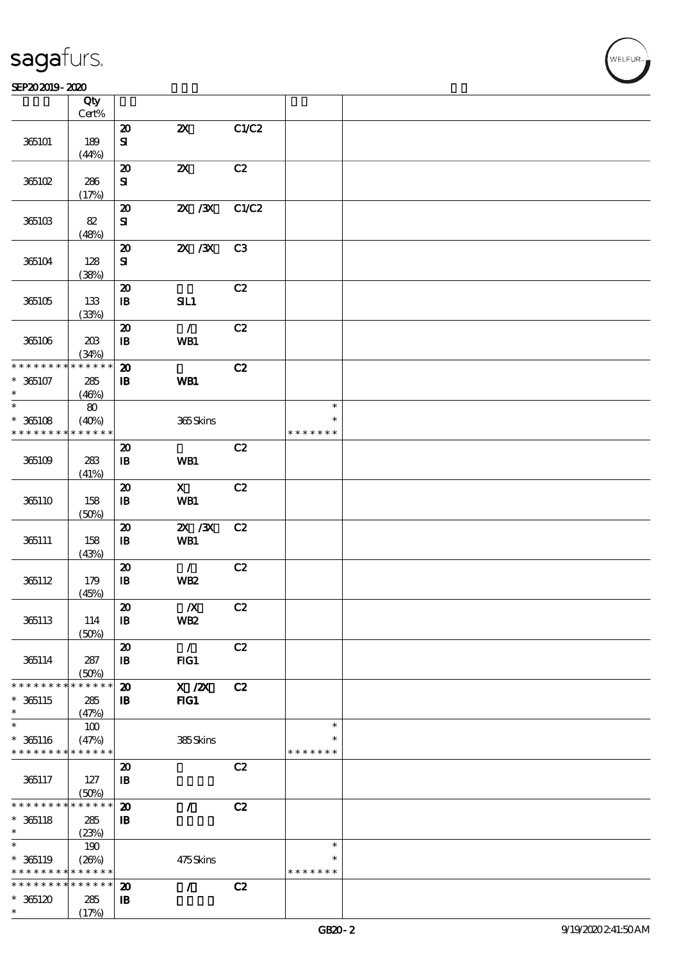#### SEP202019-2020

|                               | Qty<br>Cert%         |                                            |                           |       |                         |  |
|-------------------------------|----------------------|--------------------------------------------|---------------------------|-------|-------------------------|--|
|                               |                      |                                            |                           |       |                         |  |
| 365101                        | 189                  | $\boldsymbol{\mathbf{z}}$<br>${\bf S}$     | $\boldsymbol{\mathsf{Z}}$ | C1/C2 |                         |  |
|                               | (44%)                |                                            |                           |       |                         |  |
| 365102                        | 286                  | $\boldsymbol{\mathfrak{D}}$<br>${\bf S}$   | $\boldsymbol{\mathsf{z}}$ | C2    |                         |  |
|                               | (17%)                |                                            |                           |       |                         |  |
| 365103                        | 82                   | $\pmb{\mathcal{X}}$<br>${\bf S\!I}$        | $X \, X$                  | C1/C2 |                         |  |
|                               | (48%)                |                                            |                           |       |                         |  |
| 365104                        | 128<br>(38%)         | $\boldsymbol{\mathsf{20}}$<br>${\bf S}$    | $ZX$ $ZX$                 | C3    |                         |  |
|                               |                      | $\boldsymbol{\boldsymbol{\lambda}}$        |                           | C2    |                         |  |
| 365105                        | 133<br>(33%)         | $\mathbf{B}$                               | SL1                       |       |                         |  |
|                               |                      | $\boldsymbol{\mathbf{z}}$                  | $\mathcal{L}$             | C2    |                         |  |
| 365106                        | 208<br>(34%)         | $\mathbf{B}$                               | WB1                       |       |                         |  |
| * * * * * * * *               | * * * * * *          | $\boldsymbol{\mathfrak{D}}$                |                           | C2    |                         |  |
| $*365107$<br>$\ast$           | 285<br>(46%)         | $\, {\bf I} \! {\bf B} \,$                 | WB1                       |       |                         |  |
| $\ast$                        | $\bf{80}$            |                                            |                           |       | $\ast$                  |  |
| $*365108$                     | (40%)                |                                            | 365Skins                  |       | $\ast$                  |  |
| * * * * * * * *               | * * * * * *          |                                            |                           |       | * * * * * * *           |  |
| 365109                        | 283                  | $\boldsymbol{\mathsf{20}}$<br>$\mathbf{B}$ | WB1                       | C2    |                         |  |
|                               | (41%)                |                                            |                           |       |                         |  |
| 365110                        | 158<br>(50%)         | $\boldsymbol{\mathsf{20}}$<br>$\mathbf{B}$ | $\mathbf X$<br>WB1        | C2    |                         |  |
|                               |                      | $\boldsymbol{\mathsf{20}}$                 | 2X / 3X                   | C2    |                         |  |
| 365111                        | 158<br>(43%)         | $\mathbf{B}$                               | WB1                       |       |                         |  |
|                               |                      | $\pmb{\mathcal{Z}}$                        | $\mathcal{L}$             | C2    |                         |  |
| 365112                        | 179<br>(45%)         | $\mathbf{B}$                               | WB <sub>2</sub>           |       |                         |  |
|                               |                      | $\boldsymbol{\mathsf{20}}$                 | $\pmb{X}$                 | C2    |                         |  |
| 365113                        | 114<br>(50%)         | $\mathbf{B}$                               | <b>WB2</b>                |       |                         |  |
|                               |                      | $\boldsymbol{\mathbf{z}}$                  | $\mathcal{L}$             | C2    |                         |  |
| 365114                        | 287<br>(50%)         | $\mathbf{B}$                               | $HG1$                     |       |                         |  |
| * * * * * * *                 | * * * * * *          | $\boldsymbol{\mathfrak{D}}$                | $X$ / $ZX$                | C2    |                         |  |
| $*365115$<br>$\ast$           | 285<br>(47%)         | $\mathbf{B}$                               | $HG1$                     |       |                         |  |
| $\ast$                        | 100                  |                                            |                           |       | $\ast$                  |  |
| $* 365116$<br>* * * * * * * * | (47%)<br>* * * * * * |                                            | 385Skins                  |       | $\ast$<br>* * * * * * * |  |
|                               |                      | $\boldsymbol{\mathfrak{D}}$                |                           | C2    |                         |  |
| 365117                        | 127<br>(50%)         | $\mathbf{B}$                               |                           |       |                         |  |
| * * * * * * * *               | * * * * * *          | $\boldsymbol{\mathfrak{D}}$                | Z.                        | C2    |                         |  |
| $* 365118$                    | 285                  | $\mathbf{B}$                               |                           |       |                         |  |
| $\ast$                        | (23%)                |                                            |                           |       |                         |  |
| $\ast$                        | 190                  |                                            |                           |       | $\ast$                  |  |
| $* 365119$                    | (20%)                |                                            | 475Skins                  |       | $\ast$                  |  |
| * * * * * * * *               | * * * * * *          |                                            |                           |       | * * * * * * *           |  |
| * * * * * * * *               | ******               | $\boldsymbol{\mathbf{z}}$                  | $\mathcal{L}$             | C2    |                         |  |
| $*365120$                     | 285                  | $\mathbf{B}$                               |                           |       |                         |  |
| $\ast$                        | (17%)                |                                            |                           |       |                         |  |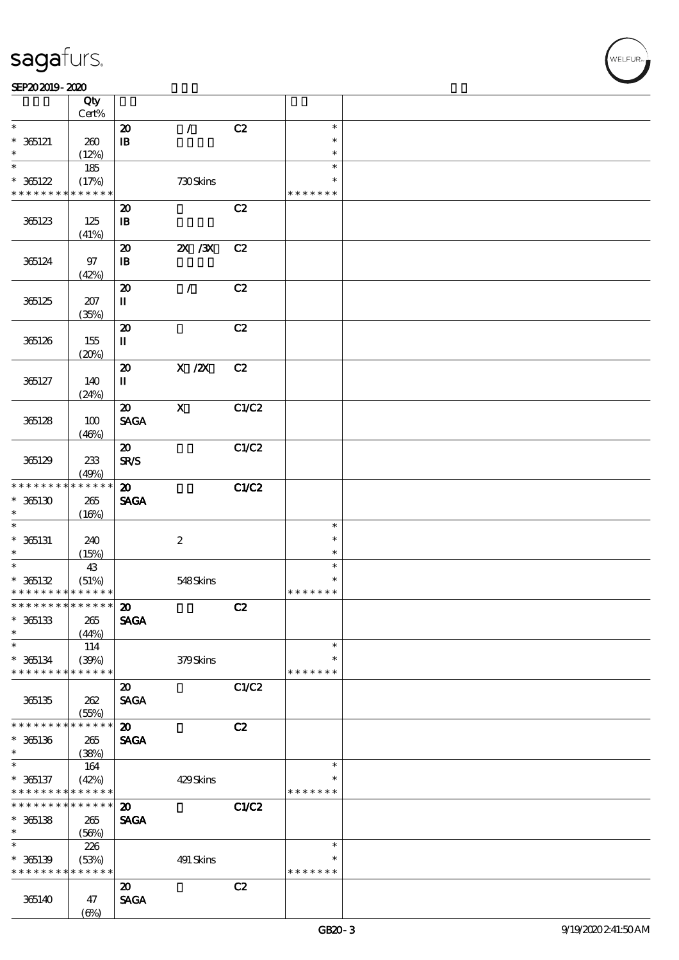|                                            | Qty<br>Cert%    |                             |                  |       |               |  |
|--------------------------------------------|-----------------|-----------------------------|------------------|-------|---------------|--|
| $\ast$                                     |                 | $\boldsymbol{\mathsf{20}}$  | $\mathcal{L}$    | C2    | $\ast$        |  |
|                                            |                 |                             |                  |       | $\ast$        |  |
| $* 365121$                                 | 260             | $\, {\bf I} \! {\bf B} \,$  |                  |       |               |  |
|                                            | (12%)           |                             |                  |       | $\ast$        |  |
| $\overline{\ast}$                          | 185             |                             |                  |       | $\ast$        |  |
| $*365122$                                  | (17%)           |                             | 730Skins         |       | $\ast$        |  |
| * * * * * * * *                            | $* * * * * * *$ |                             |                  |       | * * * * * * * |  |
|                                            |                 | $\boldsymbol{\mathbf{z}}$   |                  | C2    |               |  |
|                                            |                 |                             |                  |       |               |  |
| 365123                                     | 125             | $\mathbf{I}$                |                  |       |               |  |
|                                            | (41%)           |                             |                  |       |               |  |
|                                            |                 | $\boldsymbol{\mathsf{20}}$  | $X \, X$         | C2    |               |  |
| 365124                                     | 97              | $\, {\bf I} \! {\bf B} \,$  |                  |       |               |  |
|                                            | (42%)           |                             |                  |       |               |  |
|                                            |                 | $\boldsymbol{\mathfrak{D}}$ | $\mathcal{L}$    | C2    |               |  |
| 365125                                     | 207             | $\mathbf{I}$                |                  |       |               |  |
|                                            |                 |                             |                  |       |               |  |
|                                            | (35%)           |                             |                  |       |               |  |
|                                            |                 | $\boldsymbol{\mathsf{20}}$  |                  | C2    |               |  |
| 365126                                     | 155             | $\mathbf u$                 |                  |       |               |  |
|                                            | (20%)           |                             |                  |       |               |  |
|                                            |                 | $\boldsymbol{\mathbf{z}}$   | $X$ / $ZX$       | C2    |               |  |
| 365127                                     | 140             | $\mathbf I$                 |                  |       |               |  |
|                                            | (24%)           |                             |                  |       |               |  |
|                                            |                 |                             | $\mathbf{x}$     | C1/C2 |               |  |
|                                            |                 | $\boldsymbol{\mathfrak{D}}$ |                  |       |               |  |
| 365128                                     | 100             | <b>SAGA</b>                 |                  |       |               |  |
|                                            | (46%)           |                             |                  |       |               |  |
|                                            |                 | $\boldsymbol{\mathbf{z}}$   |                  | C1/C2 |               |  |
| 365129                                     | 233             | <b>SR/S</b>                 |                  |       |               |  |
|                                            | (49%)           |                             |                  |       |               |  |
| * * * * * * * *                            | * * * * * *     | $\boldsymbol{\mathfrak{D}}$ |                  | C1/C2 |               |  |
|                                            |                 |                             |                  |       |               |  |
| $*365130$                                  | $265\,$         | <b>SAGA</b>                 |                  |       |               |  |
| $\ast$                                     | (16%)           |                             |                  |       |               |  |
| $\ast$                                     |                 |                             |                  |       | $\ast$        |  |
| $* 365131$                                 | 240             |                             | $\boldsymbol{2}$ |       | $\ast$        |  |
| $\ast$                                     | (15%)           |                             |                  |       | $\ast$        |  |
| $\overline{\phantom{0}}$                   | 43              |                             |                  |       | $\ast$        |  |
| $* 365132$                                 | (51%)           |                             | 548Skins         |       | $\ast$        |  |
| * * * * * * * * <mark>* * * * * * *</mark> |                 |                             |                  |       | * * * * * * * |  |
|                                            |                 |                             |                  |       |               |  |
| *************** 20                         |                 |                             |                  | C2    |               |  |
| $* 365133$                                 | 265             | <b>SAGA</b>                 |                  |       |               |  |
| $\ast$                                     | (44%)           |                             |                  |       |               |  |
| $\ast$                                     | 114             |                             |                  |       | $\ast$        |  |
| $* 365134$                                 | (30%)           |                             | 379Skins         |       | $\ast$        |  |
| * * * * * * * *                            | * * * * * *     |                             |                  |       | * * * * * * * |  |
|                                            |                 | $\boldsymbol{\mathfrak{D}}$ |                  | C1/C2 |               |  |
|                                            |                 |                             |                  |       |               |  |
| 365135                                     | 262             | <b>SAGA</b>                 |                  |       |               |  |
|                                            | (55%)           |                             |                  |       |               |  |
| * * * * * * *                              | * * * * * *     | $\boldsymbol{\mathbf{z}}$   |                  | C2    |               |  |
| $*365136$                                  | 265             | <b>SAGA</b>                 |                  |       |               |  |
| $\ast$                                     | (38%)           |                             |                  |       |               |  |
| $\ast$                                     | 164             |                             |                  |       | $\ast$        |  |
| $* 365137$                                 | (42%)           |                             | 429Skins         |       | $\ast$        |  |
| * * * * * * * *                            | * * * * * *     |                             |                  |       | * * * * * * * |  |
|                                            |                 |                             |                  |       |               |  |
| * * * * * * * *                            | $* * * * * * *$ | $\boldsymbol{\mathfrak{D}}$ |                  | C1/C2 |               |  |
| $*365138$                                  | 265             | <b>SAGA</b>                 |                  |       |               |  |
| $\ast$                                     | (56%)           |                             |                  |       |               |  |
| $\ast$                                     | 226             |                             |                  |       | $\ast$        |  |
| $* 365139$                                 | (53%)           |                             | 491 Skins        |       | $\ast$        |  |
| * * * * * * * *                            | * * * * * *     |                             |                  |       | * * * * * * * |  |
|                                            |                 |                             |                  |       |               |  |
|                                            |                 | $\boldsymbol{\mathsf{20}}$  |                  | C2    |               |  |
| 365140                                     | 47              | <b>SAGA</b>                 |                  |       |               |  |
|                                            | $(\Theta)$      |                             |                  |       |               |  |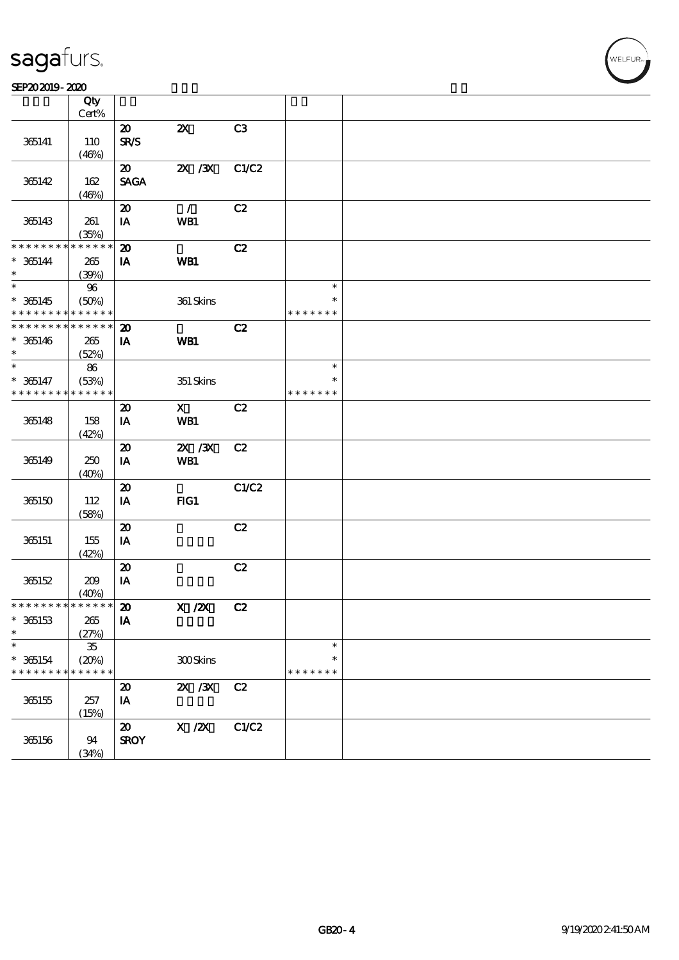#### SEP202019-2020

|                                    | Qty<br>$Cert\%$            |                                            |                                                     |       |                         |  |
|------------------------------------|----------------------------|--------------------------------------------|-----------------------------------------------------|-------|-------------------------|--|
|                                    |                            | $\boldsymbol{\mathfrak{D}}$                | $\boldsymbol{\mathsf{Z}}$                           | C3    |                         |  |
| 365141                             | 110<br>(46%)               | <b>SR/S</b>                                |                                                     |       |                         |  |
| 365142                             | 162                        | $\boldsymbol{\mathfrak{D}}$<br><b>SAGA</b> | $X \, X$                                            | C1/C2 |                         |  |
|                                    | (46%)                      |                                            |                                                     |       |                         |  |
| 365143                             | 261                        | $\boldsymbol{\mathbf{z}}$<br>IA            | $\mathcal{L}$<br>WB1                                | C2    |                         |  |
| * * * * * * * *                    | (35%)<br>* * * * * *       |                                            |                                                     |       |                         |  |
| $* 365144$                         | 265                        | $\boldsymbol{\mathfrak{D}}$<br>IA          | WB1                                                 | C2    |                         |  |
| $\ast$<br>$\overline{\phantom{0}}$ | (39%)<br>$96\,$            |                                            |                                                     |       | $\ast$                  |  |
| $* 365145$                         | (50%)                      |                                            | 361 Skins                                           |       | $\ast$                  |  |
| * * * * * * * *<br>* * * * * * * * | * * * * * *<br>* * * * * * | $\boldsymbol{\mathbf{z}}$                  |                                                     | C2    | * * * * * * *           |  |
| $* 365146$                         | 265                        | IA                                         | WB1                                                 |       |                         |  |
| $\ast$<br>$\ast$                   | (52%)<br>86                |                                            |                                                     |       | $\ast$                  |  |
| $* 365147$                         | (53%)                      |                                            | 351 Skins                                           |       | $\ast$                  |  |
| * * * * * * * *                    | * * * * * *                | $\boldsymbol{\mathfrak{D}}$                | $\mathbf{X}$                                        | C2    | * * * * * * *           |  |
| 365148                             | 158                        | IA                                         | WB1                                                 |       |                         |  |
|                                    | (42%)                      | $\boldsymbol{\mathbf{z}}$                  | 2X / 3X                                             | C2    |                         |  |
| 365149                             | 250                        | IA                                         | WB1                                                 |       |                         |  |
|                                    | (40%)                      | $\boldsymbol{\mathsf{20}}$                 |                                                     | C1/C2 |                         |  |
| 365150                             | 112                        | IA                                         | $HG1$                                               |       |                         |  |
|                                    | (58%)                      | $\boldsymbol{\mathbf{z}}$                  |                                                     | C2    |                         |  |
| 365151                             | 155<br>(42%)               | IA                                         |                                                     |       |                         |  |
|                                    |                            | $\boldsymbol{\mathbf{z}}$                  |                                                     | C2    |                         |  |
| 365152                             | 209<br>(40%)               | IA                                         |                                                     |       |                         |  |
| * * * * * * * * * * * * * * *      |                            | $\boldsymbol{\mathsf{20}}$                 | $X$ / $ZX$                                          | C2    |                         |  |
| $* 365153$<br>$\ast$               | 265<br>(27%)               | IA                                         |                                                     |       |                         |  |
| $\ast$                             | ${\bf 35}$                 |                                            |                                                     |       | $\ast$                  |  |
| $* 365154$<br>* * * * * * * *      | (20%)<br>* * * * * *       |                                            | 300Skins                                            |       | $\ast$<br>* * * * * * * |  |
|                                    |                            | $\boldsymbol{\mathsf{20}}$                 | $ZX$ / $ZX$                                         | C2    |                         |  |
| 365155                             | 257<br>(15%)               | IA                                         |                                                     |       |                         |  |
|                                    |                            | $\pmb{\mathcal{X}}$                        | $\boldsymbol{X}$ / $\boldsymbol{Z}\!\boldsymbol{X}$ | C1/C2 |                         |  |
| 365156                             | 94<br>(34%)                | <b>SROY</b>                                |                                                     |       |                         |  |

**VELFUR**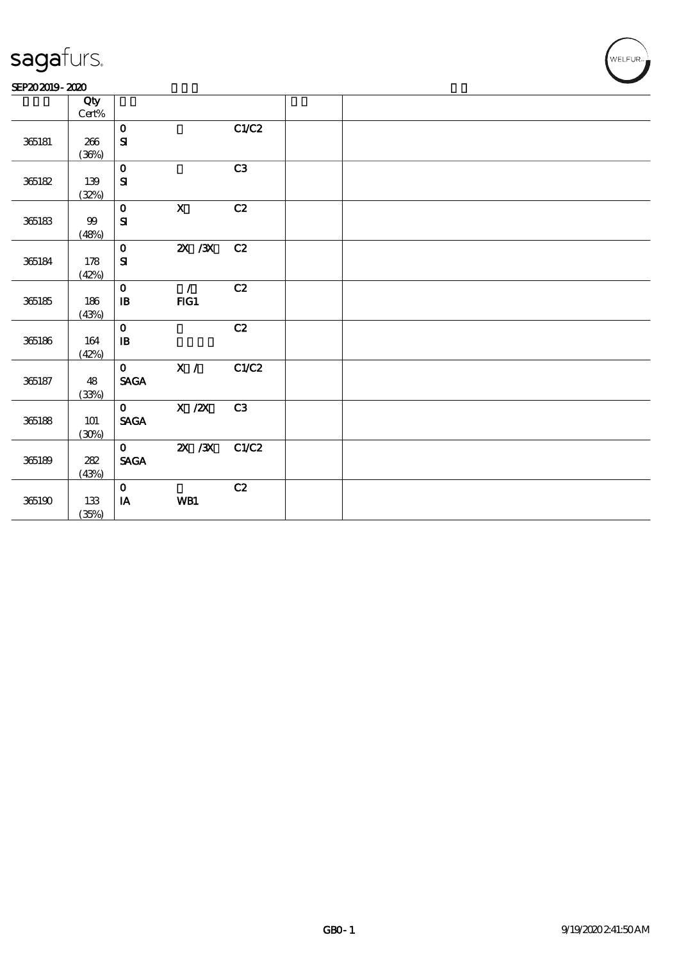#### SEP202019-2020

|            | Qty<br>$\mbox{Cert}\%$ |                                |                           |                |  |  |  |
|------------|------------------------|--------------------------------|---------------------------|----------------|--|--|--|
|            |                        | $\mathbf O$                    |                           | C1/C2          |  |  |  |
| 365181     | 266                    | $\mathbf{S}\mathbf{I}$         |                           |                |  |  |  |
|            | (36%)                  |                                |                           |                |  |  |  |
|            |                        | $\mathbf 0$                    |                           | C3             |  |  |  |
| 365182     | 139                    | ${\bf S}$                      |                           |                |  |  |  |
|            | (32%)                  |                                |                           |                |  |  |  |
|            |                        | $\mathbf O$                    | $\boldsymbol{\mathrm{X}}$ | C2             |  |  |  |
| $365183\,$ | $9\hskip-3.5pt9$       | ${\bf S\!I}$                   |                           |                |  |  |  |
|            | (48%)                  |                                |                           |                |  |  |  |
|            |                        | $\mathbf{o}$                   | $X \, X$                  | C2             |  |  |  |
| 365184     | 178                    | $\mathbf{S}$                   |                           |                |  |  |  |
|            | (42%)                  |                                |                           |                |  |  |  |
|            |                        | $\mathbf{o}$                   | $\mathcal{L}$             | C2             |  |  |  |
| 365185     | 186                    | $\, {\bf I} \! {\bf B} \,$     | FG1                       |                |  |  |  |
|            | (43%)                  |                                |                           |                |  |  |  |
|            |                        | $\mathbf O$                    |                           | C2             |  |  |  |
| 365186     | 164                    | $\, {\bf I} \! {\bf B} \,$     |                           |                |  |  |  |
|            | (42%)                  |                                |                           |                |  |  |  |
|            |                        | $\mathbf{O}$                   | $\mathbf{X}$ /            | C1/C2          |  |  |  |
| 365187     | 48<br>(33%)            | <b>SAGA</b>                    |                           |                |  |  |  |
|            |                        | $\mathbf{O}$                   | $X$ / $ZX$                | C <sub>3</sub> |  |  |  |
| $365188\,$ | 101                    | $\operatorname{\mathsf{SAGA}}$ |                           |                |  |  |  |
|            | (30%)                  |                                |                           |                |  |  |  |
|            |                        | $\mathbf{O}$                   | $2X$ /3X                  | C1/C2          |  |  |  |
| 365189     | $2\!8\!2$              | $\operatorname{\mathsf{SAGA}}$ |                           |                |  |  |  |
|            | (43%)                  |                                |                           |                |  |  |  |
|            |                        | $\mathbf{o}$                   |                           | C2             |  |  |  |
| 365190     | $133\,$                | $\mathbf{I}\mathbf{A}$         | WB1                       |                |  |  |  |
|            | (35%)                  |                                |                           |                |  |  |  |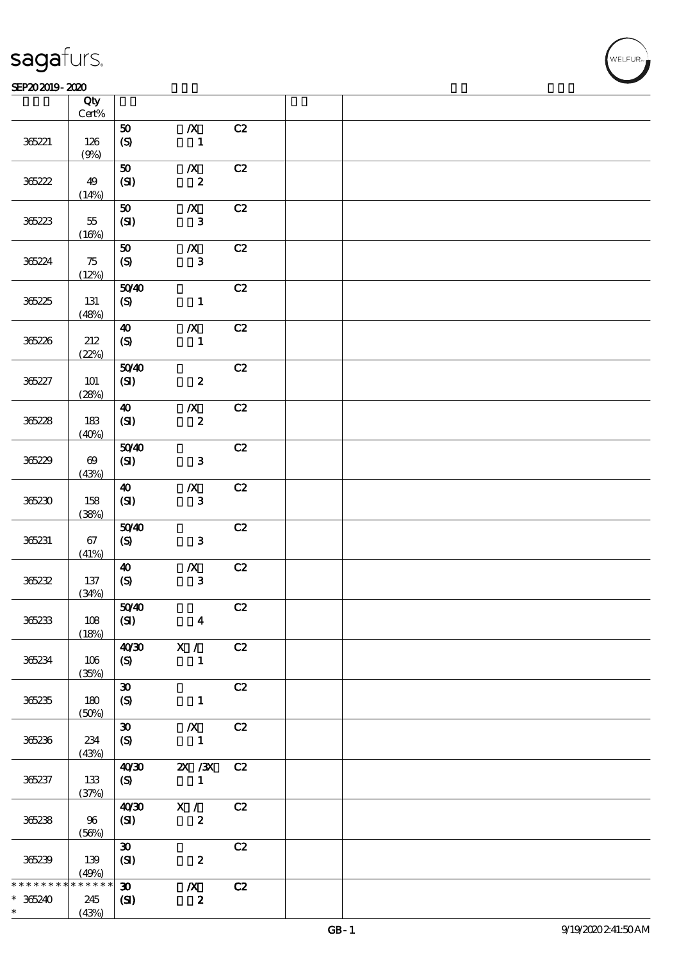|                     | Qty<br>$\mbox{Cert}\%$         |                                                  |                                  |                |  |
|---------------------|--------------------------------|--------------------------------------------------|----------------------------------|----------------|--|
| 365221              | 126                            | ${\bf 50}$<br>$\boldsymbol{S}$                   | $\pmb{X}$<br>$\mathbf{1}$        | C2             |  |
|                     | (9%)                           |                                                  |                                  |                |  |
| 365222              | 49                             | ${\bf 50}$<br>(SI)                               | $\pmb{X}$<br>$\boldsymbol{2}$    | C2             |  |
|                     | (14%)                          | ${\bf 50}$                                       | $\pmb{X}$                        | C2             |  |
| 365223              | $5\!$                          | (SI)                                             | ${\bf 3}$                        |                |  |
|                     | (16%)                          | ${\bf 50}$                                       | $\pmb{X}$                        | C2             |  |
| 365224              | 75<br>(12%)                    | $\boldsymbol{\mathrm{(S)}}$                      | $\bf{3}$                         |                |  |
|                     |                                | 5040                                             |                                  | C2             |  |
| 365225              | 131<br>(48%)                   | (S)                                              | $\mathbf{1}$                     |                |  |
|                     |                                | $\boldsymbol{\omega}$                            | $\pmb{X}$                        | C2             |  |
| 365226              | 212<br>(22%)                   | $\boldsymbol{S}$                                 | $\mathbf{1}$                     |                |  |
| 365227              | 101                            | 5040<br>(SI)                                     | $\boldsymbol{z}$                 | C2             |  |
|                     | (28%)                          | $\boldsymbol{\omega}$                            | $\pmb{\mathcal{X}}$              | C2             |  |
| 365228              | 183                            | (SI)                                             | $\pmb{2}$                        |                |  |
|                     | (40%)                          | 5040                                             |                                  | C2             |  |
| 365229              | $\boldsymbol{\Theta}$<br>(43%) | $\pmb{\text{(S\hspace{-.1em}I\hspace{-.1em}I)}}$ | ${\bf 3}$                        |                |  |
|                     |                                | $\boldsymbol{\Lambda}$                           | $\boldsymbol{X}$                 | C2             |  |
| 365230              | 158<br>(38%)                   | $(SI)$                                           | ${\bf 3}$                        |                |  |
| 365231              | 67                             | 5040<br>$\pmb{\text{(S)}}$                       | ${\bf 3}$                        | C2             |  |
|                     | (41%)                          |                                                  |                                  |                |  |
| 365232              | 137                            | $\boldsymbol{\Lambda}$<br>(S)                    | $\pmb{X}$<br>$\mathbf{3}$        | C2             |  |
|                     | (34%)                          | 50/40                                            |                                  | $\overline{c}$ |  |
| 36233               | 108                            | (SI)                                             | $\boldsymbol{4}$                 |                |  |
|                     | (18%)                          | 40 <sup>20</sup>                                 | X /                              | C2             |  |
| 365234              | $106\,$<br>(35%)               | (S)                                              | $\mathbf{1}$                     |                |  |
| 36235               | 180                            | $\boldsymbol{\mathfrak{D}}$<br>$\boldsymbol{S}$  | $\mathbf{1}$                     | C2             |  |
|                     | (50%)                          |                                                  |                                  |                |  |
| 365236              | 234                            | $\boldsymbol{\mathfrak{D}}$<br>$\mathcal{S}$     | $\boldsymbol{X}$<br>$\mathbf{1}$ | C2             |  |
|                     | (43%)                          | 40'30                                            | $X \, X$                         | C2             |  |
| 365237              | 133                            | (S)                                              | $\mathbf{1}$                     |                |  |
|                     | (37%)                          | 40'30                                            | X /                              | C2             |  |
| 36238               | 96<br>(56%)                    | (SI)                                             | $\boldsymbol{z}$                 |                |  |
|                     |                                | $\boldsymbol{\mathfrak{D}}$                      |                                  | C2             |  |
| 365239              | 139<br>(49%)                   | (SI)                                             | $\boldsymbol{z}$                 |                |  |
| * * * * * * *       | $******$                       | $\boldsymbol{\mathfrak{D}}$                      | $\boldsymbol{X}$                 | C2             |  |
| $* 36240$<br>$\ast$ | 245<br>(43%)                   | $\mathbf{C}$                                     | $\boldsymbol{z}$                 |                |  |

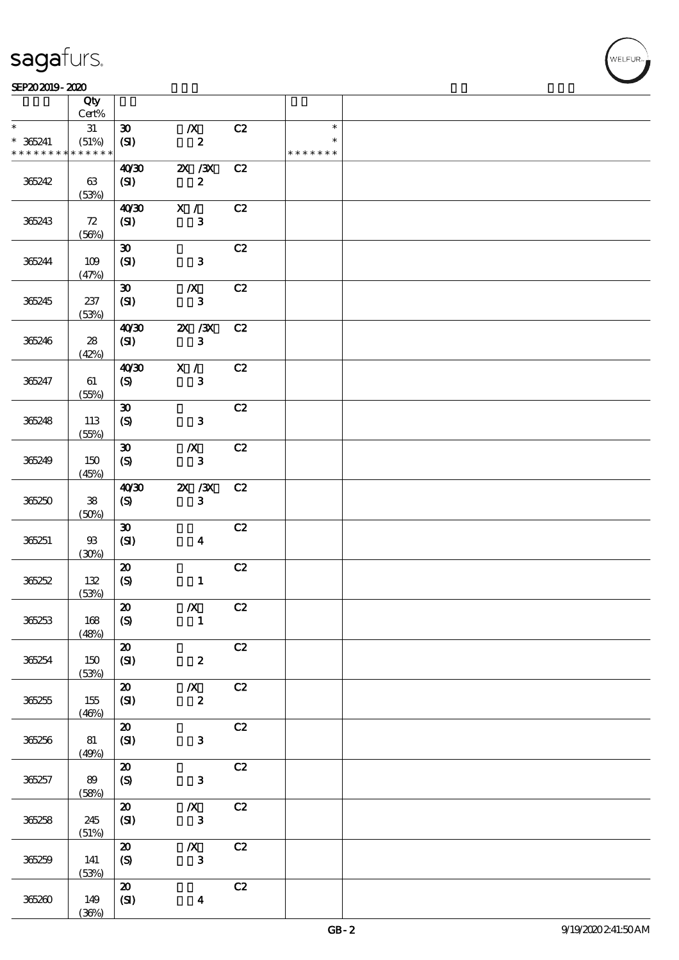#### SEP202019-2020 RHz

|                              | Qty<br>Cert%         |                                     |                              |    |               |  |
|------------------------------|----------------------|-------------------------------------|------------------------------|----|---------------|--|
| $\ast$                       | 31                   | $\boldsymbol{\mathfrak{D}}$         | $\boldsymbol{X}$             | C2 | $\ast$        |  |
| $* 36241$<br>* * * * * * * * | (51%)<br>* * * * * * | (SI)                                | $\pmb{2}$                    |    | * * * * * * * |  |
|                              |                      |                                     |                              |    |               |  |
| 365242                       | 63                   | 40'30<br>(SI)                       | $X \, X$<br>$\boldsymbol{z}$ | C2 |               |  |
|                              | (53%)                |                                     |                              |    |               |  |
| 365243                       | 72                   | 40'30<br>(SI)                       | X /<br>$\mathbf{3}$          | C2 |               |  |
|                              | (56%)                |                                     |                              |    |               |  |
| 365244                       | 109<br>(47%)         | $\boldsymbol{\mathfrak{D}}$<br>(SI) | $\mathbf{3}$                 | C2 |               |  |
|                              |                      | $\boldsymbol{\mathfrak{D}}$         | $\boldsymbol{X}$             | C2 |               |  |
| 365245                       | 237<br>(53%)         | (SI)                                | $\mathbf{3}$                 |    |               |  |
|                              |                      | 40'30                               | 2X / 3X                      | C2 |               |  |
| 365246                       | 28<br>(42%)          | (SI)                                | $\mathbf{3}$                 |    |               |  |
|                              |                      | 40'30                               | X /                          | C2 |               |  |
| 365247                       | 61<br>(55%)          | $\boldsymbol{\mathrm{(S)}}$         | ${\bf 3}$                    |    |               |  |
|                              |                      | $\boldsymbol{\mathfrak{D}}$         |                              | C2 |               |  |
| 365248                       | 113<br>(55%)         | $\boldsymbol{\mathrm{(S)}}$         | ${\bf 3}$                    |    |               |  |
|                              |                      | $\boldsymbol{\mathfrak{D}}$         | $\boldsymbol{X}$             | C2 |               |  |
| 365249                       | 150<br>(45%)         | (S)                                 | ${\bf 3}$                    |    |               |  |
|                              |                      | 40'30                               | $ZX$ / $ZX$                  | C2 |               |  |
| 365250                       | ${\bf 38}$<br>(50%)  | (S)                                 | $\mathbf{3}$                 |    |               |  |
|                              |                      | $\boldsymbol{\mathfrak{D}}$         |                              | C2 |               |  |
| 365251                       | $93$<br>(30%)        | (SI)                                | $\boldsymbol{4}$             |    |               |  |
|                              |                      | $\boldsymbol{\mathfrak{D}}$         |                              | C2 |               |  |
| 36252                        | 132<br>(53%)         | $\pmb{\text{(S)}}$                  | $\mathbf{1}$                 |    |               |  |
|                              |                      | $\pmb{\mathcal{Z}}$                 | $\boldsymbol{X}$             | C2 |               |  |
| 36253                        | 168<br>(48%)         | $\boldsymbol{S}$                    | $\mathbf{1}$                 |    |               |  |
|                              |                      | $\pmb{\mathcal{X}}$                 |                              | C2 |               |  |
| 36254                        | 150<br>(53%)         | (SI)                                | $\pmb{2}$                    |    |               |  |
|                              |                      | $\pmb{\mathcal{Z}}$                 | $\boldsymbol{X}$             | C2 |               |  |
| 36255                        | 155<br>(46%)         | (SI)                                | $\pmb{2}$                    |    |               |  |
|                              |                      | $\pmb{\mathcal{Z}}$                 |                              | C2 |               |  |
| 365256                       | 81<br>(49%)          | (SI)                                | $\mathbf{3}$                 |    |               |  |
|                              |                      | $\pmb{\mathcal{Z}}$                 |                              | C2 |               |  |
| 365257                       | 89<br>(58%)          | $\boldsymbol{S}$                    | ${\bf 3}$                    |    |               |  |
|                              |                      | $\pmb{\mathcal{Z}}$                 | $\boldsymbol{X}$             | C2 |               |  |
| 36258                        | 245<br>(51%)         | (SI)                                | $\mathbf{3}$                 |    |               |  |
|                              |                      | $\boldsymbol{\mathfrak{D}}$         | $\boldsymbol{X}$             | C2 |               |  |
| 365259                       | 141<br>(53%)         | $\pmb{\text{(S)}}$                  | $\mathbf{3}$                 |    |               |  |
|                              |                      | ${\bf Z}$                           |                              | C2 |               |  |
| 365260                       | 149<br>(36%)         | $\bf{(S\!I)}$                       | $\boldsymbol{4}$             |    |               |  |
|                              |                      |                                     |                              |    |               |  |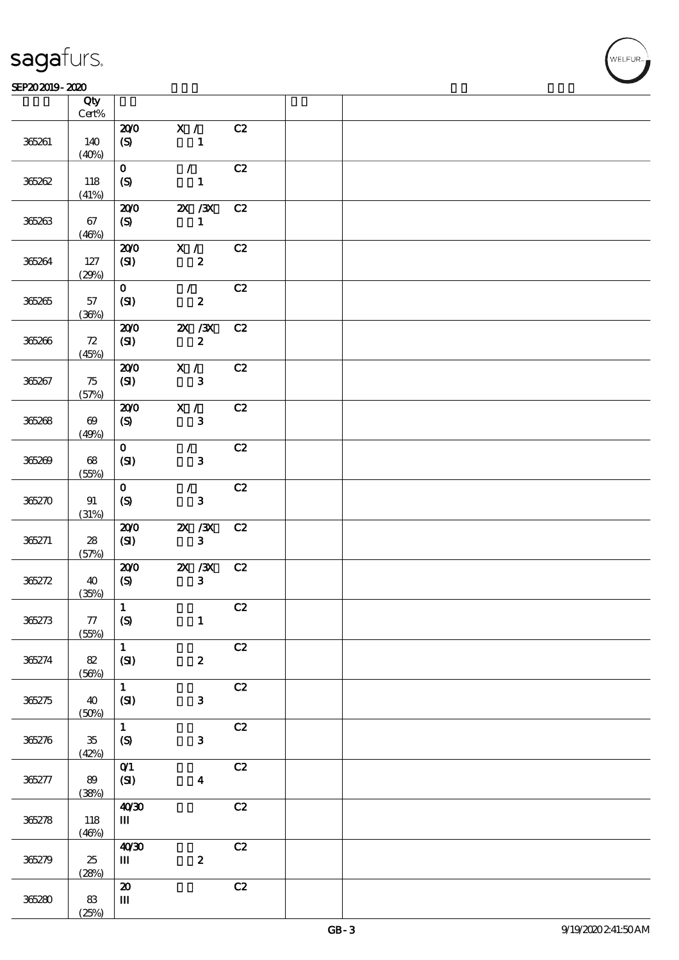#### $SEP202019 - 2020$  $\overline{\phantom{a}}$  Qty  $\overline{\phantom{a}}$

|        | Qty<br>$\mbox{Cert}\%$ |                                                                  |                            |    |  |
|--------|------------------------|------------------------------------------------------------------|----------------------------|----|--|
|        |                        | 200                                                              | X /                        | C2 |  |
| 365261 | 140<br>(40%)           | (S)                                                              | $\mathbf{1}$               |    |  |
|        |                        | $\mathbf{O}$                                                     | $\mathcal{F}$              | C2 |  |
| 365262 | 118<br>(41%)           | $\boldsymbol{S}$                                                 | $\mathbf{1}$               |    |  |
|        |                        | 200                                                              | $X \, X$                   | C2 |  |
| 365263 | 67<br>(46%)            | (S)                                                              | $\mathbf{1}$               |    |  |
|        |                        | 200                                                              | X /                        | C2 |  |
| 365264 | 127<br>(29%)           | (SI)                                                             | $\boldsymbol{2}$           |    |  |
|        |                        | $\mathbf{O}$                                                     | $\mathcal{F}$              | C2 |  |
| 365265 | 57<br>(36%)            | (SI)                                                             | $\boldsymbol{z}$           |    |  |
|        |                        | 200                                                              | $X \, X$                   | C2 |  |
| 365266 | 72<br>(45%)            | (SI)                                                             | $\boldsymbol{z}$           |    |  |
|        |                        | 200                                                              | X /                        | C2 |  |
| 365267 | 75<br>(57%)            | (SI)                                                             | $\mathbf{3}$               |    |  |
|        |                        | 200                                                              | X /                        | C2 |  |
| 365268 | $\boldsymbol{\omega}$  | (S)                                                              | ${\bf 3}$                  |    |  |
|        | (49%)                  |                                                                  |                            |    |  |
| 365269 | 68<br>(55%)            | $\mathbf{o}$<br>$\pmb{\text{(S\hspace{-.1em}I\hspace{-.1em}I)}}$ | $\mathcal{L}$<br>${\bf 3}$ | C2 |  |
|        |                        | $\mathbf{O}$                                                     | $\mathcal{L}$              | C2 |  |
| 365270 | 91<br>(31%)            | $\boldsymbol{S}$                                                 | ${\bf 3}$                  |    |  |
|        |                        | 200                                                              | $2X$ $/3X$                 | C2 |  |
| 365271 | 28<br>(57%)            | (SI)                                                             | $\mathbf{3}$               |    |  |
|        |                        | 200                                                              | $ZX$ $/3X$                 | C2 |  |
| 365272 | 40<br>(35%)            | (S)                                                              | $\mathbf{3}$               |    |  |
|        |                        | $\mathbf{1}$                                                     |                            | C2 |  |
| 36273  | $77\,$<br>(55%)        | $\boldsymbol{\mathrm{(S)}}$                                      | $\mathbf{1}$               |    |  |
|        |                        | $\mathbf{1}$                                                     |                            | C2 |  |
| 365274 | $8\!2$<br>(56%)        | (SI)                                                             | $\boldsymbol{z}$           |    |  |
|        |                        | $\mathbf{1}$                                                     |                            | C2 |  |
| 365275 | 40<br>(50%)            | (SI)                                                             | $\mathbf{3}$               |    |  |
|        |                        | $\mathbf{1}$                                                     |                            | C2 |  |
| 365276 | $35\,$<br>(42%)        | $\boldsymbol{S}$                                                 | $\mathbf{3}$               |    |  |
|        |                        | $O$ <sup><math>1</math></sup>                                    |                            | C2 |  |
| 365277 | 89                     | (SI)                                                             | $\boldsymbol{4}$           |    |  |
|        | (38%)                  | 40'30                                                            |                            | C2 |  |
| 36278  | 118<br>(46%)           | Ш                                                                |                            |    |  |
|        |                        | 40'30                                                            |                            | C2 |  |
| 365279 | 25<br>(28%)            | $\mathbf{m}$                                                     | $\boldsymbol{z}$           |    |  |
|        |                        | $\pmb{\mathcal{Z}}$                                              |                            | C2 |  |
| 365280 | $83\,$                 | $\mathbf{m}$                                                     |                            |    |  |
|        | (25%)                  |                                                                  |                            |    |  |

**NELFUR**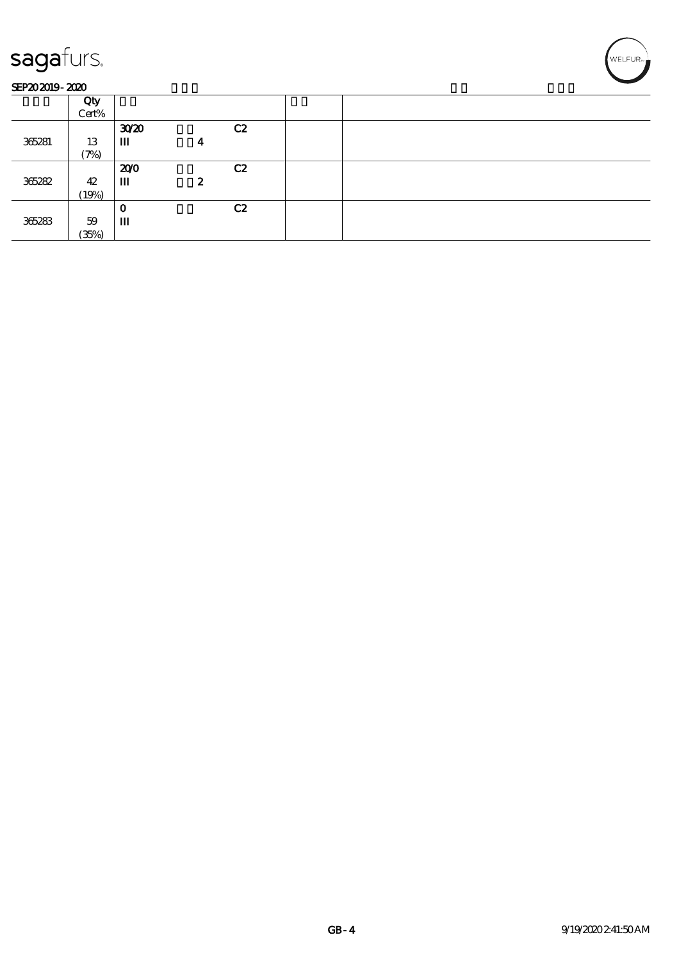|        | Qty               |      |                  |    |  |
|--------|-------------------|------|------------------|----|--|
|        | Cert%             |      |                  |    |  |
|        |                   |      |                  |    |  |
|        |                   | 3020 |                  | C2 |  |
| 365281 | 13                | Ш    | 4                |    |  |
|        | $\mathcal{P}_{0}$ |      |                  |    |  |
|        |                   | 200  |                  | C2 |  |
| 365282 | 42                | Ш    | $\boldsymbol{z}$ |    |  |
|        |                   |      |                  |    |  |
|        | (19%)             |      |                  |    |  |
|        |                   | O    |                  | C2 |  |
| 365283 | 59                | Ш    |                  |    |  |
|        | (35%)             |      |                  |    |  |
|        |                   |      |                  |    |  |

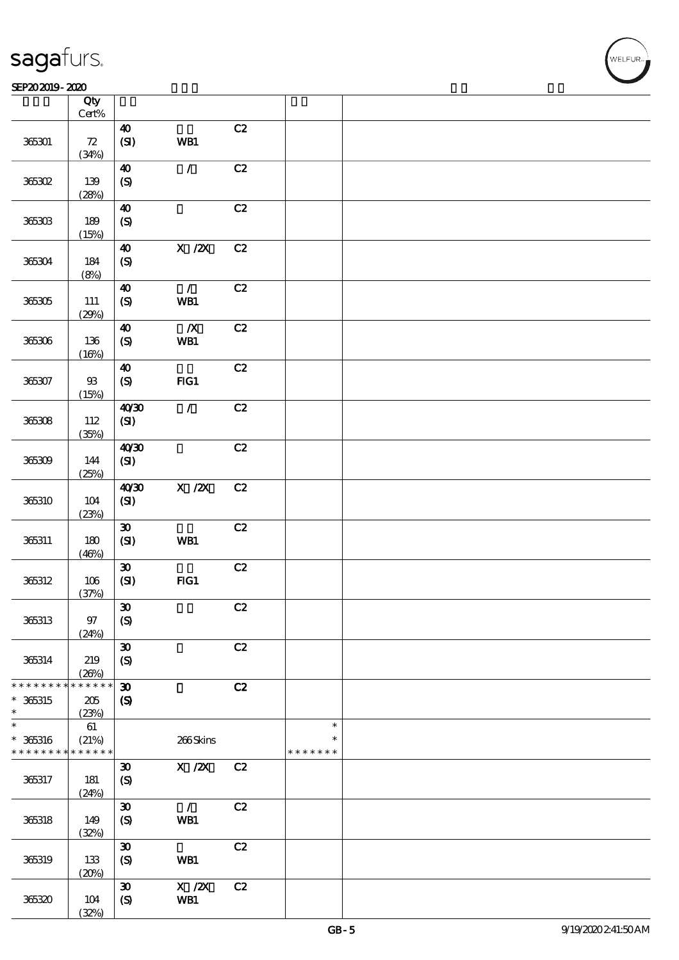|                 | Qty<br>$\mbox{Cert}\%$ |                                                              |                                       |    |               |  |
|-----------------|------------------------|--------------------------------------------------------------|---------------------------------------|----|---------------|--|
|                 |                        |                                                              |                                       | C2 |               |  |
| 365301          | ${\bf Z}$<br>(34%)     | $\boldsymbol{\Lambda}$<br>(SI)                               | WB1                                   |    |               |  |
|                 |                        | $\boldsymbol{\Lambda}$                                       | $\mathcal{L}$                         | C2 |               |  |
| 365302          | 139                    | $\pmb{\infty}$                                               |                                       |    |               |  |
|                 | (28%)                  |                                                              |                                       |    |               |  |
|                 |                        | $\boldsymbol{\Lambda}$                                       |                                       | C2 |               |  |
| 365303          | 189                    | $\pmb{\text{(S)}}$                                           |                                       |    |               |  |
|                 | (15%)                  |                                                              |                                       |    |               |  |
|                 |                        | $\boldsymbol{\omega}$                                        | $\boldsymbol{\mathrm{X}}$ / <b>ZX</b> | C2 |               |  |
| 365304          | 184                    | $\boldsymbol{\mathrm{(S)}}$                                  |                                       |    |               |  |
|                 | (8%)                   |                                                              |                                       |    |               |  |
|                 |                        | $\boldsymbol{\Lambda}$                                       | $\mathcal{L}$                         | C2 |               |  |
|                 |                        |                                                              |                                       |    |               |  |
| 365305          | $111\,$                | $\pmb{\infty}$                                               | WB1                                   |    |               |  |
|                 | (29%)                  | $\boldsymbol{\Lambda}$                                       | $\boldsymbol{X}$                      | C2 |               |  |
|                 |                        |                                                              |                                       |    |               |  |
| 365306          | 136                    | $\pmb{\text{(S)}}$                                           | WB1                                   |    |               |  |
|                 | (16%)                  |                                                              |                                       |    |               |  |
|                 |                        | $\boldsymbol{\Lambda}$                                       |                                       | C2 |               |  |
| 365307          | ${\mathfrak B}$        | $\boldsymbol{\mathrm{(S)}}$                                  | FIG1                                  |    |               |  |
|                 | (15%)                  |                                                              |                                       |    |               |  |
|                 |                        | 40'30                                                        | $\mathcal{L}$                         | C2 |               |  |
| 365308          | 112                    | $\pmb{\text{(S)}}$                                           |                                       |    |               |  |
|                 | (35%)                  |                                                              |                                       |    |               |  |
|                 |                        | 40'30                                                        |                                       | C2 |               |  |
| 365309          | 144                    | $\pmb{\text{(S\hskip-.03in\llbracket\mathbf{3}\rrbracket)}}$ |                                       |    |               |  |
|                 | (25%)                  |                                                              |                                       |    |               |  |
|                 |                        | 40'30                                                        | $X$ / $ZX$                            | C2 |               |  |
| 365310          | 104                    | $(SI)$                                                       |                                       |    |               |  |
|                 | (23%)                  |                                                              |                                       |    |               |  |
|                 |                        | $\pmb{\mathfrak{D}}$                                         |                                       | C2 |               |  |
| 365311          | 180                    | $\bf{(S\!I)}$                                                | WB1                                   |    |               |  |
|                 | (46%)                  |                                                              |                                       |    |               |  |
|                 |                        | $\pmb{\mathfrak{D}}$                                         |                                       | C2 |               |  |
| 365312          | 106                    | (S)                                                          | FG1                                   |    |               |  |
|                 | (37%)                  |                                                              |                                       |    |               |  |
|                 |                        | $\boldsymbol{\mathfrak{D}}$                                  |                                       | C2 |               |  |
| 365313          | $97$                   | (S)                                                          |                                       |    |               |  |
|                 | (24%)                  |                                                              |                                       |    |               |  |
|                 |                        | $\boldsymbol{\mathfrak{D}}$                                  |                                       | C2 |               |  |
| 365314          | 219                    | $\boldsymbol{S}$                                             |                                       |    |               |  |
|                 | (20%)                  |                                                              |                                       |    |               |  |
| * * * * * * *   | * * * * * *            | $\boldsymbol{\mathfrak{D}}$                                  |                                       | C2 |               |  |
| $* 365315$      | 205                    | $\boldsymbol{\mathrm{(S)}}$                                  |                                       |    |               |  |
| $\ast$          | (23%)                  |                                                              |                                       |    |               |  |
| $\ast$          | 61                     |                                                              |                                       |    | $\ast$        |  |
| $* 365316$      | (21%)                  |                                                              | 266Skins                              |    | $\ast$        |  |
| * * * * * * * * | * * * * * *            |                                                              |                                       |    | * * * * * * * |  |
|                 |                        | $\boldsymbol{\mathfrak{D}}$                                  | $\boldsymbol{\mathrm{X}}$ / <b>2X</b> | C2 |               |  |
| 365317          | 181                    | $\boldsymbol{S}$                                             |                                       |    |               |  |
|                 | (24%)                  |                                                              |                                       |    |               |  |
|                 |                        | $\boldsymbol{\mathfrak{D}}$                                  | $\mathcal{L}$                         | C2 |               |  |
| 365318          | 149                    | $\boldsymbol{S}$                                             | WB1                                   |    |               |  |
|                 | (32%)                  |                                                              |                                       |    |               |  |
|                 |                        | $\boldsymbol{\mathfrak{D}}$                                  |                                       | C2 |               |  |
| 365319          | 133                    | $\boldsymbol{S}$                                             | WB1                                   |    |               |  |
|                 | (20%)                  |                                                              |                                       |    |               |  |
|                 |                        | $\boldsymbol{\mathfrak{D}}$                                  | $X$ / $ZX$                            | C2 |               |  |
| 365320          | $104$                  | $\pmb{\text{(S)}}$                                           | WB1                                   |    |               |  |
|                 | (32%)                  |                                                              |                                       |    |               |  |

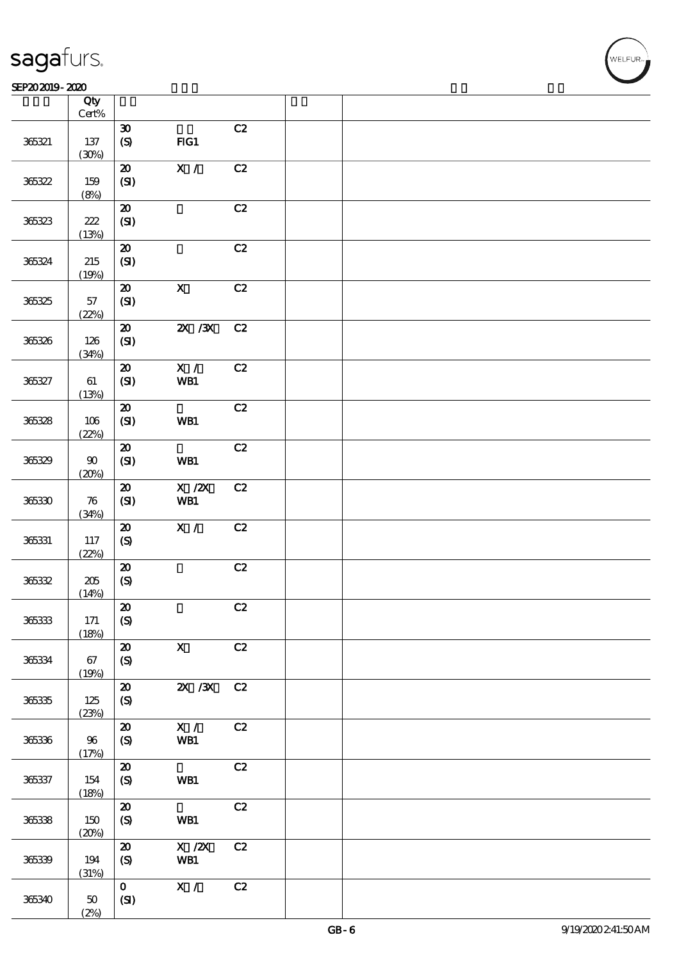|        | Qty<br>$\mbox{Cert\%}$ |                                                              |                                                     |    |  |
|--------|------------------------|--------------------------------------------------------------|-----------------------------------------------------|----|--|
|        |                        | $\pmb{\mathfrak{D}}$                                         |                                                     | C2 |  |
| 365321 | 137<br>(30%)           | (S)                                                          | FG1                                                 |    |  |
|        |                        | $\pmb{\mathcal{Z}}$                                          | X /                                                 | C2 |  |
| 365322 | 159<br>(8%)            | (SI)                                                         |                                                     |    |  |
|        |                        | ${\bf 20}$                                                   |                                                     | C2 |  |
| 365323 | 222<br>(13%)           | $\pmb{\text{(S\hskip-.03in\llbracket\mathbf{3}\rrbracket)}}$ |                                                     |    |  |
|        |                        | ${\bf Z}$                                                    |                                                     | C2 |  |
| 365324 | 215<br>(19%)           | $\pmb{\text{(S\hskip-.0.05em{I})}}$                          |                                                     |    |  |
|        |                        | $\pmb{\mathcal{Z}}$                                          | $\mathbf X$                                         | C2 |  |
| 365325 | $57\,$<br>(22%)        | (SI)                                                         |                                                     |    |  |
|        |                        | ${\bf Z}$                                                    | $ZX$ / $X$                                          | C2 |  |
| 365326 | 126<br>(34%)           | (SI)                                                         |                                                     |    |  |
|        |                        | $\pmb{\mathcal{Z}}$                                          | $\mathbf{X}$ /                                      | C2 |  |
| 365327 | 61<br>(13%)            | (SI)                                                         | WB1                                                 |    |  |
|        |                        | ${\bf Z}$                                                    |                                                     | C2 |  |
| 365328 | 106<br>(22%)           | $(SI)$                                                       | WB1                                                 |    |  |
|        |                        | $\boldsymbol{\mathsf{20}}$                                   |                                                     | C2 |  |
| 365329 | $90\,$<br>(20%)        | $\pmb{\text{(S\hspace{-.1em}I\hspace{-.1em}I)}}$             | WB1                                                 |    |  |
|        |                        | $\boldsymbol{\mathsf{20}}$                                   | $X$ / $ZX$                                          | C2 |  |
| 365330 | 76<br>(34%)            | (SI)                                                         | WB1                                                 |    |  |
|        |                        | $\boldsymbol{\mathfrak{D}}$                                  | X /                                                 | C2 |  |
| 365331 | 117<br>(22%)           | $\pmb{\text{(S)}}$                                           |                                                     |    |  |
|        |                        | $\boldsymbol{\mathsf{20}}$                                   |                                                     | C2 |  |
| 36532  | $205\,$<br>(14%)       | $\circledS$                                                  |                                                     |    |  |
|        |                        | $\vert$ 20                                                   |                                                     | C2 |  |
| 365333 | 171<br>(18%)           | (S)                                                          |                                                     |    |  |
|        |                        | $\boldsymbol{\mathfrak{D}}$                                  | $\boldsymbol{\mathrm{X}}$                           | C2 |  |
| 365334 | 67                     | $\boldsymbol{S}$                                             |                                                     |    |  |
|        | (19%)                  | ${\bf Z}$                                                    | $ZX$ / $ZX$                                         | C2 |  |
| 365335 | 125                    | $\boldsymbol{S}$                                             |                                                     |    |  |
|        | (23%)                  | $\boldsymbol{\mathfrak{D}}$                                  | X /                                                 | C2 |  |
| 365336 | $96\,$                 | $\boldsymbol{S}$                                             | WB1                                                 |    |  |
|        | (17%)                  | ${\bf Z}$                                                    |                                                     | C2 |  |
| 365337 | 154                    | $\boldsymbol{S}$                                             | WB1                                                 |    |  |
|        | (18%)                  |                                                              |                                                     |    |  |
|        |                        | ${\bf Z}$                                                    |                                                     | C2 |  |
| 365338 | 150<br>(20%)           | $\boldsymbol{\mathrm{(S)}}$                                  | WB1                                                 |    |  |
|        |                        | $\pmb{\mathcal{Z}}$                                          | $\boldsymbol{X}$ / $\boldsymbol{Z}\!\boldsymbol{X}$ | C2 |  |
| 36539  | 194<br>(31%)           | $\boldsymbol{S}$                                             | WB1                                                 |    |  |
|        |                        | $\mathbf{O}$                                                 | X /                                                 | C2 |  |
| 365340 | $50\,$<br>(2%)         | (SI)                                                         |                                                     |    |  |

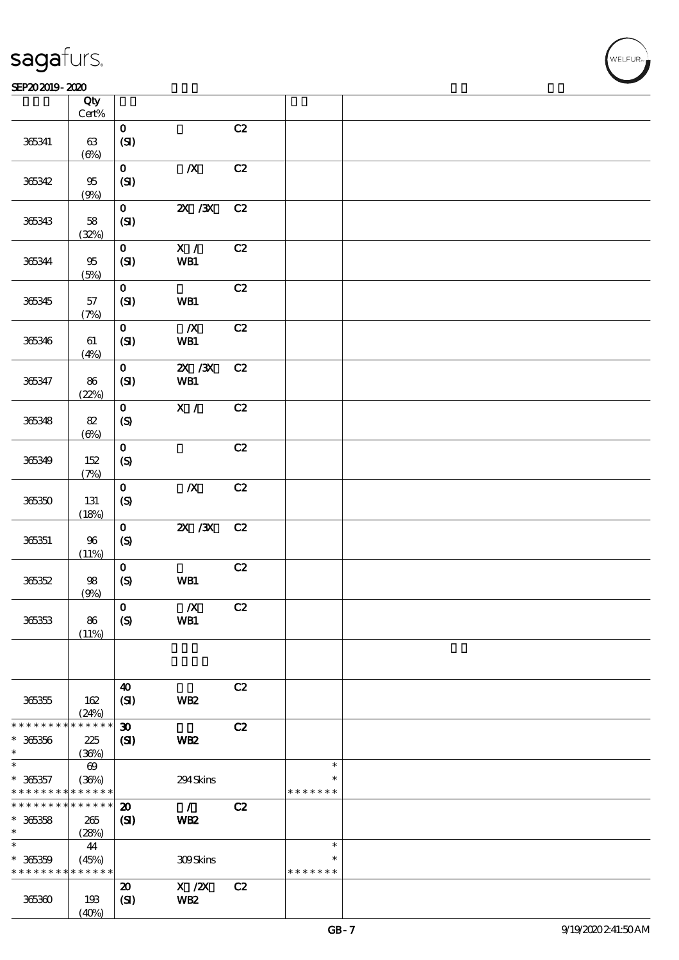|                                         | Qty<br>$\mbox{Cert}\%$                      |                                             |                                                     |    |                                   |  |
|-----------------------------------------|---------------------------------------------|---------------------------------------------|-----------------------------------------------------|----|-----------------------------------|--|
|                                         |                                             | $\mathbf 0$                                 |                                                     | C2 |                                   |  |
| 365341                                  | 63<br>(6%)                                  | (SI)                                        |                                                     |    |                                   |  |
| 365342                                  | $9\!5$<br>(9%)                              | $\mathbf{O}$<br>(SI)                        | $\boldsymbol{X}$                                    | C2 |                                   |  |
| 365343                                  | 58<br>(32%)                                 | $\mathbf{O}$<br>(SI)                        | $\chi$ / $\chi$                                     | C2 |                                   |  |
| 365344                                  | 95<br>(5%)                                  | $\mathbf 0$<br>(SI)                         | X /<br>WB1                                          | C2 |                                   |  |
| 365345                                  | 57<br>(7%)                                  | $\mathbf{O}$<br>(SI)                        | WB1                                                 | C2 |                                   |  |
| 365346                                  | 61<br>(4%)                                  | $\mathbf{O}$<br>(SI)                        | $\boldsymbol{X}$<br>WB1                             | C2 |                                   |  |
| 365347                                  | 86<br>(22%)                                 | $\mathbf 0$<br>(SI)                         | 2X / 3X<br>WB1                                      | C2 |                                   |  |
| 365348                                  | $8\!2$<br>$(\Theta)$                        | $\mathbf{o}$<br>$\boldsymbol{S}$            | $\overline{\mathbf{x}}$ /                           | C2 |                                   |  |
| 365349                                  | 152<br>(7%)                                 | $\mathbf{o}$<br>(S)                         |                                                     | C2 |                                   |  |
| 365350                                  | 131<br>(18%)                                | $\mathbf 0$<br>(S)                          | $\boldsymbol{X}$                                    | C2 |                                   |  |
| 365351                                  | $96\,$<br>(11%)                             | $\mathbf 0$<br>$\boldsymbol{S}$             | $ZX$ $ZX$                                           | C2 |                                   |  |
| 365352                                  | 98<br>(9%)                                  | $\mathbf 0$<br>$\pmb{\text{(S)}}$           | WB1                                                 | C2 |                                   |  |
| 365353                                  | 86<br>(11%)                                 | $\mathbf 0$<br>$\boldsymbol{S}$             | $\pmb{X}$<br>WB1                                    | C2 |                                   |  |
|                                         |                                             |                                             |                                                     |    |                                   |  |
| 366355                                  | 162<br>(24%)                                | $\boldsymbol{\omega}$<br>(SI)               | WB <sub>2</sub>                                     | C2 |                                   |  |
| * * * * * * *<br>$* 36356$<br>$\ast$    | * * * * *<br>*<br>225<br>(36%)              | $\boldsymbol{\mathfrak{D}}$<br>$\mathbf{C}$ | WB <sub>2</sub>                                     | C2 |                                   |  |
| $\ast$<br>$* 363357$<br>* * * * * * * * | $\boldsymbol{\omega}$<br>(36%)<br>* * * * * |                                             | 294Skins                                            |    | $\ast$<br>$\ast$<br>* * * * * * * |  |
| * * * * * * *<br>$* 36358$<br>$\ast$    | * * * * * *<br>265<br>(28%)                 | $\boldsymbol{\mathfrak{D}}$<br>(S)          | $\mathcal{L}$<br>WB <sub>2</sub>                    | C2 |                                   |  |
| $\ast$<br>$* 36359$<br>* * * * * * * *  | 44<br>(45%)<br>* * * * * *                  |                                             | 309Skins                                            |    | $\ast$<br>$\ast$<br>* * * * * * * |  |
| 365360                                  | 193<br>(40%)                                | $\boldsymbol{\mathfrak{D}}$<br>(SI)         | $\boldsymbol{\mathrm{X}}$ / <b>2X</b><br><b>WB2</b> | C2 |                                   |  |

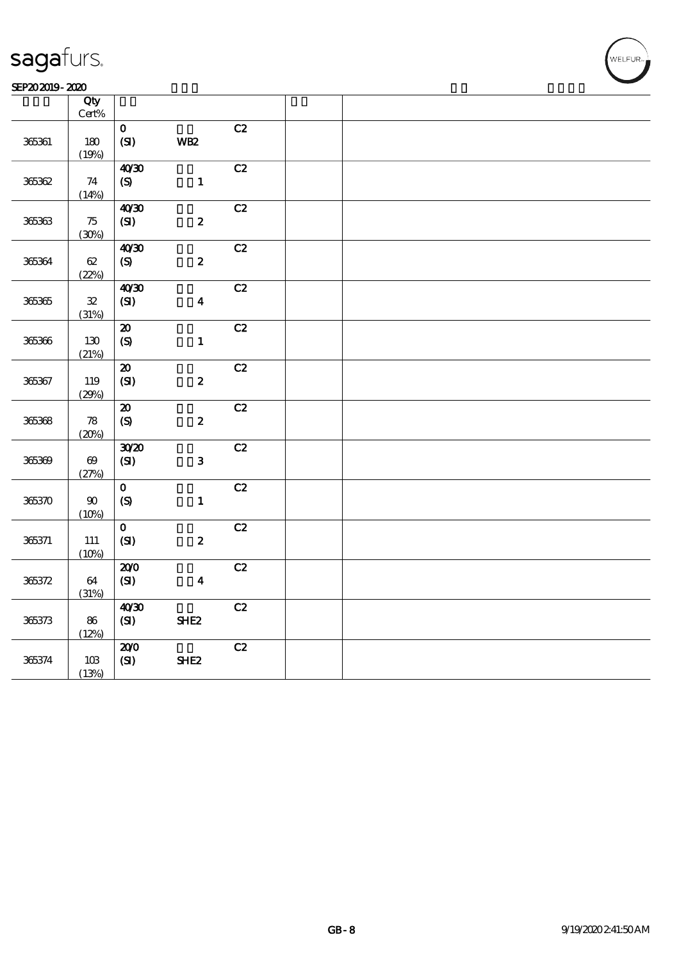#### SEP202019-2020 RHz

|            | Qty<br>Cert%               |                            |                  |    |  |
|------------|----------------------------|----------------------------|------------------|----|--|
|            |                            | $\mathbf{o}$               |                  | C2 |  |
| 365361     | 180                        | (SI)                       | <b>WB2</b>       |    |  |
|            | (19%)                      |                            |                  |    |  |
|            |                            | 40'30                      |                  | C2 |  |
| 365362     | 74                         | (S)                        | $\mathbf{1}$     |    |  |
|            | (14%)                      | 40'30                      |                  | C2 |  |
| $36536\,$  | 75                         | (SI)                       | $\pmb{2}$        |    |  |
|            | (30%)                      |                            |                  |    |  |
|            |                            | 40'30                      |                  | C2 |  |
| 365364     | $62\,$                     | (S)                        | $\boldsymbol{2}$ |    |  |
|            | (22%)                      |                            |                  | C2 |  |
| $365365\,$ | ${\bf 32}$                 | 40'30<br>(SI)              | $\boldsymbol{4}$ |    |  |
|            | (31%)                      |                            |                  |    |  |
|            |                            | $\pmb{\mathcal{X}}$        |                  | C2 |  |
| 365366     | 130                        | $\pmb{\text{(S)}}$         | $\mathbf{1}$     |    |  |
|            | (21%)                      |                            |                  | C2 |  |
| 365367     | 119                        | ${\bf Z}$<br>$\bf{(S\!I)}$ | $\pmb{2}$        |    |  |
|            | (29%)                      |                            |                  |    |  |
|            |                            | ${\bf Z}$                  |                  | C2 |  |
| 365368     | $\boldsymbol{\mathcal{B}}$ | $\boldsymbol{S}$           | $\boldsymbol{2}$ |    |  |
|            | (20%)                      | 3020                       |                  | C2 |  |
| 365369     | $\boldsymbol{\omega}$      | (SI)                       | ${\bf 3}$        |    |  |
|            | (27%)                      |                            |                  |    |  |
|            |                            | $\mathbf{O}$               |                  | C2 |  |
| 365370     | $90\,$                     | (S)                        | $\mathbf{1}$     |    |  |
|            | (10%)                      | $\mathbf{o}$               |                  | C2 |  |
| 365371     | 111                        | (SI)                       | $\boldsymbol{2}$ |    |  |
|            | (10%)                      |                            |                  |    |  |
|            |                            | 200                        |                  | C2 |  |
| 365372     | 64                         | (SI)                       | $\boldsymbol{4}$ |    |  |
|            | (31%)                      | 40'30                      |                  | C2 |  |
| 365373     | 86                         | (SI)                       | SHE <sub>2</sub> |    |  |
|            | (12%)                      |                            |                  |    |  |
|            |                            | 200                        |                  | C2 |  |
| 365374     | 10B                        | (SI)                       | SHE <sub>2</sub> |    |  |
|            | (13%)                      |                            |                  |    |  |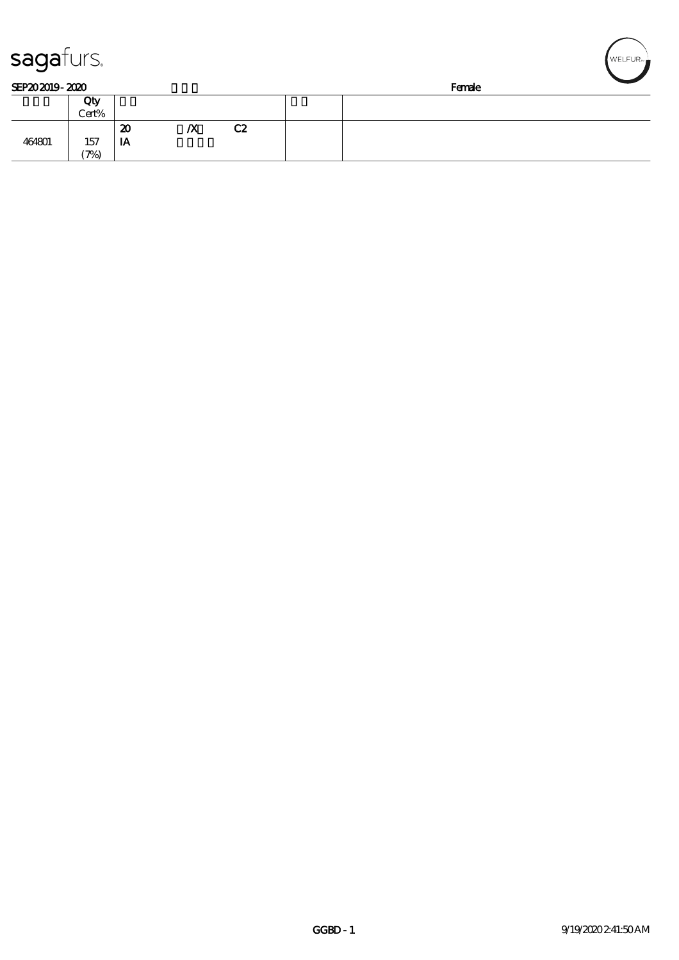| sagafurs.      |       |    |                  |                | $\sqrt{\textsf{WELFUR}}$ |
|----------------|-------|----|------------------|----------------|--------------------------|
| SEP202019-2020 |       |    |                  |                | Female                   |
|                | Qty   |    |                  |                |                          |
|                | Cert% |    |                  |                |                          |
|                |       | 20 | $\boldsymbol{X}$ | C <sub>2</sub> |                          |
| 464801         | 157   | IA |                  |                |                          |
|                | (7%)  |    |                  |                |                          |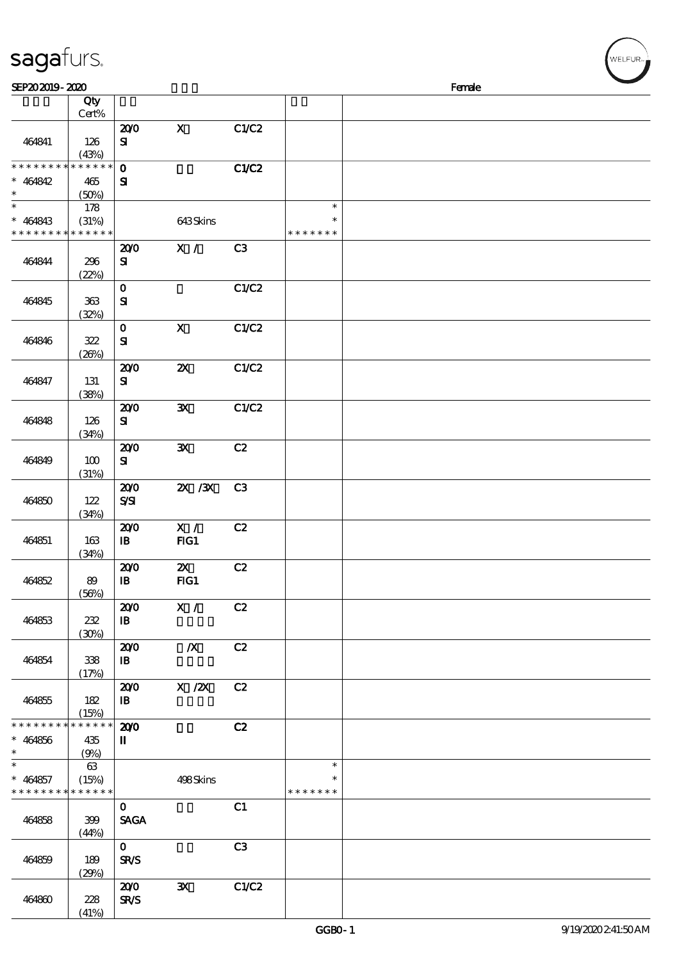| sagafurs.<br>SEP202019-2020 |                                          |                             |                           |                |               | Female |  |
|-----------------------------|------------------------------------------|-----------------------------|---------------------------|----------------|---------------|--------|--|
|                             | Qty                                      |                             |                           |                |               |        |  |
|                             | $Cert\%$                                 |                             |                           |                |               |        |  |
|                             |                                          | 200                         | $\mathbf X$               | C1/C2          |               |        |  |
| 464841                      | 126                                      | ${\bf s}$                   |                           |                |               |        |  |
| * * * * * * * *             | (43%)<br>* * * * * *                     | $\mathbf{o}$                |                           | C1/C2          |               |        |  |
| $* 464842$                  | 465                                      | ${\bf s}$                   |                           |                |               |        |  |
|                             | (50%)                                    |                             |                           |                |               |        |  |
|                             | 178                                      |                             |                           |                | $\ast$        |        |  |
| $* 464843$                  | (31%)                                    |                             | 643Skins                  |                | $\ast$        |        |  |
| * * * * * * *               | * * * * * *                              |                             |                           |                | * * * * * * * |        |  |
|                             |                                          | 200                         | X /                       | C3             |               |        |  |
| 464844                      | 296<br>(22%)                             | ${\bf s}$                   |                           |                |               |        |  |
|                             |                                          | $\mathbf 0$                 |                           | C1/C2          |               |        |  |
| 464845                      | 363                                      | ${\bf s}$                   |                           |                |               |        |  |
|                             | (32%)                                    |                             |                           |                |               |        |  |
|                             |                                          | $\mathbf{o}$                | $\boldsymbol{\mathrm{X}}$ | C1/C2          |               |        |  |
| 464846                      | 322                                      | $\mathbf{S}$                |                           |                |               |        |  |
|                             | (20%)                                    |                             |                           |                |               |        |  |
|                             |                                          | 200                         | $\boldsymbol{\mathsf{z}}$ | C1/C2          |               |        |  |
| 464847                      | 131<br>(38%)                             | ${\bf s}$                   |                           |                |               |        |  |
|                             |                                          | 200                         | ${\bf X}$                 | C1/C2          |               |        |  |
| 464848                      | 126                                      | ${\bf s}$                   |                           |                |               |        |  |
|                             | (34%)                                    |                             |                           |                |               |        |  |
|                             |                                          | 200                         | $\mathbf{x}$              | C2             |               |        |  |
| 464849                      | 100                                      | ${\bf s}$                   |                           |                |               |        |  |
|                             | (31%)                                    |                             |                           |                |               |        |  |
| 464850                      | 122                                      | 200<br>$S\!S\!I$            | $ZX$ / $ZX$               | C <sub>3</sub> |               |        |  |
|                             | (34%)                                    |                             |                           |                |               |        |  |
|                             |                                          | 200                         | $\mathbf{X}$ /            | C2             |               |        |  |
| 464851                      | 163                                      | $\, {\bf I} \! {\bf B} \,$  | FIG1                      |                |               |        |  |
|                             | (34%)                                    |                             |                           |                |               |        |  |
|                             |                                          | 200                         | $\boldsymbol{\mathsf{Z}}$ | C2             |               |        |  |
| 464852                      | 89                                       | $\mathbf{B}$                | FG1                       |                |               |        |  |
|                             | (56%)                                    | 200                         | X /                       | C2             |               |        |  |
| 464853                      | 232                                      | $\mathbf{B}$                |                           |                |               |        |  |
|                             | (30%)                                    |                             |                           |                |               |        |  |
|                             |                                          | 200                         | $\boldsymbol{X}$          | C2             |               |        |  |
| 464854                      | 338                                      | $\mathbf{B}$                |                           |                |               |        |  |
|                             | (17%)                                    |                             |                           |                |               |        |  |
|                             |                                          | 200                         | X / ZX                    | C2             |               |        |  |
| 464855                      | 182<br>(15%)                             | $\mathbf{B}$                |                           |                |               |        |  |
| * * * * * * * *             | * * * * * *                              | 200                         |                           | C2             |               |        |  |
| $* 464856$                  | 435                                      | $\blacksquare$              |                           |                |               |        |  |
|                             | (9%)                                     |                             |                           |                |               |        |  |
|                             | 63                                       |                             |                           |                | $\ast$        |        |  |
| $* 464857$                  | (15%)                                    |                             | 498Skins                  |                | $\ast$        |        |  |
|                             | * * * * * * * * <mark>* * * * * *</mark> |                             |                           |                | * * * * * * * |        |  |
| 464858                      | 399                                      | $\mathbf{O}$<br><b>SAGA</b> |                           | C1             |               |        |  |
|                             | (44%)                                    |                             |                           |                |               |        |  |
|                             |                                          | $\mathbf{O}$                |                           | C3             |               |        |  |
| 464859                      | 189                                      | <b>SR/S</b>                 |                           |                |               |        |  |
|                             | (29%)                                    |                             |                           |                |               |        |  |
|                             |                                          | 200                         | $\mathbf{x}$              | C1/C2          |               |        |  |
| 464860                      | 228                                      | <b>SR/S</b>                 |                           |                |               |        |  |

 $(41%)$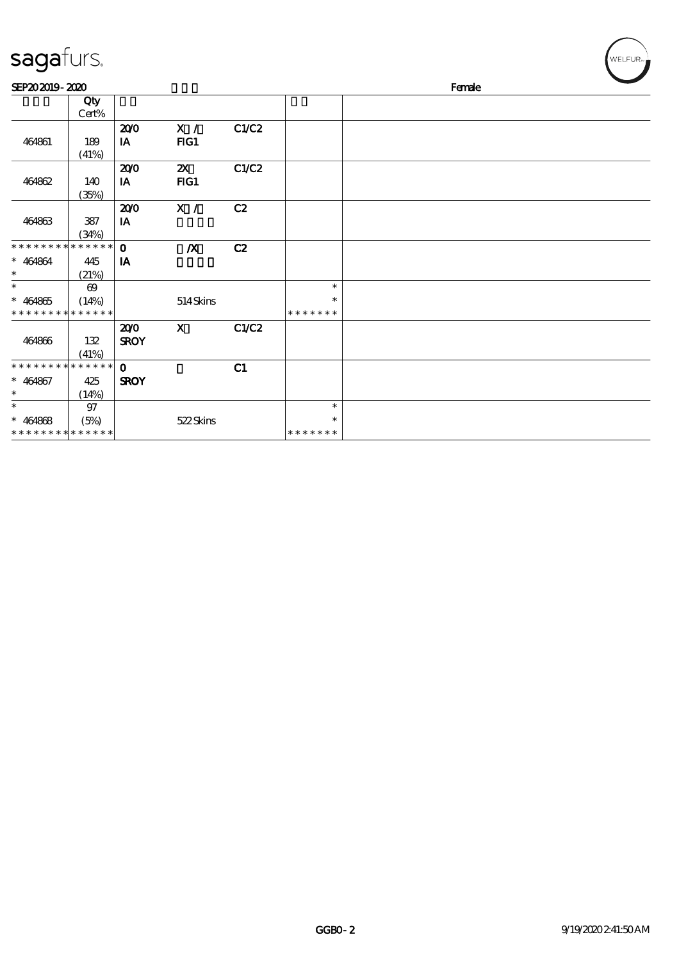| sagafurs.                                           |                                               |                            |                                  |       |                                   |        | WELFUR <sub>m</sub> |
|-----------------------------------------------------|-----------------------------------------------|----------------------------|----------------------------------|-------|-----------------------------------|--------|---------------------|
| SEP202019-2020                                      |                                               |                            |                                  |       |                                   | Female |                     |
|                                                     | Qty<br>Cert%                                  |                            |                                  |       |                                   |        |                     |
| 464861                                              | 189<br>(41%)                                  | 200<br>IA                  | X /<br>FG1                       | C1/C2 |                                   |        |                     |
| 464862                                              | 140<br>(35%)                                  | 200<br>$I$ A               | $\boldsymbol{\mathsf{Z}}$<br>FG1 | C1/C2 |                                   |        |                     |
| 464863                                              | 387<br>(34%)                                  | 200<br>IA                  | X /                              | C2    |                                   |        |                     |
| * * * * * * * *<br>$* 464864$<br>$\ast$             | * * * * * *<br>445<br>(21%)                   | $\mathbf 0$<br>IA          | $\boldsymbol{X}$                 | C2    |                                   |        |                     |
| $\ast$<br>$* 464865$<br>* * * * * * * *             | $\boldsymbol{\omega}$<br>(14%)<br>* * * * * * |                            | 514Skins                         |       | $\ast$<br>*<br>* * * * * * *      |        |                     |
| 464866                                              | 132<br>(41%)                                  | 200<br><b>SROY</b>         | $\mathbf{X}$                     | C1/C2 |                                   |        |                     |
| * * * * * * * *<br>$* 464867$<br>$\ast$             | * * * * * *<br>425<br>(14%)                   | $\mathbf 0$<br><b>SROY</b> |                                  | C1    |                                   |        |                     |
| $\ast$<br>$* 464868$<br>* * * * * * * * * * * * * * | $97\,$<br>(5%)                                |                            | 522Skins                         |       | $\ast$<br>$\ast$<br>* * * * * * * |        |                     |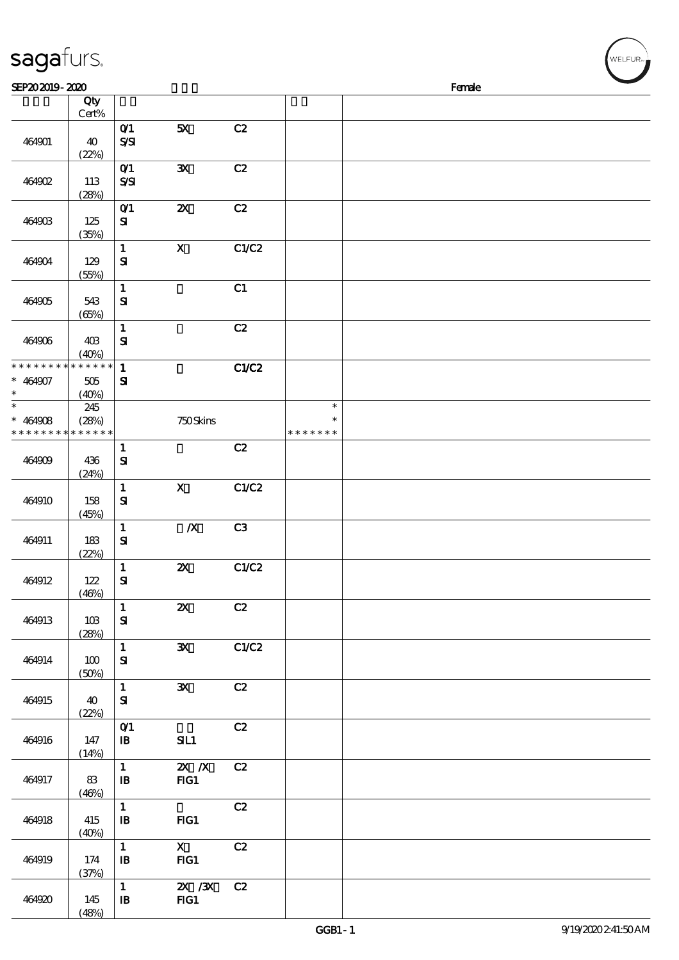| sagafurs.                               |                             |                              |                                  |                |                                   |        | WELFUR <sub>™</sub> |
|-----------------------------------------|-----------------------------|------------------------------|----------------------------------|----------------|-----------------------------------|--------|---------------------|
| SEP202019-2020                          |                             |                              |                                  |                |                                   | Female |                     |
|                                         | Qty<br>Cert%                |                              |                                  |                |                                   |        |                     |
| 464901                                  | 40                          | O(1)<br>$S\!S\!I$            | 5X                               | C2             |                                   |        |                     |
| 464902                                  | (22%)<br>113<br>(28%)       | O(1)<br>SSI                  | ${\bf X}$                        | C2             |                                   |        |                     |
| 464903                                  | 125<br>(35%)                | $O$ $1$<br>${\bf s}$         | $\pmb{\mathsf{zx}}$              | C2             |                                   |        |                     |
| 464904                                  | 129<br>(55%)                | $\mathbf{1}$<br>${\bf s}$    | $\mathbf X$                      | C1/C2          |                                   |        |                     |
| 464905                                  | 543<br>(65%)                | $\mathbf{1}$<br>${\bf s}$    |                                  | C1             |                                   |        |                     |
| 464906                                  | 40B<br>(40%)                | $\mathbf{1}$<br>${\bf s}$    |                                  | C2             |                                   |        |                     |
| * * * * * * * *<br>$* 464907$<br>$\ast$ | * * * * * *<br>505<br>(40%) | $\mathbf{1}$<br>${\bf s}$    |                                  | <b>C1/C2</b>   |                                   |        |                     |
| $\ast$<br>$* 464908$<br>* * * * * * *   | 245<br>(28%)<br>* * * * * * |                              | 750Skins                         |                | $\ast$<br>$\ast$<br>* * * * * * * |        |                     |
| 464909                                  | 436<br>(24%)                | $\mathbf{1}$<br>$\mathbf{S}$ |                                  | C2             |                                   |        |                     |
| 464910                                  | 158<br>(45%)                | $\mathbf 1$<br>${\bf s}$     | $\mathbf X$                      | C1/C2          |                                   |        |                     |
| 464911                                  | 183<br>(22%)                | $\mathbf{1}$<br>${\bf s}$    | $\pmb{X}$                        | C <sub>3</sub> |                                   |        |                     |
| 464912                                  | 122<br>(46%)                | $\mathbf{1}$<br>${\bf s}$    | $\boldsymbol{\mathsf{Z}}$        | C1/C2          |                                   |        |                     |
| 464913                                  | 10B<br>(28%)                | $\mathbf{1}$<br>${\bf s}$    | $\boldsymbol{\mathsf{z}}$        | C2             |                                   |        |                     |
| 464914                                  | 100<br>(50%)                | $\mathbf{1}$<br>${\bf s}$    | $\mathbf{x}$                     | C1/C2          |                                   |        |                     |
| 464915                                  | 40<br>(22%)                 | $\mathbf{1}$<br>${\bf s}$    | $\mathbf{x}$                     | C2             |                                   |        |                     |
| 464916                                  | 147<br>(14%)                | O(1)<br>$\mathbf{B}$         | SL1                              | C2             |                                   |        |                     |
| 464917                                  | 83<br>(46%)                 | $\mathbf{1}$<br>$\mathbf{B}$ | $\mathbf{X}$ $\mathbf{X}$<br>FG1 | C2             |                                   |        |                     |
| 464918                                  | 415<br>(40%)                | $\mathbf{1}$<br>$\mathbf{B}$ | FG1                              | C2             |                                   |        |                     |
| 464919                                  | 174<br>(37%)                | $\mathbf{1}$<br>$\mathbf{B}$ | $\mathbf{X}$<br>$HG1$            | C2             |                                   |        |                     |
| 464920                                  | 145                         | $\mathbf{1}$<br>$\mathbf{B}$ | $X \, X$<br>$HG1$                | C2             |                                   |        |                     |

 $(48%)$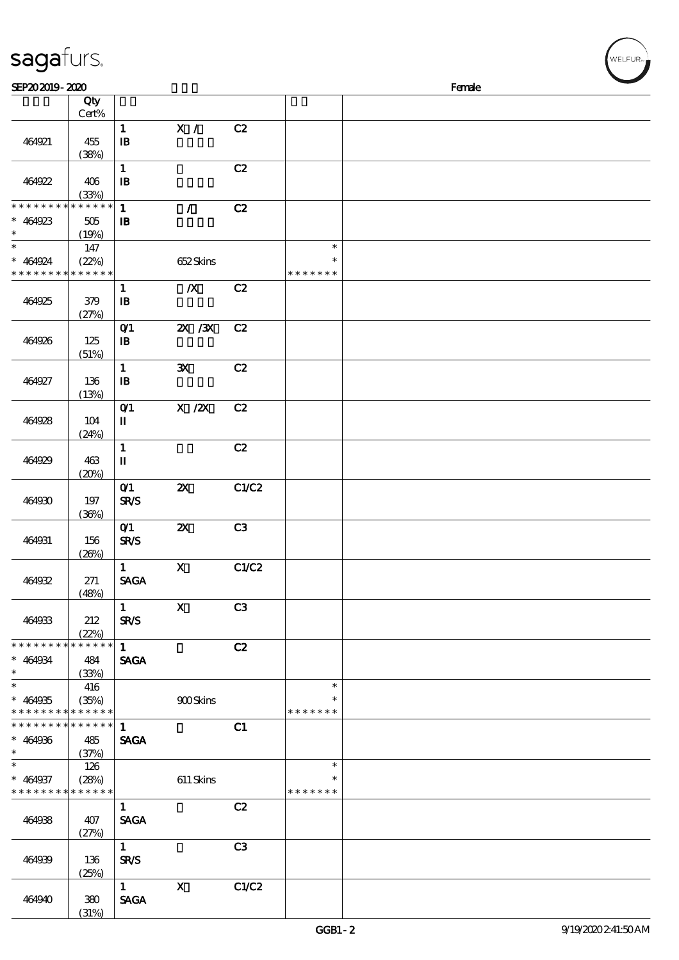| sagafurs.<br>SEP202019-2020               |                |                                   |                                                                                |       |               | Female |  |
|-------------------------------------------|----------------|-----------------------------------|--------------------------------------------------------------------------------|-------|---------------|--------|--|
|                                           | Qty            |                                   |                                                                                |       |               |        |  |
|                                           | Cert%          |                                   |                                                                                |       |               |        |  |
|                                           |                | $\mathbf{1}$                      | $\mathbf{X}$ /                                                                 | C2    |               |        |  |
| 464921                                    | 455            | $\mathbf{B}$                      |                                                                                |       |               |        |  |
|                                           | (38%)          | $\mathbf 1$                       |                                                                                | C2    |               |        |  |
| 464922                                    | 406            | $\, {\bf I} \! {\bf B} \,$        |                                                                                |       |               |        |  |
|                                           | (33%)          |                                   |                                                                                |       |               |        |  |
| * * * * * * * *                           | * * * * * *    | $\mathbf 1$                       | $\mathcal{L}$                                                                  | C2    |               |        |  |
| $* 464923$                                | 505            | $\, {\bf I} \! {\bf B} \,$        |                                                                                |       |               |        |  |
| $\ast$                                    | (19%)<br>$147$ |                                   |                                                                                |       | $\ast$        |        |  |
| $* 464924$                                | (22%)          |                                   | 652Skins                                                                       |       | $\ast$        |        |  |
| * * * * * * * *                           | * * * * * *    |                                   |                                                                                |       | * * * * * * * |        |  |
|                                           |                | $\mathbf{1}$                      | $\boldsymbol{X}$                                                               | C2    |               |        |  |
| 464925                                    | 379            | $\, {\bf I} \! {\bf B} \,$        |                                                                                |       |               |        |  |
|                                           | (27%)          |                                   | $X \, X$                                                                       | C2    |               |        |  |
| 464926                                    | 125            | $O$ $1$<br>$\, {\bf B}$           |                                                                                |       |               |        |  |
|                                           | (51%)          |                                   |                                                                                |       |               |        |  |
|                                           |                | $\mathbf{1}$                      | ${\bf X}$                                                                      | C2    |               |        |  |
| 464927                                    | 136            | $\, {\bf I} \! {\bf B} \,$        |                                                                                |       |               |        |  |
|                                           | (13%)          |                                   |                                                                                |       |               |        |  |
| 464928                                    | 104            | $O$ $1$<br>$\mathbf{I}\mathbf{I}$ | $\boldsymbol{\mathsf{X}}$ / $\boldsymbol{\mathsf{Z}}\!\boldsymbol{\mathsf{X}}$ | C2    |               |        |  |
|                                           | (24%)          |                                   |                                                                                |       |               |        |  |
|                                           |                | $\mathbf{1}$                      |                                                                                | C2    |               |        |  |
| 464929                                    | 463            | $\mathbf u$                       |                                                                                |       |               |        |  |
|                                           | (20%)          |                                   |                                                                                |       |               |        |  |
| 464930                                    | 197            | O(1)<br><b>SR/S</b>               | $\boldsymbol{\mathsf{z}}$                                                      | C1/C2 |               |        |  |
|                                           | (36%)          |                                   |                                                                                |       |               |        |  |
|                                           |                | O(1)                              | $\boldsymbol{\mathsf{z}}$                                                      | C3    |               |        |  |
| 464931                                    | 156            | <b>SR/S</b>                       |                                                                                |       |               |        |  |
|                                           | (20%)          |                                   |                                                                                |       |               |        |  |
| 464932                                    |                | $\mathbf{1}$<br><b>SAGA</b>       | $\mathbf x$                                                                    | C1/C2 |               |        |  |
|                                           | 271<br>(48%)   |                                   |                                                                                |       |               |        |  |
|                                           |                | $1 -$                             | $\mathbf{x}$                                                                   | C3    |               |        |  |
| 464933                                    | 212            | <b>SR/S</b>                       |                                                                                |       |               |        |  |
|                                           | (22%)          |                                   |                                                                                |       |               |        |  |
| * * * * * * * *                           | * * * * * *    | 1                                 |                                                                                | C2    |               |        |  |
| $* 464934$<br>$\ast$                      | 484<br>(33%)   | <b>SAGA</b>                       |                                                                                |       |               |        |  |
| $\ast$                                    | 416            |                                   |                                                                                |       | $\ast$        |        |  |
| $* 464935$                                | (35%)          |                                   | <b>900Skins</b>                                                                |       | $\ast$        |        |  |
| * * * * * * * * * * * * * *               |                |                                   |                                                                                |       | * * * * * * * |        |  |
| * * * * * * * * * * * * * *<br>$* 464936$ |                | $\mathbf{1}$<br><b>SAGA</b>       |                                                                                | C1    |               |        |  |
| $\ast$                                    | 485<br>(37%)   |                                   |                                                                                |       |               |        |  |
| $\ast$                                    | 126            |                                   |                                                                                |       | $\ast$        |        |  |
| $* 464937$                                | (28%)          |                                   | $611$ Skins                                                                    |       | $\ast$        |        |  |
| * * * * * * * *                           | * * * * * *    |                                   |                                                                                |       | * * * * * * * |        |  |
|                                           |                | $\mathbf{1}$                      |                                                                                | C2    |               |        |  |
| 464938                                    | 407<br>(27%)   | <b>SAGA</b>                       |                                                                                |       |               |        |  |
|                                           |                | $\mathbf{1}$                      |                                                                                | C3    |               |        |  |
| 464939                                    | 136            | <b>SR/S</b>                       |                                                                                |       |               |        |  |
|                                           | (25%)          |                                   |                                                                                |       |               |        |  |
|                                           |                | $\mathbf{1}$                      | $\mathbf{x}$                                                                   | C1/C2 |               |        |  |

464940 380

(31%)

SAGA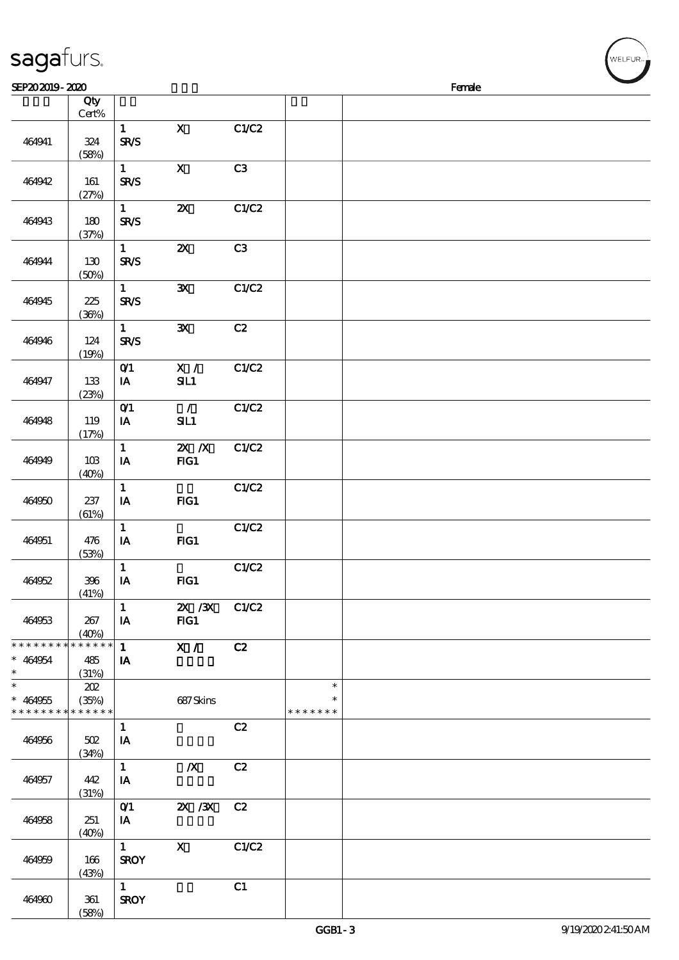| sagafurs.                                                        |                             |                                         |                                    |              |                                   |        |  |
|------------------------------------------------------------------|-----------------------------|-----------------------------------------|------------------------------------|--------------|-----------------------------------|--------|--|
| SEP202019-2020                                                   | Qty                         |                                         |                                    |              |                                   | Female |  |
|                                                                  | Cert%                       |                                         |                                    |              |                                   |        |  |
| 464941                                                           | 324<br>(58%)                | $\mathbf{1}$<br>SR/S                    | $\mathbf X$                        | C1/C2        |                                   |        |  |
| 464942                                                           | 161<br>(27%)                | $\mathbf{1}$<br><b>SR/S</b>             | $\boldsymbol{\mathrm{X}}$          | C3           |                                   |        |  |
| 464943                                                           | 180<br>(37%)                | $\mathbf{1}$<br><b>SR/S</b>             | $\boldsymbol{\mathsf{z}}$          | C1/C2        |                                   |        |  |
| 464944                                                           | 130<br>(50%)                | $\mathbf{1}$<br>SR/S                    | $\pmb{\mathsf{Z}}\pmb{\mathsf{X}}$ | C3           |                                   |        |  |
| 464945                                                           | 225<br>(36%)                | $\mathbf{1}$<br><b>SR/S</b>             | ${\bf X}$                          | C1/C2        |                                   |        |  |
| 464946                                                           | 124<br>(19%)                | $\mathbf{1}$<br>SR/S                    | $\mathbf{x}$                       | C2           |                                   |        |  |
| 464947                                                           | 133<br>(23%)                | O(1)<br>$\mathbf{I} \mathbf{A}$         | $\mathbf{X}$ /<br>SL1              | C1/C2        |                                   |        |  |
| 464948                                                           | 119<br>(17%)                | O(1)<br>IA                              | $\mathcal{L}$<br>SL1               | C1/C2        |                                   |        |  |
| 464949                                                           | 10B<br>(40%)                | $\mathbf{1}$<br>$I\!\!A$                | $X$ $N$<br>FIG1                    | C1/C2        |                                   |        |  |
| 464950                                                           | 237<br>(61%)                | $\mathbf{1}$<br>$\mathbf{I}\mathbf{A}$  | FIG1                               | <b>C1/C2</b> |                                   |        |  |
| 464951                                                           | 476<br>(53%)                | $\mathbf{1}$<br>$\mathbf{I} \mathbf{A}$ | $HG1$                              | C1/C2        |                                   |        |  |
| 464952                                                           | 396<br>(41%)                | $\mathbf{1}$<br>IA                      | FG1                                | C1/C2        |                                   |        |  |
| 464953                                                           | 267<br>(40%)                | $1 -$<br>IA                             | 2X /3X C1/C2<br>FIG1               |              |                                   |        |  |
| * * * * * * * *<br>$* 464954$<br>$\ast$                          | * * * * * *<br>485<br>(31%) | $\mathbf{1}$<br>IA                      | X /                                | C2           |                                   |        |  |
| $\ast$<br>$* 464955$<br>* * * * * * * * <mark>* * * * * *</mark> | 202<br>(35%)                |                                         | 687Skins                           |              | $\ast$<br>$\ast$<br>* * * * * * * |        |  |
| 464956                                                           | 502<br>(34%)                | $\mathbf{1}$<br>IA                      |                                    | C2           |                                   |        |  |
| 464957                                                           | 442<br>(31%)                | $\mathbf{1}$<br>IA                      | $\boldsymbol{X}$                   | C2           |                                   |        |  |
| 464958                                                           | 251<br>(40%)                | O(1)<br>IA                              | 2X / 3X                            | C2           |                                   |        |  |
| 464959                                                           | 166<br>(43%)                | $1 -$<br><b>SROY</b>                    | $\mathbf{x}$                       | C1/C2        |                                   |        |  |
| 464960                                                           | 361                         | 1<br><b>SROY</b>                        |                                    | C1           |                                   |        |  |

(58%)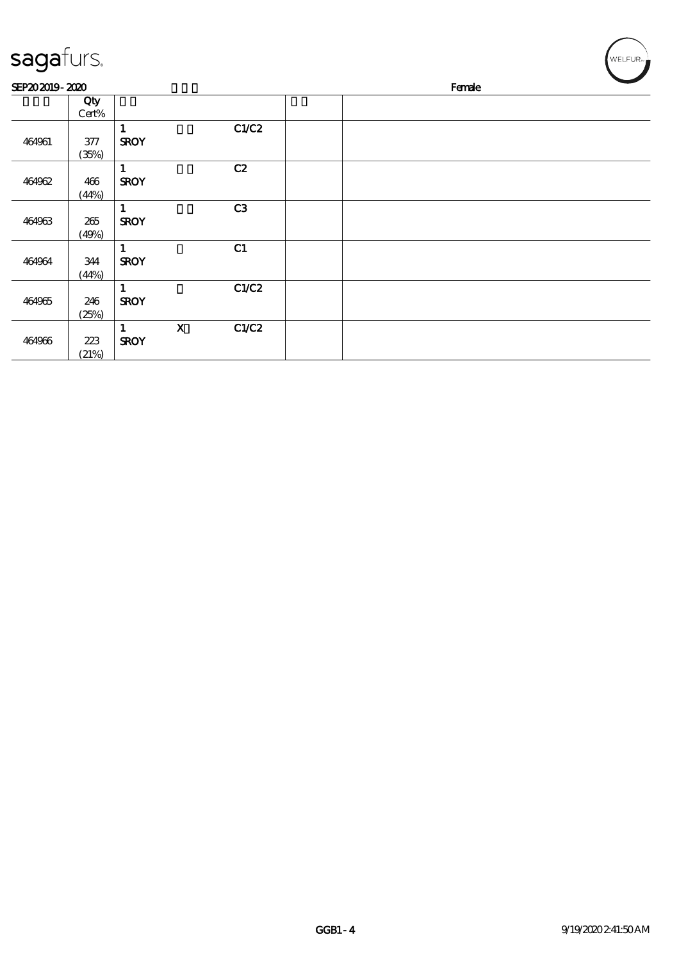| sagafurs.      |                |                             |                           |       |        |  | WELFUR <sub>™</sub> |
|----------------|----------------|-----------------------------|---------------------------|-------|--------|--|---------------------|
| SEP202019-2020 |                |                             |                           |       | Female |  |                     |
|                | Qty<br>Cert%   |                             |                           |       |        |  |                     |
| 464961         | $377$<br>(35%) | 1<br><b>SROY</b>            |                           | C1/C2 |        |  |                     |
| 464962         | 466<br>(44%)   | 1<br><b>SROY</b>            |                           | C2    |        |  |                     |
| 464963         | 265<br>(49%)   | 1<br><b>SROY</b>            |                           | C3    |        |  |                     |
| 464964         | 344<br>(44%)   | 1<br><b>SROY</b>            |                           | C1    |        |  |                     |
| 464965         | 246<br>(25%)   | $\mathbf{1}$<br><b>SROY</b> |                           | C1/C2 |        |  |                     |
| 464966         | 223<br>(21%)   | 1<br><b>SROY</b>            | $\boldsymbol{\mathrm{X}}$ | C1/C2 |        |  |                     |

╭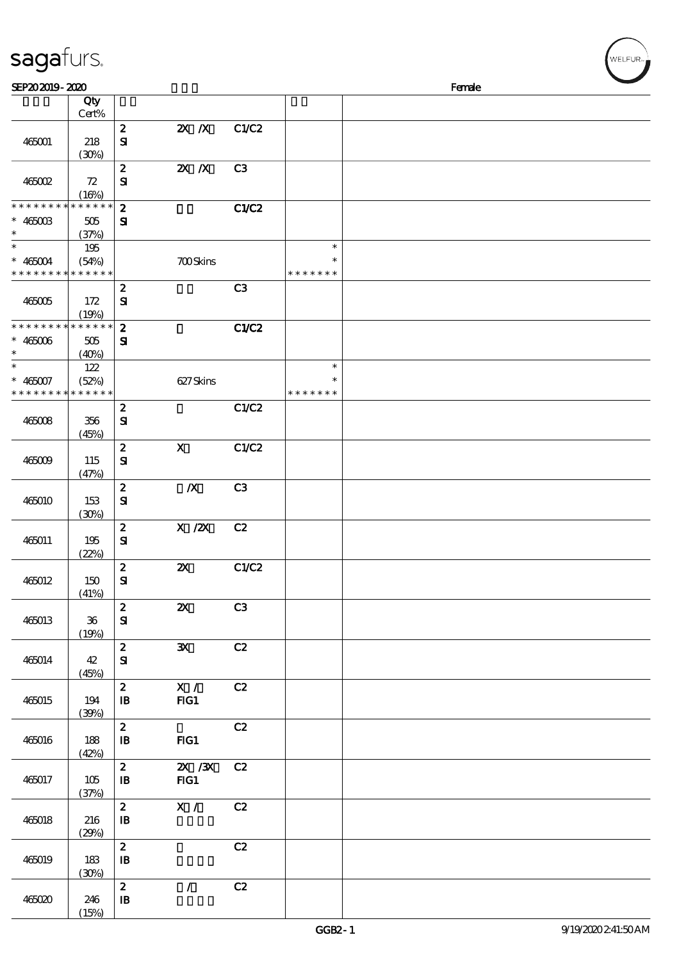| SEP202019-2020                          |                             |                                                |                                    |                |                                   | Female |
|-----------------------------------------|-----------------------------|------------------------------------------------|------------------------------------|----------------|-----------------------------------|--------|
|                                         | Qty<br>Cert%                |                                                |                                    |                |                                   |        |
| 465001                                  | 218<br>(30%)                | $\boldsymbol{z}$<br>${\bf s}$                  | $X$ $N$                            | C1/C2          |                                   |        |
| 465002                                  | 72<br>(16%)                 | $\boldsymbol{2}$<br>${\bf S}$                  | $X$ $N$                            | C <sub>3</sub> |                                   |        |
| * * * * * * * *<br>$*$ 465003<br>$\ast$ | * * * * * *<br>505<br>(37%) | $\boldsymbol{2}$<br>${\bf s}$                  |                                    | C1/C2          |                                   |        |
| $\ast$<br>$* 465004$<br>* * * * * * * * | 195<br>(54%)<br>* * * * * * |                                                | <b>700Skins</b>                    |                | $\ast$<br>$\ast$<br>* * * * * * * |        |
| 465005                                  | 172<br>(19%)                | $\boldsymbol{z}$<br>${\bf s}$                  |                                    | C <sub>3</sub> |                                   |        |
| * * * * * * * *<br>$* 465006$<br>$\ast$ | ******<br>505<br>(40%)      | $\boldsymbol{z}$<br>${\bf s}$                  |                                    | C1/C2          |                                   |        |
| $\ast$<br>$* 465007$<br>* * * * * * * * | 122<br>(52%)<br>* * * * * * |                                                | 627Skins                           |                | $\ast$<br>$\ast$<br>* * * * * * * |        |
| 465008                                  | 356<br>(45%)                | $\boldsymbol{2}$<br>${\bf s}$                  |                                    | C1/C2          |                                   |        |
| 465009                                  | 115<br>(47%)                | $\boldsymbol{2}$<br>$\mathbf{S}$               | $\mathbf X$                        | C1/C2          |                                   |        |
| 465010                                  | 153<br>(30%)                | $\boldsymbol{z}$<br>${\bf s}$                  | $\boldsymbol{X}$                   | C3             |                                   |        |
| 465011                                  | 195<br>(22%)                | $\boldsymbol{2}$<br>${\bf s}$                  | $X$ / $ZX$                         | C2             |                                   |        |
| 465012                                  | 150<br><u>(41%)</u>         | $\boldsymbol{2}$<br>${\bf s}$                  | $\pmb{\mathsf{Z}}\pmb{\mathsf{X}}$ | C1/C2          |                                   |        |
| 465013                                  | $36\,$<br>(19%)             | $\boldsymbol{z}$<br>${\bf S}$                  | $\boldsymbol{\mathsf{z}}$          | C3             |                                   |        |
| 465014                                  | 42<br>(45%)                 | $\boldsymbol{z}$<br>${\bf S\!I}$               | $\mathbf{x}$                       | C2             |                                   |        |
| 465015                                  | 194<br>(30%)                | $\boldsymbol{z}$<br>${\bf I\!B}$               | X /<br>FG1                         | C2             |                                   |        |
| 465016                                  | 188<br>(42%)                | $\boldsymbol{z}$<br>$\mathbf{B}$               | FIG1                               | C2             |                                   |        |
| 465017                                  | 105<br>(37%)                | $\boldsymbol{z}$<br>$\mathbf{B}$               | $\chi$ / $\chi$<br>FG1             | C2             |                                   |        |
| 465018                                  | 216<br>(29%)                | $\boldsymbol{z}$<br>$\, {\bf I}\!{\bf B}$      | X /                                | C2             |                                   |        |
| 465019                                  | 183<br>(30%)                | $\boldsymbol{z}$<br>$\, {\bf I} \! {\bf B} \,$ |                                    | C2             |                                   |        |
| 465020                                  | 246                         | $\boldsymbol{2}$<br>${\bf I\!B}$               | $\mathcal{T}$                      | C2             |                                   |        |

 $(15%)$ 

sagafurs.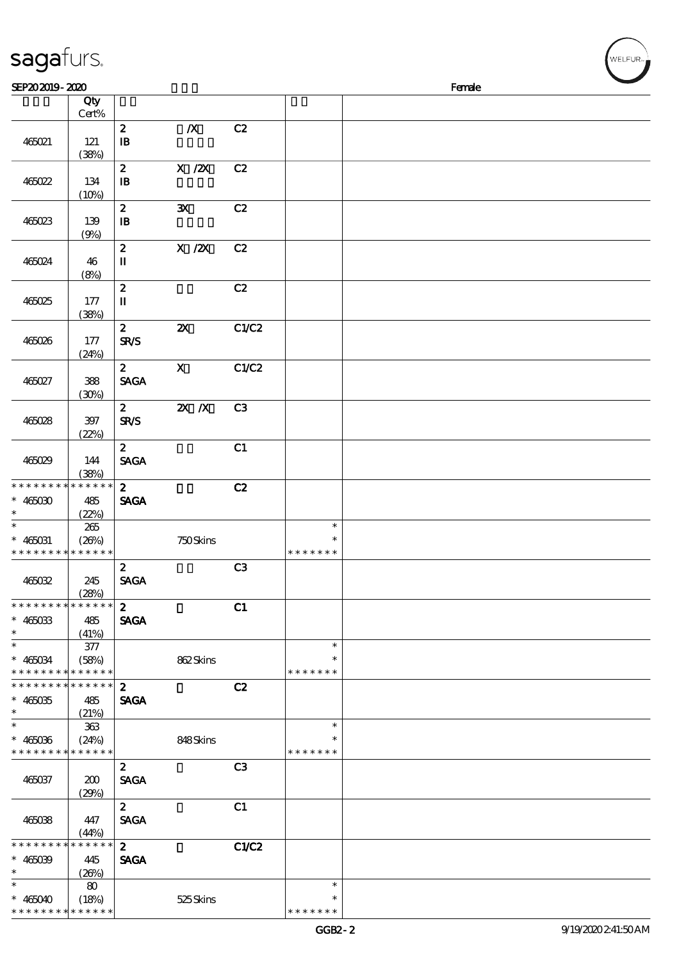| sagafurs.                                  |             |                                       |                                       |       |               | ,<br>WELFUR <sub>™</sub> |
|--------------------------------------------|-------------|---------------------------------------|---------------------------------------|-------|---------------|--------------------------|
| SEP202019-2020                             |             |                                       |                                       |       |               | Female                   |
|                                            |             |                                       |                                       |       |               |                          |
|                                            | Qty         |                                       |                                       |       |               |                          |
|                                            | Cert%       |                                       |                                       |       |               |                          |
|                                            |             | $\pmb{2}$                             | $\boldsymbol{X}$                      | C2    |               |                          |
| 465021                                     | 121         | $\mathbf{B}$                          |                                       |       |               |                          |
|                                            | (38%)       |                                       |                                       |       |               |                          |
|                                            |             | $\pmb{2}$                             | $X$ / $ZX$                            | C2    |               |                          |
| 465022                                     | 134         | $\mathbf{B}$                          |                                       |       |               |                          |
|                                            |             |                                       |                                       |       |               |                          |
|                                            | (10%)       |                                       |                                       |       |               |                          |
|                                            |             | $\boldsymbol{z}$                      | $\mathbf{x}$                          | C2    |               |                          |
| 465023                                     | 139         | $\mathbf{B}$                          |                                       |       |               |                          |
|                                            | (9%)        |                                       |                                       |       |               |                          |
|                                            |             | $\pmb{2}$                             | $\boldsymbol{\mathrm{X}}$ / <b>ZX</b> | C2    |               |                          |
| 465024                                     | 46          | $\rm I\hspace{-.1em}I\hspace{-.1em}I$ |                                       |       |               |                          |
|                                            |             |                                       |                                       |       |               |                          |
|                                            | (8%)        |                                       |                                       |       |               |                          |
|                                            |             | $\pmb{2}$                             |                                       | C2    |               |                          |
| 465025                                     | 177         | $\rm I\hspace{-.1em}I\hspace{-.1em}I$ |                                       |       |               |                          |
|                                            | (38%)       |                                       |                                       |       |               |                          |
|                                            |             | $\mathbf{z}$                          | $\boldsymbol{\mathsf{z}}$             | C1/C2 |               |                          |
| 465026                                     | 177         | <b>SR/S</b>                           |                                       |       |               |                          |
|                                            |             |                                       |                                       |       |               |                          |
|                                            | (24%)       |                                       |                                       |       |               |                          |
|                                            |             | $\mathbf{2}$                          | $\mathbf X$                           | C1/C2 |               |                          |
| 465027                                     | 388         | <b>SAGA</b>                           |                                       |       |               |                          |
|                                            | (30%)       |                                       |                                       |       |               |                          |
|                                            |             | $\mathbf{2}$                          | $Z\!X$ $\,$ /X                        | C3    |               |                          |
| 465028                                     | 397         | <b>SR/S</b>                           |                                       |       |               |                          |
|                                            |             |                                       |                                       |       |               |                          |
|                                            | (22%)       |                                       |                                       |       |               |                          |
|                                            |             | $\mathbf{2}$                          |                                       | C1    |               |                          |
| 465029                                     | 144         | <b>SAGA</b>                           |                                       |       |               |                          |
|                                            | (38%)       |                                       |                                       |       |               |                          |
| * * * * * * * *                            | * * * * * * | $\mathbf{z}$                          |                                       | C2    |               |                          |
| $* 465030$                                 | 485         | <b>SAGA</b>                           |                                       |       |               |                          |
|                                            | (22%)       |                                       |                                       |       |               |                          |
| $\ast$                                     |             |                                       |                                       |       | $\ast$        |                          |
|                                            | 265         |                                       |                                       |       |               |                          |
| $* 465031$                                 | (20%)       |                                       | 750Skins                              |       | $\ast$        |                          |
| * * * * * * * * <mark>* * * * * *</mark> * |             |                                       |                                       |       | * * * * * * * |                          |
|                                            |             | $\mathbf{2}$                          |                                       | C3    |               |                          |
| 465032                                     | 245         | <b>SAGA</b>                           |                                       |       |               |                          |
|                                            | (28%)       |                                       |                                       |       |               |                          |
| * * * * * * * *                            | * * * * * * |                                       |                                       |       |               |                          |
|                                            |             | $\mathbf{z}$                          |                                       | C1    |               |                          |
| $* 465033$                                 | 485         | <b>SAGA</b>                           |                                       |       |               |                          |
| $\ast$                                     | (41%)       |                                       |                                       |       |               |                          |
| $\ast$                                     | 377         |                                       |                                       |       | $\ast$        |                          |
| $* 465034$                                 | (58%)       |                                       | 862Skins                              |       | $\ast$        |                          |
| * * * * * * * * * * * * * *                |             |                                       |                                       |       | * * * * * * * |                          |
| * * * * * * * * <mark>* * * * * *</mark>   |             | $\boldsymbol{2}$                      |                                       | C2    |               |                          |
|                                            |             |                                       |                                       |       |               |                          |
| $* 465035$                                 | 485         | <b>SAGA</b>                           |                                       |       |               |                          |
| $\ast$                                     | (21%)       |                                       |                                       |       |               |                          |
| $\ast$                                     | 363         |                                       |                                       |       | $\ast$        |                          |
| $* 465036$                                 | (24%)       |                                       | 848Skins                              |       |               |                          |
| * * * * * * * * * * * * *                  |             |                                       |                                       |       | * * * * * * * |                          |
|                                            |             | $\boldsymbol{z}$                      |                                       | C3    |               |                          |
|                                            |             |                                       |                                       |       |               |                          |
| 465037                                     | 200         | <b>SAGA</b>                           |                                       |       |               |                          |
|                                            | (29%)       |                                       |                                       |       |               |                          |
|                                            |             | $\mathbf{z}$                          |                                       | C1    |               |                          |
| 465038                                     | 447         | <b>SAGA</b>                           |                                       |       |               |                          |
|                                            | (44%)       |                                       |                                       |       |               |                          |
| * * * * * * * *                            | * * * * * * |                                       |                                       |       |               |                          |
|                                            |             | $\mathbf{z}$                          |                                       | C1/C2 |               |                          |
| $* 465039$                                 | 445         | <b>SAGA</b>                           |                                       |       |               |                          |
| $\ast$                                     | (20%)       |                                       |                                       |       |               |                          |
| $\ast$                                     | 80          |                                       |                                       |       | $\ast$        |                          |
| $* 465040$                                 | (18%)       |                                       | 525 Skins                             |       | $\ast$        |                          |
|                                            |             |                                       |                                       |       |               |                          |

\* \* \* \* \* \*

\*\* <sup>465040</sup> \* \* \* \* \* \*

\* \* \* \* \* \* \* WELFUR<sub>"</sub>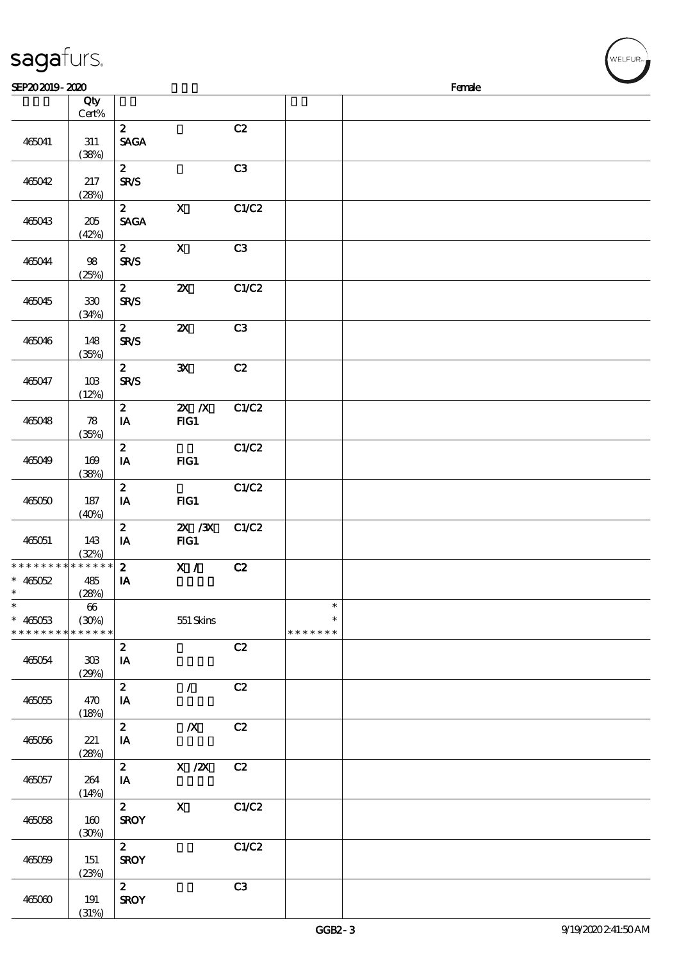| sagafurs.                                                             |                       |                                            |                           |       |                                   |        | WELFUR <sub>"</sub> |
|-----------------------------------------------------------------------|-----------------------|--------------------------------------------|---------------------------|-------|-----------------------------------|--------|---------------------|
| SEP202019-2020                                                        |                       |                                            |                           |       |                                   | Female |                     |
|                                                                       | Qty                   |                                            |                           |       |                                   |        |                     |
| 465041                                                                | $Cert\%$<br>$311\,$   | $\mathbf{z}$<br><b>SAGA</b>                |                           | C2    |                                   |        |                     |
| 465042                                                                | (38%)<br>217          | $\mathbf{z}$<br><b>SR/S</b>                |                           | C3    |                                   |        |                     |
| 465043                                                                | (28%)<br>205<br>(42%) | $\mathbf{2}$<br><b>SAGA</b>                | $\mathbf{X}$              | C1/C2 |                                   |        |                     |
| 465044                                                                | $98\,$<br>(25%)       | $\mathbf{2}$<br>SR/S                       | $\mathbf X$               | C3    |                                   |        |                     |
| 465045                                                                | $330\,$<br>(34%)      | $\mathbf{z}$<br><b>SR/S</b>                | $\boldsymbol{\mathsf{X}}$ | C1/C2 |                                   |        |                     |
| 465046                                                                | 148<br>(35%)          | $\mathbf{2}$<br><b>SR/S</b>                | $\boldsymbol{\mathsf{z}}$ | C3    |                                   |        |                     |
| 465047                                                                | 10B<br>(12%)          | $\boldsymbol{z}$<br>SRS                    | ${\bf x}$                 | C2    |                                   |        |                     |
| 465048                                                                | 78<br>(35%)           | $\mathbf{z}$<br>$\mathbf{I} \mathbf{A}$    | $X$ $N$<br>FG1            | C1/C2 |                                   |        |                     |
| 465049                                                                | 169<br>(38%)          | $\boldsymbol{z}$<br>IA                     | FIG1                      | C1/C2 |                                   |        |                     |
| 465050                                                                | 187<br>(40%)          | $\boldsymbol{z}$<br>$I\!\!A$               | FG1                       | C1/C2 |                                   |        |                     |
| 465051                                                                | 143<br>(32%)          | $\boldsymbol{2}$<br>IA                     | $X \, X$<br>$HG1$         | C1/C2 |                                   |        |                     |
| * * * * * * * * * * * * * * *<br>$* 465052$<br>$\ast$                 | 485<br>(28%)          | $\boldsymbol{z}$<br>IA                     | X /                       | C2    |                                   |        |                     |
| $\overline{\phantom{0}}$<br>$* 465053$<br>* * * * * * * * * * * * * * | 66<br>(30%)           |                                            | 551 Skins                 |       | $\ast$<br>$\ast$<br>* * * * * * * |        |                     |
| 465054                                                                | 308<br>(29%)          | $\boldsymbol{z}$<br>$\mathbf{I}\mathbf{A}$ |                           | C2    |                                   |        |                     |
| 465055                                                                | 470<br>(18%)          | $\boldsymbol{z}$<br>IA                     | $\mathcal{L}$             | C2    |                                   |        |                     |
| 465056                                                                | 221<br>(28%)          | $\boldsymbol{z}$<br>IA                     | $\boldsymbol{X}$          | C2    |                                   |        |                     |
| 465057                                                                | 264<br>(14%)          | $\mathbf{z}$<br>IA                         | $X$ / $ZX$                | C2    |                                   |        |                     |
| 465058                                                                | 160<br>(30%)          | $\mathbf{z}$<br><b>SROY</b>                | $\mathbf X$               | C1/C2 |                                   |        |                     |
| 465059                                                                | 151<br>(23%)          | $\mathbf{z}$<br><b>SROY</b>                |                           | C1/C2 |                                   |        |                     |
| 465060                                                                | 191                   | $2^{\circ}$<br><b>SROY</b>                 |                           | C3    |                                   |        |                     |

(31%)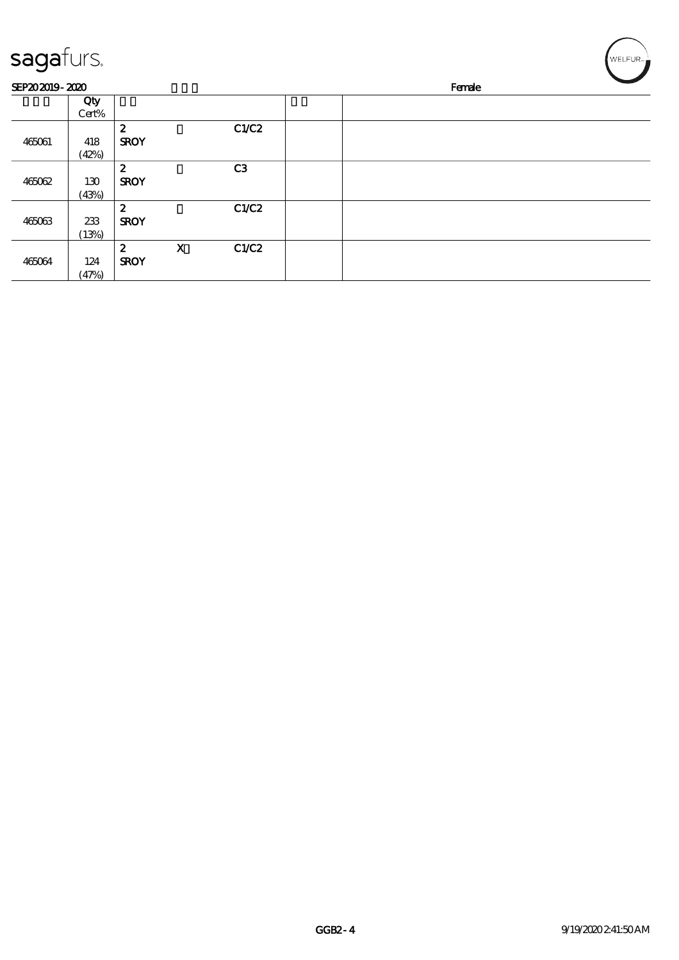| sagafurs.      |       |                  |             |                |  |        | WELFUR <sub>™</sub> |  |
|----------------|-------|------------------|-------------|----------------|--|--------|---------------------|--|
| SEP202019-2020 |       |                  |             |                |  | Female |                     |  |
|                | Qty   |                  |             |                |  |        |                     |  |
|                | Cert% |                  |             |                |  |        |                     |  |
|                |       | $\boldsymbol{z}$ |             | C1/C2          |  |        |                     |  |
| 465061         | 418   | <b>SROY</b>      |             |                |  |        |                     |  |
|                | (42%) |                  |             |                |  |        |                     |  |
|                |       | $\boldsymbol{z}$ |             | C <sub>3</sub> |  |        |                     |  |
| 465062         | 130   | <b>SROY</b>      |             |                |  |        |                     |  |
|                | (43%) |                  |             |                |  |        |                     |  |
|                |       | $\boldsymbol{z}$ |             | C1/C2          |  |        |                     |  |
| 465063         | 233   | <b>SROY</b>      |             |                |  |        |                     |  |
|                | (13%) |                  |             |                |  |        |                     |  |
|                |       | $\boldsymbol{z}$ | $\mathbf x$ | C1/C2          |  |        |                     |  |
| 465064         | 124   | <b>SROY</b>      |             |                |  |        |                     |  |
|                | (47%) |                  |             |                |  |        |                     |  |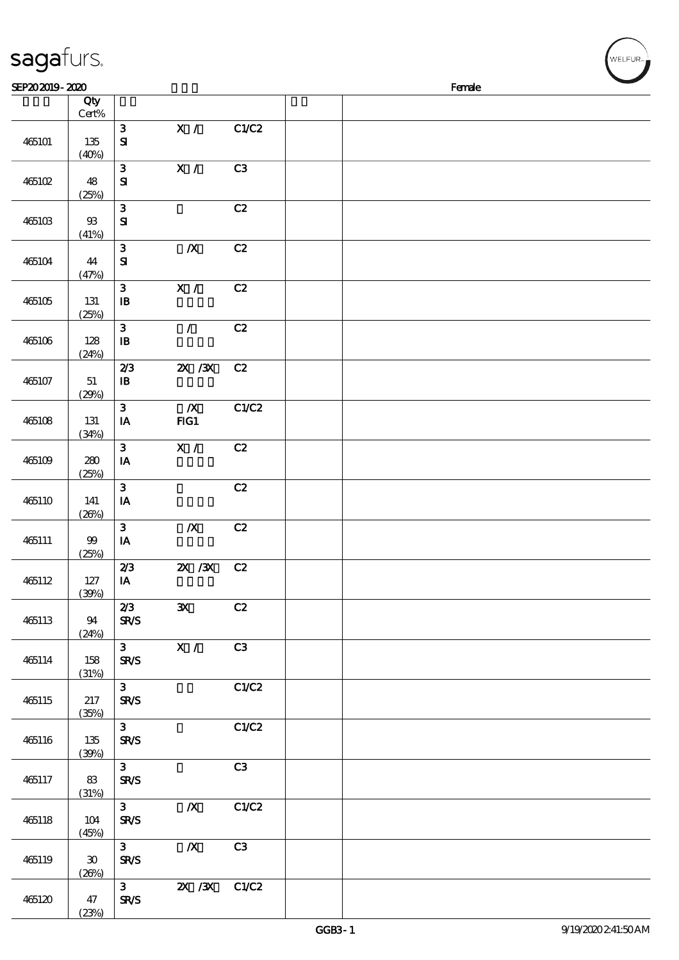| sagafurs.<br>SEP202019-2020 |                                      |                                         |                         |                |  | Female |  |
|-----------------------------|--------------------------------------|-----------------------------------------|-------------------------|----------------|--|--------|--|
|                             | Qty<br>Cert%                         |                                         |                         |                |  |        |  |
| 465101                      | 135<br>(40%)                         | $\mathbf{3}$<br>${\bf s}$               | $\mathbf{X} \neq$       | C1/C2          |  |        |  |
| 465102                      | 48<br>(25%)                          | $\mathbf{3}$<br>$\mathbf{S}$            | X /                     | C <sub>3</sub> |  |        |  |
| 465103                      | ${\mathfrak B}$<br>(41%)             | ${\bf 3}$<br>$\mathbf{S}$               |                         | C2             |  |        |  |
| 465104                      | 44<br>(47%)                          | $\mathbf{3}$<br>${\bf s}$               | $\boldsymbol{X}$        | C2             |  |        |  |
| 465105                      | 131<br>(25%)                         | $\mathbf{3}$<br>$\mathbf{B}$            | X /                     | C2             |  |        |  |
| 465106                      | 128<br>(24%)                         | ${\bf 3}$<br>$\, {\bf I} \! {\bf B} \,$ | $\mathcal{L}$           | C2             |  |        |  |
| 465107                      | 51<br>(29%)                          | 2/3<br>${\bf I\!B}$                     | $ZX$ / $ZX$             | C2             |  |        |  |
| 465108                      | 131<br>(34%)                         | $\mathbf{3}$<br>$\mathbf{I}\mathbf{A}$  | $\boldsymbol{X}$<br>FG1 | C1/C2          |  |        |  |
| 465109                      | 280<br>(25%)                         | $\mathbf{3}$<br>IA                      | X /                     | C2             |  |        |  |
| 465110                      | 141<br>(20%)                         | $\mathbf{3}$<br>$I\!\!A$                |                         | C2             |  |        |  |
| 465111                      | $99$<br>(25%)                        | $\mathbf{3}$<br>$I\!\!A$                | $\pmb{X}$               | C2             |  |        |  |
| 465112                      | 127<br>(30%)                         | 2/3<br>IA                               | 2X / 3X C 2             |                |  |        |  |
| 465113                      | 94<br>(24%)                          | 2/3<br>SR/S                             | $\mathbf{x}$            | C2             |  |        |  |
| 465114                      | 158<br>(31%)                         | $3^{\circ}$<br><b>SR/S</b>              | $\mathbf{X}$ /          | C3             |  |        |  |
| 465115                      | 217<br>(35%)                         | 3 <sub>1</sub><br>SR/S                  |                         | C1/C2          |  |        |  |
| 465116                      | 135<br>(30%)                         | 3 <sub>1</sub><br>SR/S                  |                         | C1/C2          |  |        |  |
| 465117                      | 83<br>(31%)                          | $3 -$<br><b>SR/S</b>                    |                         | C3             |  |        |  |
| 465118                      | 104<br>(45%)                         | 3 <sub>1</sub><br><b>SR/S</b>           | $\boldsymbol{X}$        | C1/C2          |  |        |  |
| 465119                      | $\boldsymbol{\mathfrak{D}}$<br>(20%) | 3 <sup>1</sup><br>SR/S                  | $\boldsymbol{X}$        | C3             |  |        |  |
| 465120                      | 47                                   | $3^{\circ}$<br><b>SR/S</b>              | 2X / 3X                 | C1/C2          |  |        |  |

(23%)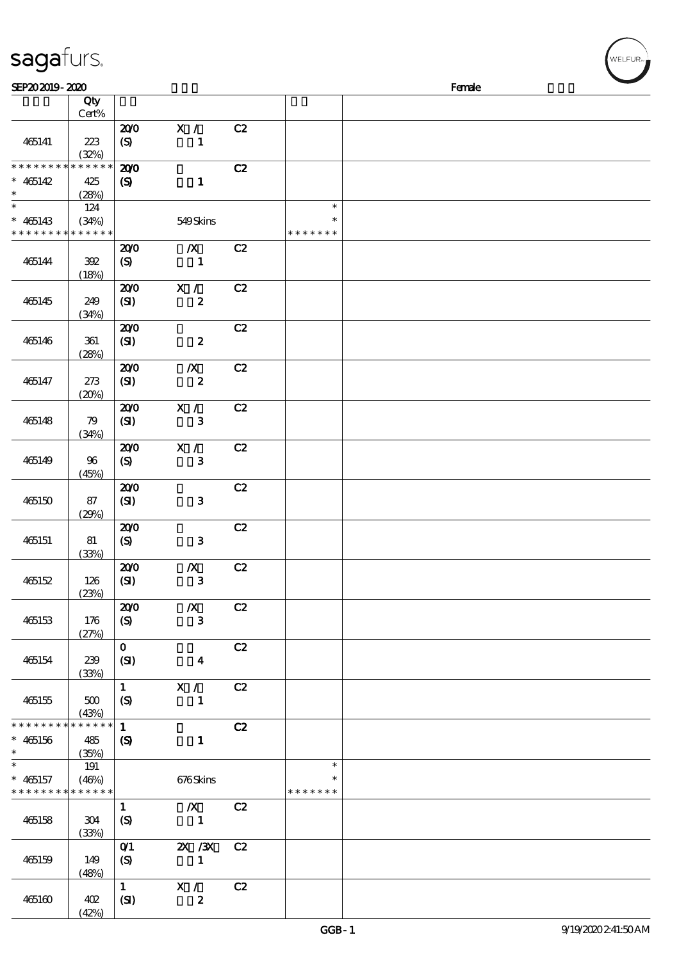| SEP202019-2020                             |                      |                            |                     |    |                         | Female |  |  |  |  |  |
|--------------------------------------------|----------------------|----------------------------|---------------------|----|-------------------------|--------|--|--|--|--|--|
|                                            | Qty                  |                            |                     |    |                         |        |  |  |  |  |  |
|                                            | Cert%                |                            |                     |    |                         |        |  |  |  |  |  |
| 465141                                     | 223<br>(32%)         | 200<br>(S)                 | X /<br>$\mathbf{1}$ | C2 |                         |        |  |  |  |  |  |
| * * * * * * * *                            | * * * * * *          | 200                        |                     | C2 |                         |        |  |  |  |  |  |
| $* 465142$                                 | 425                  | $\boldsymbol{\mathcal{S}}$ | $\mathbf{1}$        |    |                         |        |  |  |  |  |  |
| $\ast$<br>$\overline{\ast}$                | (28%)<br>124         |                            |                     |    | $\ast$                  |        |  |  |  |  |  |
| $* 465143$                                 | (34%)                |                            | 549Skins            |    | $\ast$                  |        |  |  |  |  |  |
| * * * * * * * * <mark>* * * * * *</mark> * |                      |                            |                     |    | * * * * * * *           |        |  |  |  |  |  |
|                                            |                      | 200                        | $\boldsymbol{X}$    | C2 |                         |        |  |  |  |  |  |
| 465144                                     | 392<br>(18%)         | (S)                        | $\mathbf 1$         |    |                         |        |  |  |  |  |  |
|                                            |                      | 200                        | X /                 | C2 |                         |        |  |  |  |  |  |
| 465145                                     | 249<br>(34%)         | (SI)                       | $\boldsymbol{2}$    |    |                         |        |  |  |  |  |  |
|                                            |                      | 200                        |                     | C2 |                         |        |  |  |  |  |  |
| 465146                                     | 361<br>(28%)         | (SI)                       | $\boldsymbol{z}$    |    |                         |        |  |  |  |  |  |
|                                            |                      | 200                        | $\boldsymbol{X}$    | C2 |                         |        |  |  |  |  |  |
| 465147                                     | 273<br>(20%)         | (SI)                       | $\boldsymbol{z}$    |    |                         |        |  |  |  |  |  |
|                                            |                      | 200                        | X /                 | C2 |                         |        |  |  |  |  |  |
| 465148                                     | 79<br>(34%)          | (SI)                       | $\mathbf{3}$        |    |                         |        |  |  |  |  |  |
|                                            |                      | 200                        | X / C               | C2 |                         |        |  |  |  |  |  |
| 465149                                     | 96<br>(45%)          | (S)                        | ${\bf 3}$           |    |                         |        |  |  |  |  |  |
|                                            |                      | 200                        |                     | C2 |                         |        |  |  |  |  |  |
| 465150                                     | 87<br>(29%)          | (S)                        | ${\bf 3}$           |    |                         |        |  |  |  |  |  |
|                                            |                      | 200                        |                     | C2 |                         |        |  |  |  |  |  |
| 465151                                     | 81<br>(33%)          | (S)                        | ${\bf 3}$           |    |                         |        |  |  |  |  |  |
|                                            |                      | 200                        | $\boldsymbol{X}$    | C2 |                         |        |  |  |  |  |  |
| 465152                                     | 126<br>(23%)         | (SI)                       | ${\bf 3}$           |    |                         |        |  |  |  |  |  |
|                                            |                      | 200                        | $\boldsymbol{X}$    | C2 |                         |        |  |  |  |  |  |
| 465153                                     | 176<br>(27%)         | $\boldsymbol{S}$           | $\mathbf{3}$        |    |                         |        |  |  |  |  |  |
|                                            |                      | $\mathbf{O}$               |                     | C2 |                         |        |  |  |  |  |  |
| 465154                                     | 239<br>(33%)         | (SI)                       | $\boldsymbol{4}$    |    |                         |        |  |  |  |  |  |
|                                            |                      | $\mathbf{1}$               | X /                 | C2 |                         |        |  |  |  |  |  |
| 465155                                     | 500<br>(43%)         | $\boldsymbol{S}$           | $\mathbf{1}$        |    |                         |        |  |  |  |  |  |
| * * * * * * * *                            | * * * * * *          | $\mathbf{1}$               |                     | C2 |                         |        |  |  |  |  |  |
| $* 465156$<br>$\ast$                       | 485<br>(35%)         | $\boldsymbol{S}$           | $\mathbf 1$         |    |                         |        |  |  |  |  |  |
| $\ast$                                     | 191                  |                            |                     |    | $\ast$                  |        |  |  |  |  |  |
| $* 465157$<br>* * * * * * * *              | (46%)<br>* * * * * * |                            | 676Skins            |    | $\ast$<br>* * * * * * * |        |  |  |  |  |  |
|                                            |                      | $\mathbf{1}$               | $\boldsymbol{X}$    | C2 |                         |        |  |  |  |  |  |
| 465158                                     | 304<br>(33%)         | (S)                        | $\mathbf{1}$        |    |                         |        |  |  |  |  |  |
|                                            |                      | O(1)                       | $X \, X$            | C2 |                         |        |  |  |  |  |  |
| 465159                                     | 149<br>(48%)         | (S)                        | $\mathbf{1}$        |    |                         |        |  |  |  |  |  |
|                                            |                      | $\mathbf{1}$               | X /                 | C2 |                         |        |  |  |  |  |  |
| 465160                                     | 402<br>(42%)         | (SI)                       | $\boldsymbol{z}$    |    |                         |        |  |  |  |  |  |

welfur<sub>™</sub>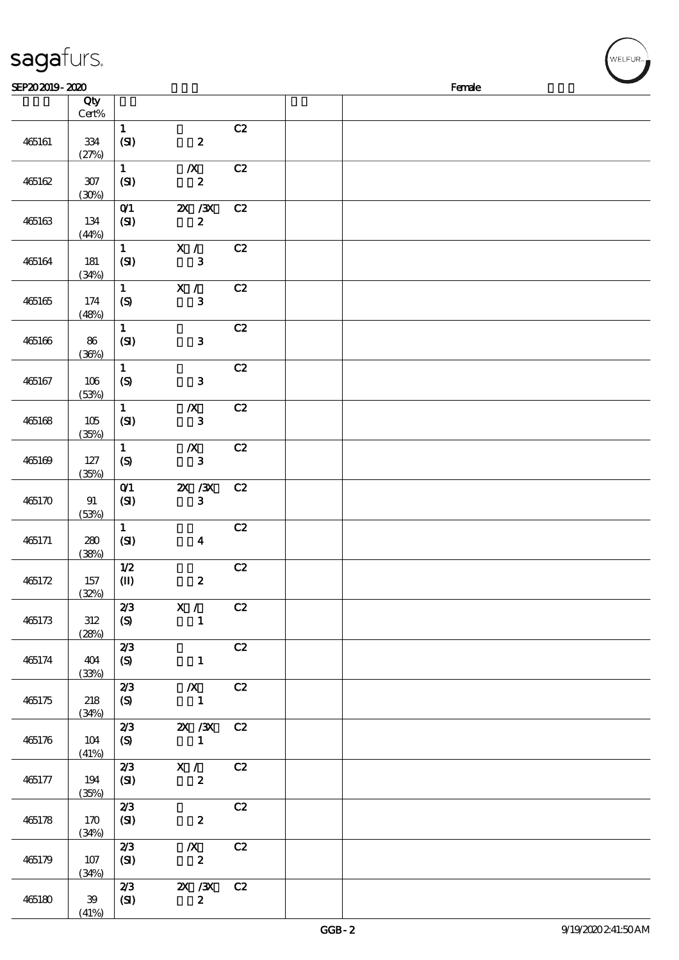| sagafurs.      |                  |                                             |                                      |    |        |  |  | WELFUR <sub>™</sub> |  |  |  |
|----------------|------------------|---------------------------------------------|--------------------------------------|----|--------|--|--|---------------------|--|--|--|
| SEP202019-2020 |                  |                                             |                                      |    | Female |  |  |                     |  |  |  |
|                | Qty<br>$Cert\%$  |                                             |                                      |    |        |  |  |                     |  |  |  |
| 465161         | 334<br>(27%)     | $\mathbf{1}$<br>(SI)                        | $\boldsymbol{z}$                     | C2 |        |  |  |                     |  |  |  |
| 465162         | $307\,$<br>(30%) | $\mathbf{1}$<br>(SI)                        | $\boldsymbol{X}$<br>$\boldsymbol{z}$ | C2 |        |  |  |                     |  |  |  |
| 465163         | 134<br>(44%)     | $O$ $1$<br>(SI)                             | $X \, X$<br>$\boldsymbol{z}$         | C2 |        |  |  |                     |  |  |  |
| 465164         | 181<br>(34%)     | $\mathbf{u}$<br>(SI)                        | $\mathbf{X}$ /<br>$\mathbf{3}$       | C2 |        |  |  |                     |  |  |  |
| 465165         | 174<br>(48%)     | $\mathbf{1}$<br>$\boldsymbol{S}$            | X /<br>$\mathbf{3}$                  | C2 |        |  |  |                     |  |  |  |
| 465166         | 86<br>(36%)      | $\mathbf 1$<br>(SI)                         | $\mathbf{3}$                         | C2 |        |  |  |                     |  |  |  |
| 465167         | 106<br>(53%)     | $\mathbf{1}$<br>(S)                         | $\mathbf{3}$                         | C2 |        |  |  |                     |  |  |  |
| 465168         | 105<br>(35%)     | $\mathbf 1$<br>(SI)                         | $\boldsymbol{X}$<br>$\mathbf{3}$     | C2 |        |  |  |                     |  |  |  |
| 465169         | 127<br>(35%)     | $\mathbf{1}$<br>$\boldsymbol{\mathrm{(S)}}$ | $\boldsymbol{X}$<br>$\mathbf{3}$     | C2 |        |  |  |                     |  |  |  |
| 465170         | 91<br>(53%)      | O(1)<br>(SI)                                | $X \, X$<br>$\mathbf{3}$             | C2 |        |  |  |                     |  |  |  |
| 465171         | 280<br>(38%)     | $\mathbf{1}$<br>(SI)                        | $\boldsymbol{4}$                     | C2 |        |  |  |                     |  |  |  |
| 465172         | 157<br>(32%)     | 1/2<br>$\mathbf{I}$                         | $\boldsymbol{z}$                     | C2 |        |  |  |                     |  |  |  |
| 465173         | 312<br>(28%)     | 2/3<br>(S)                                  | X / C2<br>$\mathbf{1}$               |    |        |  |  |                     |  |  |  |
| 465174         | 404<br>(33%)     | 2/3<br>(S)                                  | $\mathbf{1}$                         | C2 |        |  |  |                     |  |  |  |
| 465175         | 218<br>(34%)     | 2/3<br>(S)                                  | $\boldsymbol{X}$<br>$\blacksquare$   | C2 |        |  |  |                     |  |  |  |
| 465176         | 104<br>(41%)     | 2/3<br>(S)                                  | 2X / 3X<br>$\sim$ 1                  | C2 |        |  |  |                     |  |  |  |
| 465177         | 194<br>(35%)     | 2/3<br>(SI)                                 | $\mathbf{X}$ /<br>$\boldsymbol{z}$   | C2 |        |  |  |                     |  |  |  |
| 465178         | 170<br>(34%)     | 2/3<br>(SI)                                 | $\boldsymbol{z}$                     | C2 |        |  |  |                     |  |  |  |
| 465179         | 107<br>(34%)     | 2/3<br>(SI)                                 | $\boldsymbol{X}$<br>$\boldsymbol{z}$ | C2 |        |  |  |                     |  |  |  |
| 465180         | $39\,$           | 2/3<br>(SI)                                 | 2X / 3X<br>$\mathbf{z}$              | C2 |        |  |  |                     |  |  |  |

(41%)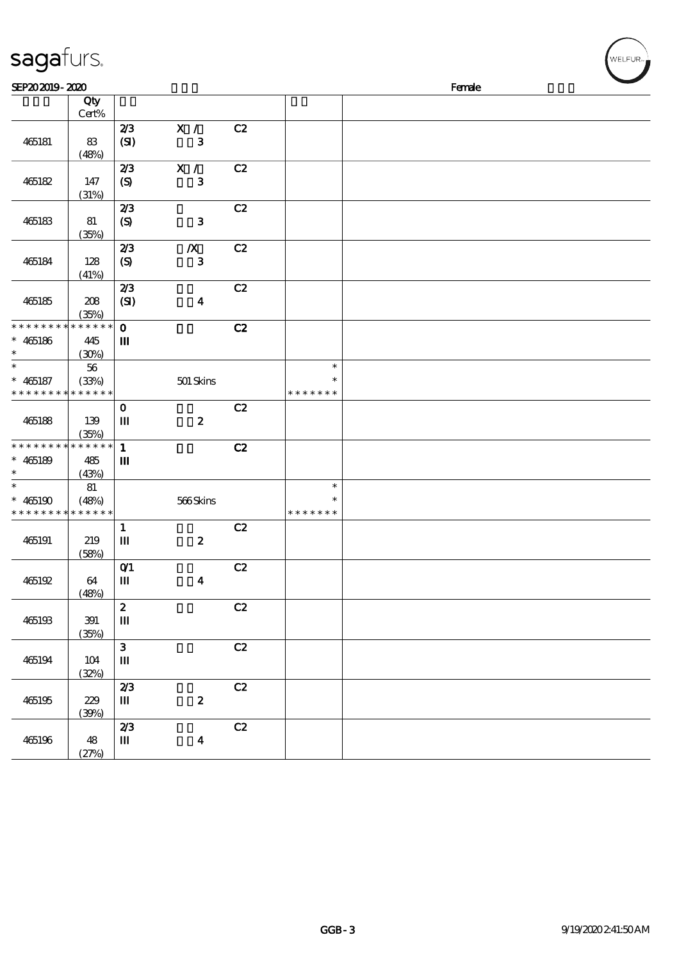| sagafurs.                                           |                             |                                 |                               |    |                                   |        | WELFUR <sub>™</sub> |
|-----------------------------------------------------|-----------------------------|---------------------------------|-------------------------------|----|-----------------------------------|--------|---------------------|
| SEP202019-2020                                      |                             |                                 |                               |    |                                   | Female |                     |
|                                                     | Qty<br>Cert%                |                                 |                               |    |                                   |        |                     |
| 465181                                              | 83<br>(48%)                 | 2/3<br>(SI)                     | X /<br>$\mathbf{3}$           | C2 |                                   |        |                     |
| 465182                                              | 147<br>(31%)                | 2/3<br>$\boldsymbol{S}$         | X /<br>${\bf 3}$              | C2 |                                   |        |                     |
| 465183                                              | 81<br>(35%)                 | 2/3<br>$\boldsymbol{S}$         | ${\bf 3}$                     | C2 |                                   |        |                     |
| 465184                                              | 128<br>(41%)                | 2/3<br>$\boldsymbol{S}$         | $\boldsymbol{X}$<br>${\bf 3}$ | C2 |                                   |        |                     |
| 465185                                              | 208<br>(35%)                | 2/3<br>(SI)                     | $\boldsymbol{4}$              | C2 |                                   |        |                     |
| * * * * * * * *<br>$* 465186$<br>$\ast$             | * * * * * *<br>445<br>(30%) | $\mathbf{o}$<br>Ш               |                               | C2 |                                   |        |                     |
| $\ast$<br>$* 465187$<br>* * * * * * * * * * * * * * | 56<br>(33%)                 |                                 | 501 Skins                     |    | $\ast$<br>$\ast$<br>* * * * * * * |        |                     |
| 465188                                              | 139<br>(35%)                | $\mathbf{o}$<br>$\mathbf{m}$    | $\pmb{2}$                     | C2 |                                   |        |                     |
| * * * * * * * *<br>$* 465189$<br>$\ast$             | $******$<br>485<br>(43%)    | $\mathbf{1}$<br>$\mathbf{m}$    |                               | C2 |                                   |        |                     |
| $\ast$<br>$* 465190$<br>* * * * * * * * * * * * * * | 81<br>(48%)                 |                                 | 566Skins                      |    | $\ast$<br>$\ast$<br>* * * * * * * |        |                     |
| 465191                                              | 219<br>(58%)                | $\mathbf{1}$<br>$\mathbf{m}$    | $\boldsymbol{z}$              | C2 |                                   |        |                     |
| 465192                                              | 64<br>(48%)                 | $O$ $1$<br>$\mathbf{m}$         | $\boldsymbol{4}$              | C2 |                                   |        |                     |
| 465193                                              | 391<br>(35%)                | $\boldsymbol{z}$<br>$\mathbf m$ |                               | C2 |                                   |        |                     |
| 465194                                              | 104<br>(32%)                | $\mathbf{3}$<br>$\mathbf{m}$    |                               | C2 |                                   |        |                     |
| 465195                                              | 229<br>(30%)                | 2/3<br>$\mathbf m$              | $\pmb{2}$                     | C2 |                                   |        |                     |
|                                                     |                             | 2/3                             |                               | C2 |                                   |        |                     |

465196 48

 $(27%)$ 

 $\mathbf{I}$   $\mathbf{I}$   $\mathbf{I}$   $\mathbf{I}$   $\mathbf{I}$   $\mathbf{I}$